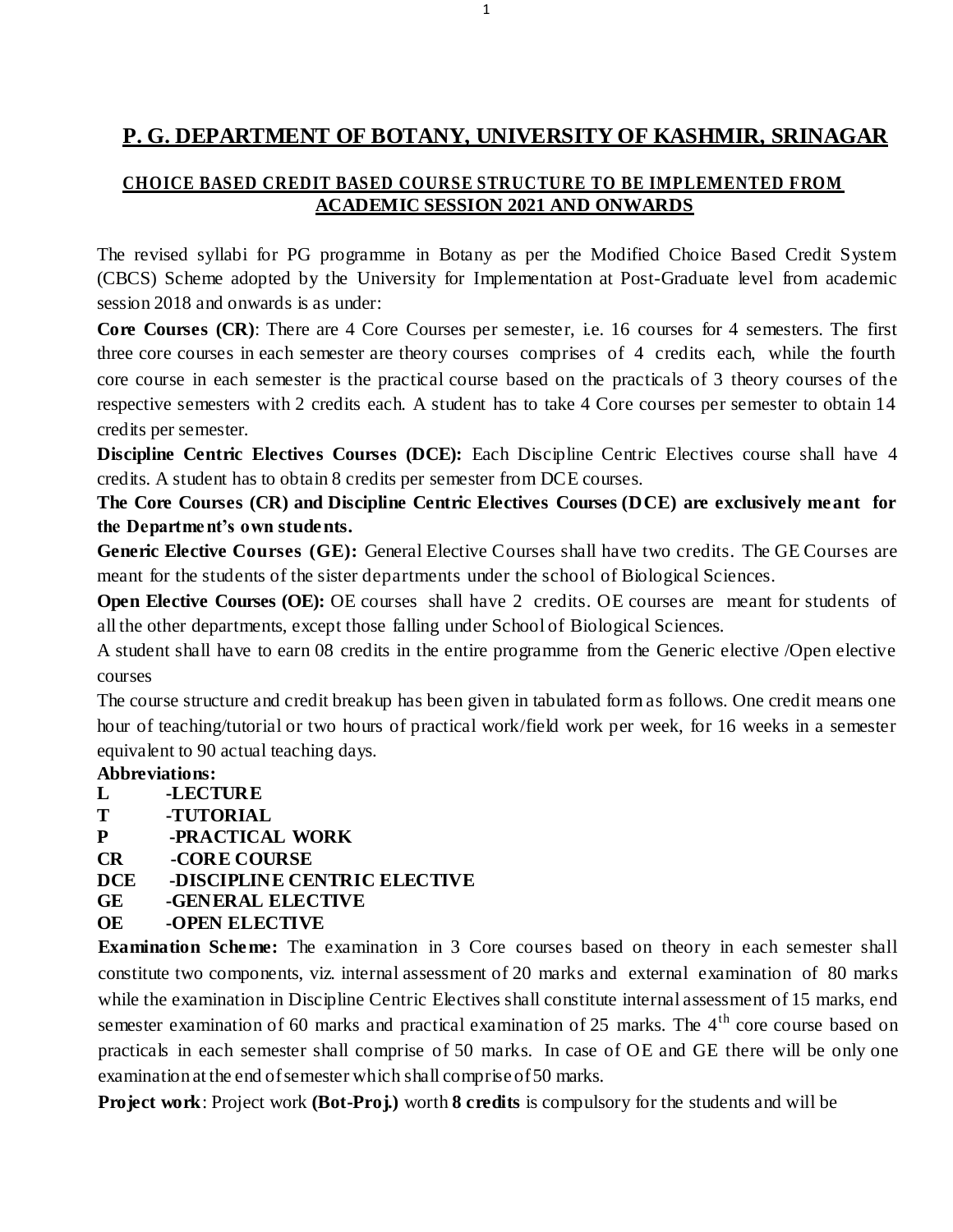# **P. G. DEPARTMENT OF BOTANY, UNIVERSITY OF KASHMIR, SRINAGAR**

# **CHOICE BASED CREDIT BASED COURSE STRUCTURE TO BE IMPLEMENTED FROM ACADEMIC SESSION 2021 AND ONWARDS**

The revised syllabi for PG programme in Botany as per the Modified Choice Based Credit System (CBCS) Scheme adopted by the University for Implementation at Post-Graduate level from academic session 2018 and onwards is as under:

**Core Courses (CR):** There are 4 Core Courses per semester, i.e. 16 courses for 4 semesters. The first three core courses in each semester are theory courses comprises of 4 credits each, while the fourth core course in each semester is the practical course based on the practicals of 3 theory courses of the respective semesters with 2 credits each. A student has to take 4 Core courses per semester to obtain 14 credits per semester.

**Discipline Centric Electives Courses (DCE):** Each Discipline Centric Electives course shall have 4 credits. A student has to obtain 8 credits per semester from DCE courses.

**The Core Courses (CR) and Discipline Centric Electives Courses (DCE) are exclusively meant for the Department's own students.**

**Generic Elective Courses (GE):** General Elective Courses shall have two credits. The GE Courses are meant for the students of the sister departments under the school of Biological Sciences.

**Open Elective Courses (OE):** OE courses shall have 2 credits. OE courses are meant for students of all the other departments, except those falling under School of Biological Sciences.

A student shall have to earn 08 credits in the entire programme from the Generic elective /Open elective courses

The course structure and credit breakup has been given in tabulated form as follows. One credit means one hour of teaching/tutorial or two hours of practical work/field work per week, for 16 weeks in a semester equivalent to 90 actual teaching days.

# **Abbreviations:**

- **L -LECTURE**
- **T -TUTORIAL**
- **P -PRACTICAL WORK**
- **CR -CORE COURSE**
- **DCE -DISCIPLINE CENTRIC ELECTIVE**
- **GE -GENERAL ELECTIVE**
- **OE -OPEN ELECTIVE**

**Examination Scheme:** The examination in 3 Core courses based on theory in each semester shall constitute two components, viz. internal assessment of 20 marks and external examination of 80 marks while the examination in Discipline Centric Electives shall constitute internal assessment of 15 marks, end semester examination of 60 marks and practical examination of 25 marks. The  $4<sup>th</sup>$  core course based on practicals in each semester shall comprise of 50 marks. In case of OE and GE there will be only one examination at the end ofsemester which shall compriseof50 marks.

**Project work**: Project work **(Bot-Proj.)** worth **8 credits** is compulsory for the students and will be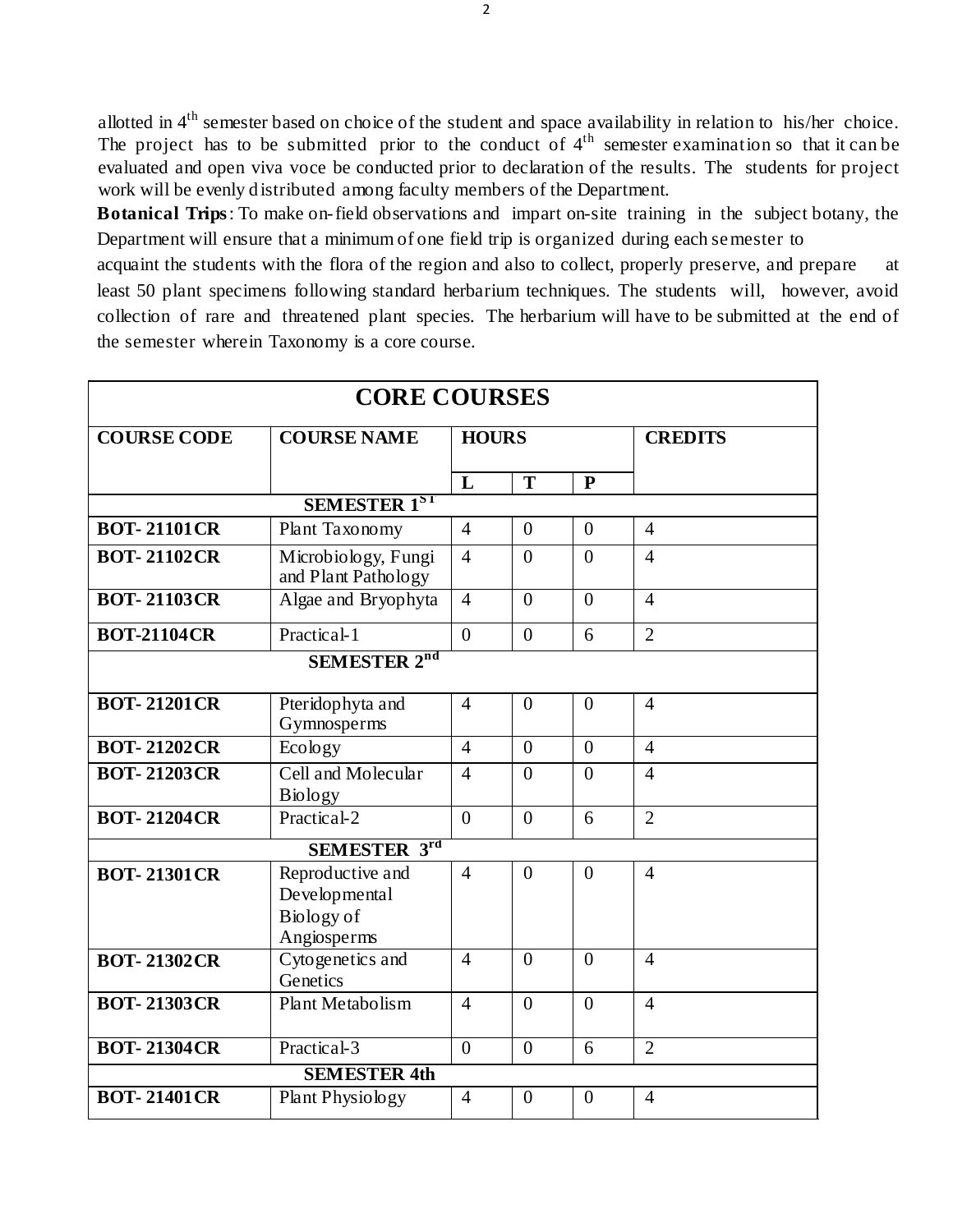allotted in  $4<sup>th</sup>$  semester based on choice of the student and space availability in relation to his/her choice. The project has to be submitted prior to the conduct of  $4<sup>th</sup>$  semester examination so that it can be evaluated and open viva voce be conducted prior to declaration of the results. The students for project work will be evenly distributed among faculty members of the Department.

**Botanical Trips**: To make on-field observations and impart on-site training in the subject botany, the Department will ensure that a minimum of one field trip is organized during each semester to

acquaint the students with the flora of the region and also to collect, properly preserve, and prepare at least 50 plant specimens following standard herbarium techniques. The students will, however, avoid collection of rare and threatened plant species. The herbarium will have to be submitted at the end of the semester wherein Taxonomy is a core course.

| <b>CORE COURSES</b> |                                                                |                |                  |                |                |  |  |
|---------------------|----------------------------------------------------------------|----------------|------------------|----------------|----------------|--|--|
| <b>COURSE CODE</b>  | <b>COURSE NAME</b>                                             | <b>HOURS</b>   |                  |                | <b>CREDITS</b> |  |  |
|                     |                                                                | L              | T                | $\mathbf{P}$   |                |  |  |
|                     | <b>SEMESTER 1ST</b>                                            |                |                  |                |                |  |  |
| <b>BOT-21101CR</b>  | Plant Taxonomy                                                 | $\overline{4}$ | $\boldsymbol{0}$ | $\overline{0}$ | $\overline{4}$ |  |  |
| <b>BOT-21102CR</b>  | Microbiology, Fungi<br>and Plant Pathology                     | $\overline{4}$ | $\theta$         | $\theta$       | $\overline{4}$ |  |  |
| <b>BOT-21103CR</b>  | Algae and Bryophyta                                            | $\overline{4}$ | $\overline{0}$   | $\overline{0}$ | $\overline{4}$ |  |  |
| <b>BOT-21104CR</b>  | Practical-1                                                    | $\theta$       | $\theta$         | 6              | $\overline{2}$ |  |  |
| <b>SEMESTER 2nd</b> |                                                                |                |                  |                |                |  |  |
| <b>BOT-21201CR</b>  | Pteridophyta and<br>Gymnosperms                                | $\overline{4}$ | $\overline{0}$   | $\overline{0}$ | $\overline{4}$ |  |  |
| <b>BOT-21202CR</b>  | Ecology                                                        | $\overline{4}$ | $\overline{0}$   | $\overline{0}$ | $\overline{4}$ |  |  |
| <b>BOT-21203CR</b>  | Cell and Molecular<br><b>Biology</b>                           | $\overline{4}$ | $\theta$         | $\theta$       | $\overline{4}$ |  |  |
| <b>BOT-21204CR</b>  | Practical-2                                                    | $\overline{0}$ | $\overline{0}$   | 6              | $\overline{2}$ |  |  |
| <b>SEMESTER 3rd</b> |                                                                |                |                  |                |                |  |  |
| <b>BOT-21301CR</b>  | Reproductive and<br>Developmental<br>Biology of<br>Angiosperms | $\overline{4}$ | $\overline{0}$   | $\theta$       | $\overline{4}$ |  |  |
| <b>BOT-21302CR</b>  | Cytogenetics and<br>Genetics                                   | $\overline{4}$ | $\theta$         | $\theta$       | $\overline{4}$ |  |  |
| <b>BOT-21303CR</b>  | Plant Metabolism                                               | $\overline{4}$ | $\theta$         | $\theta$       | $\overline{4}$ |  |  |
| <b>BOT-21304CR</b>  | Practical-3                                                    | $\theta$       | $\theta$         | 6              | $\overline{2}$ |  |  |
| <b>SEMESTER 4th</b> |                                                                |                |                  |                |                |  |  |
| <b>BOT-21401CR</b>  | Plant Physiology                                               | $\overline{4}$ | $\overline{0}$   | $\overline{0}$ | $\overline{4}$ |  |  |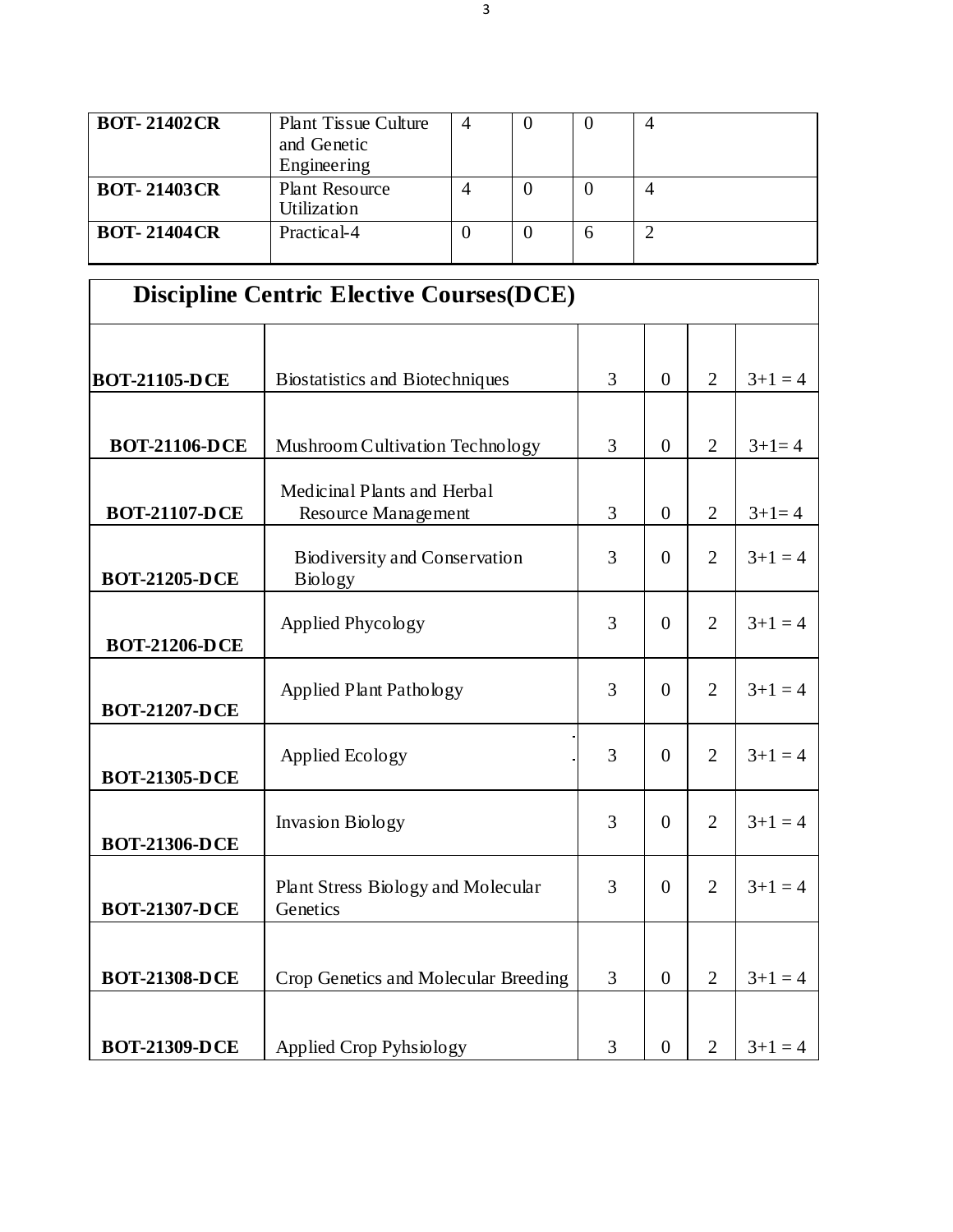| <b>BOT-21402CR</b> | <b>Plant Tissue Culture</b><br>and Genetic<br>Engineering |   |  |  |
|--------------------|-----------------------------------------------------------|---|--|--|
| <b>BOT-21403CR</b> | <b>Plant Resource</b><br>Utilization                      |   |  |  |
| <b>BOT-21404CR</b> | Practical-4                                               | U |  |  |

| <b>Discipline Centric Elective Courses (DCE)</b> |                                                        |   |                |                |         |  |
|--------------------------------------------------|--------------------------------------------------------|---|----------------|----------------|---------|--|
|                                                  |                                                        |   |                |                |         |  |
| <b>BOT-21105-DCE</b>                             | Biostatistics and Biotechniques                        | 3 | $\theta$       | $\overline{2}$ | $3+1=4$ |  |
|                                                  |                                                        |   |                |                |         |  |
| <b>BOT-21106-DCE</b>                             | Mushroom Cultivation Technology                        | 3 | $\mathbf{0}$   | $\overline{2}$ | $3+1=4$ |  |
| <b>BOT-21107-DCE</b>                             | Medicinal Plants and Herbal<br>Resource Management     | 3 | $\mathbf{0}$   | $\overline{2}$ | $3+1=4$ |  |
| <b>BOT-21205-DCE</b>                             | <b>Biodiversity and Conservation</b><br><b>Biology</b> | 3 | $\overline{0}$ | $\overline{2}$ | $3+1=4$ |  |
| <b>BOT-21206-DCE</b>                             | Applied Phycology                                      | 3 | $\theta$       | $\overline{2}$ | $3+1=4$ |  |
| <b>BOT-21207-DCE</b>                             | Applied Plant Pathology                                | 3 | $\Omega$       | $\overline{2}$ | $3+1=4$ |  |
| <b>BOT-21305-DCE</b>                             | Applied Ecology                                        | 3 | $\overline{0}$ | $\overline{2}$ | $3+1=4$ |  |
| <b>BOT-21306-DCE</b>                             | <b>Invasion Biology</b>                                | 3 | $\theta$       | $\overline{2}$ | $3+1=4$ |  |
| <b>BOT-21307-DCE</b>                             | Plant Stress Biology and Molecular<br>Genetics         | 3 | $\theta$       | $\overline{2}$ | $3+1=4$ |  |
| <b>BOT-21308-DCE</b>                             | Crop Genetics and Molecular Breeding                   | 3 | $\overline{0}$ | $\overline{2}$ | $3+1=4$ |  |
| <b>BOT-21309-DCE</b>                             | <b>Applied Crop Pyhsiology</b>                         | 3 | $\overline{0}$ | $\overline{2}$ | $3+1=4$ |  |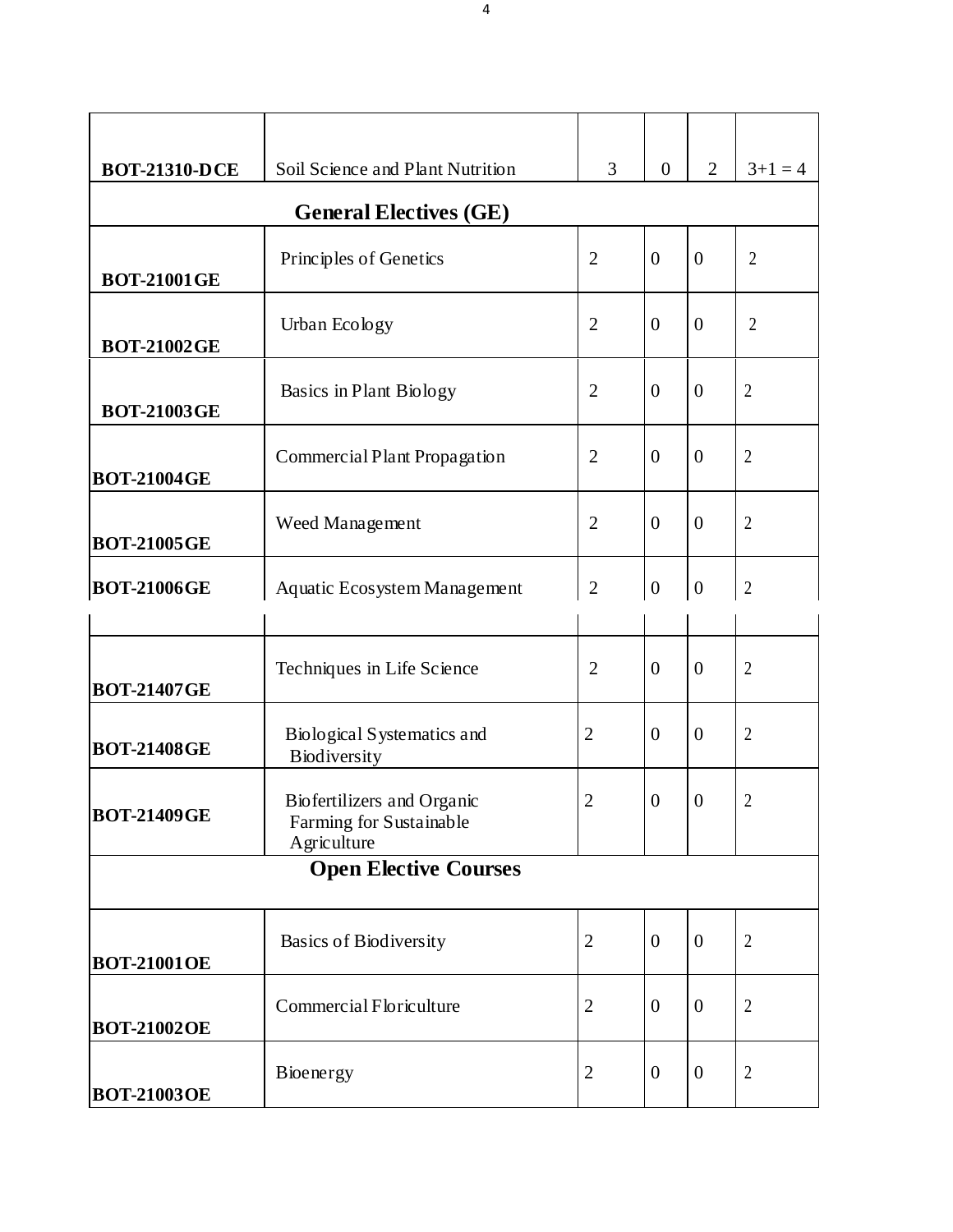| <b>BOT-21310-DCE</b>          | Soil Science and Plant Nutrition                                     | 3              | $\overline{0}$   | $\overline{2}$   | $3+1=4$          |  |  |
|-------------------------------|----------------------------------------------------------------------|----------------|------------------|------------------|------------------|--|--|
| <b>General Electives (GE)</b> |                                                                      |                |                  |                  |                  |  |  |
| <b>BOT-21001GE</b>            | Principles of Genetics                                               | $\overline{2}$ | $\overline{0}$   | $\overline{0}$   | $\overline{2}$   |  |  |
| <b>BOT-21002GE</b>            | Urban Ecology                                                        | $\overline{2}$ | $\overline{0}$   | $\overline{0}$   | $\overline{2}$   |  |  |
| <b>BOT-21003GE</b>            | Basics in Plant Biology                                              | $\overline{2}$ | $\theta$         | $\boldsymbol{0}$ | $\overline{2}$   |  |  |
| <b>BOT-21004GE</b>            | Commercial Plant Propagation                                         | $\overline{2}$ | $\theta$         | $\boldsymbol{0}$ | $\overline{2}$   |  |  |
| <b>BOT-21005GE</b>            | Weed Management                                                      | $\overline{2}$ | $\theta$         | $\boldsymbol{0}$ | $\boldsymbol{2}$ |  |  |
| <b>BOT-21006GE</b>            | Aquatic Ecosystem Management                                         | $\overline{2}$ | $\boldsymbol{0}$ | $\boldsymbol{0}$ | $\boldsymbol{2}$ |  |  |
| <b>BOT-21407GE</b>            | Techniques in Life Science                                           | $\overline{2}$ | $\theta$         | $\overline{0}$   | $\overline{2}$   |  |  |
| <b>BOT-21408GE</b>            | Biological Systematics and<br>Biodiversity                           | $\overline{2}$ | $\theta$         | $\overline{0}$   | $\overline{2}$   |  |  |
| <b>BOT-21409GE</b>            | Biofertilizers and Organic<br>Farming for Sustainable<br>Agriculture | $\overline{2}$ | $\mathbf{0}$     | $\mathbf{0}$     | 2                |  |  |
| <b>Open Elective Courses</b>  |                                                                      |                |                  |                  |                  |  |  |
| <b>BOT-21001OE</b>            | <b>Basics of Biodiversity</b>                                        | $\overline{2}$ | $\theta$         | $\boldsymbol{0}$ | $\overline{2}$   |  |  |
| <b>BOT-21002OE</b>            | Commercial Floriculture                                              | $\overline{2}$ | $\theta$         | $\boldsymbol{0}$ | $\overline{2}$   |  |  |
| <b>BOT-21003OE</b>            | Bioenergy                                                            | $\overline{2}$ | $\boldsymbol{0}$ | $\boldsymbol{0}$ | $\overline{2}$   |  |  |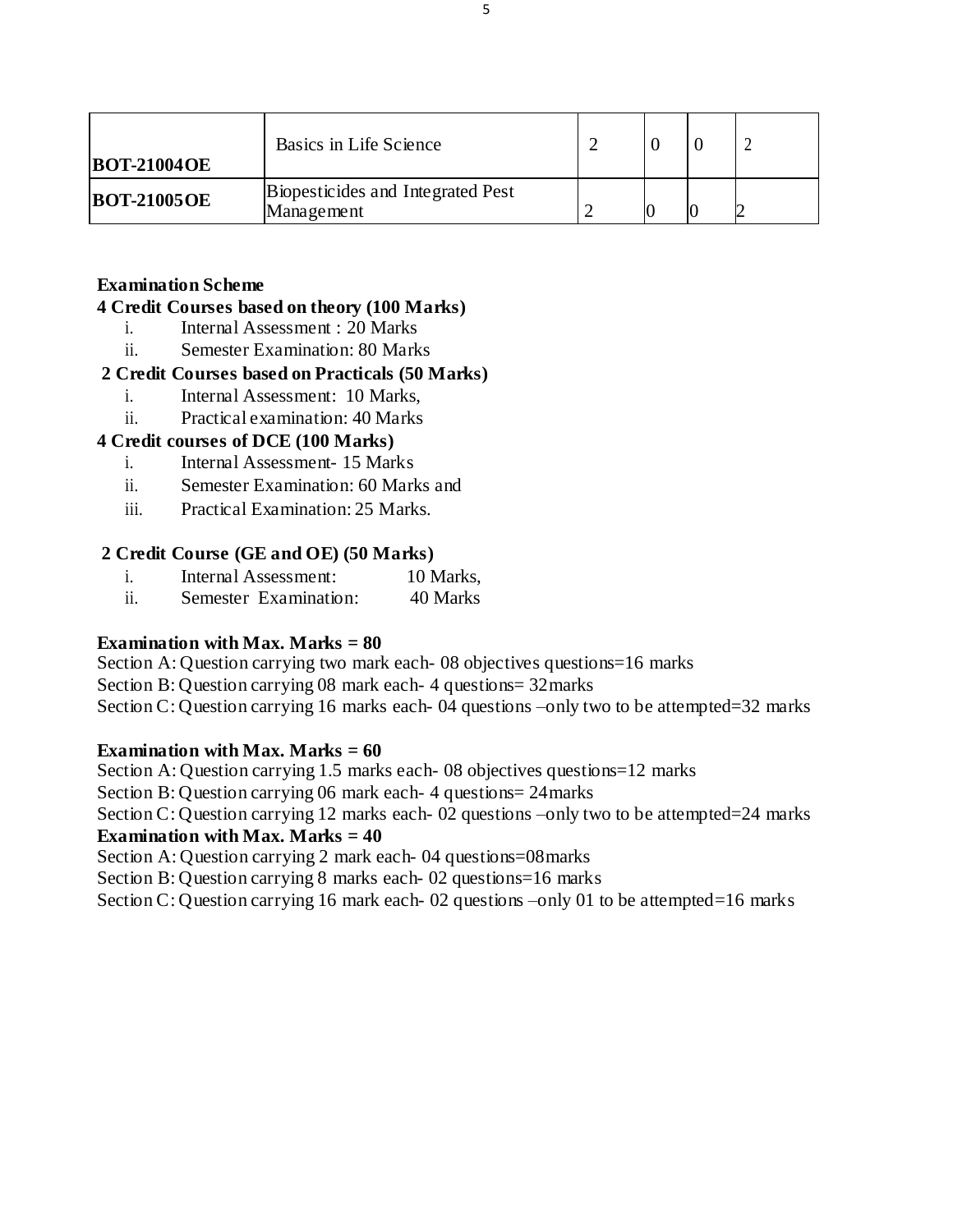| <b>BOT-21004OE</b> | Basics in Life Science                          |  |  |
|--------------------|-------------------------------------------------|--|--|
| <b>BOT-21005OE</b> | Biopesticides and Integrated Pest<br>Management |  |  |

# **Examination Scheme**

### **4 Credit Courses based on theory (100 Marks)**

- i. Internal Assessment : 20 Marks
- ii. Semester Examination: 80 Marks

# **2 Credit Courses based on Practicals (50 Marks)**

- i. Internal Assessment: 10 Marks,
- ii. Practical examination: 40 Marks

# **4 Credit courses of DCE (100 Marks)**

- i. Internal Assessment- 15 Marks
- ii. Semester Examination: 60 Marks and
- iii. Practical Examination: 25 Marks.

# **2 Credit Course (GE and OE) (50 Marks)**

- i. Internal Assessment: 10 Marks,
- ii. Semester Examination: 40 Marks

# **Examination with Max. Marks = 80**

Section A: Question carrying two mark each- 08 objectives questions=16 marks Section B: Question carrying 08 mark each- 4 questions= 32marks Section C: Question carrying 16 marks each- 04 questions –only two to be attempted=32 marks

# **Examination with Max. Marks = 60**

Section A: Question carrying 1.5 marks each- 08 objectives questions=12 marks Section B: Question carrying 06 mark each- 4 questions= 24marks Section C: Question carrying 12 marks each- 02 questions –only two to be attempted=24 marks **Examination with Max. Marks = 40** Section A: Question carrying 2 mark each- 04 questions=08marks Section B: Question carrying 8 marks each- 02 questions=16 marks Section C: Question carrying 16 mark each- 02 questions –only 01 to be attempted=16 marks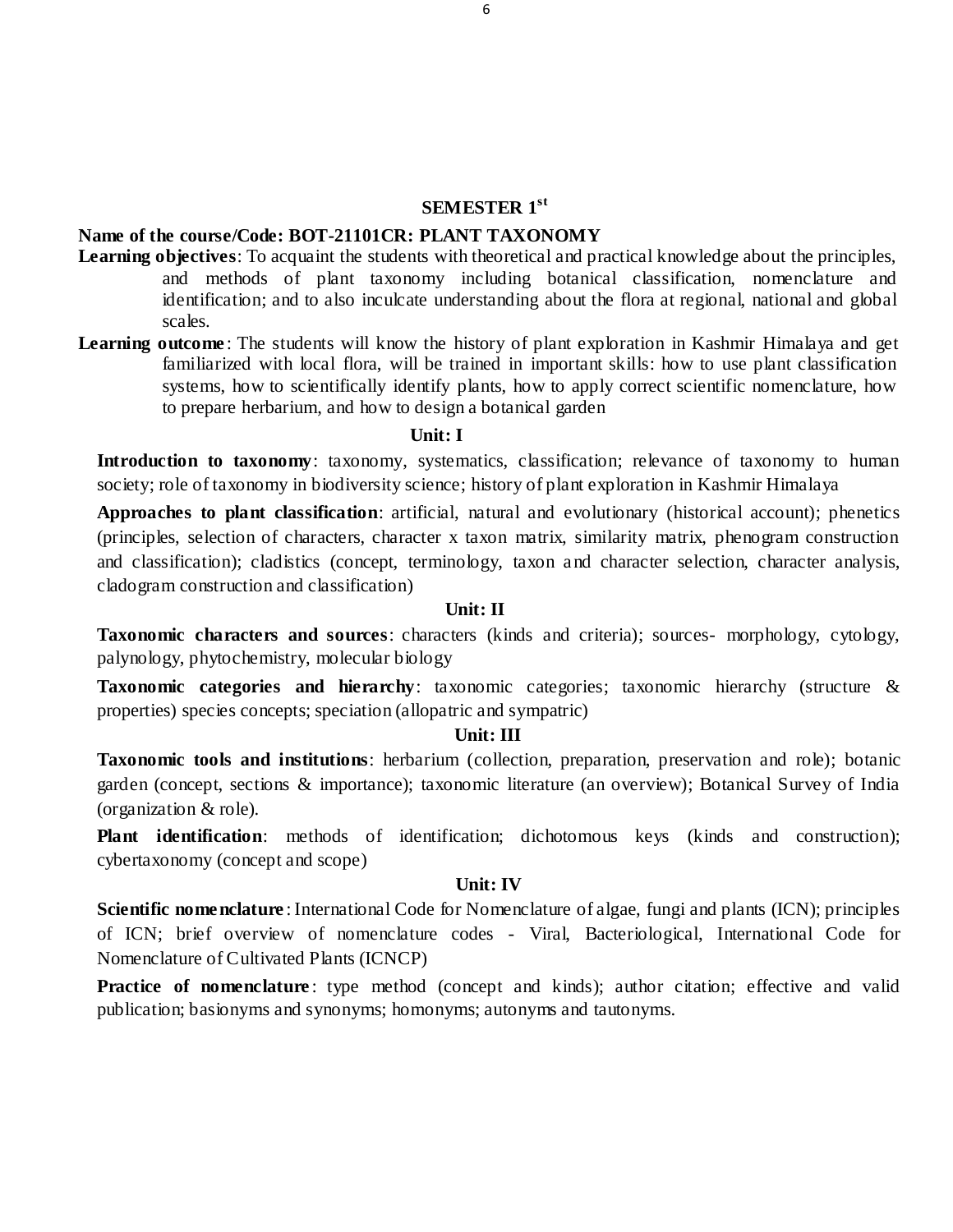#### **SEMESTER 1st**

# **Name of the course/Code: BOT-21101CR: PLANT TAXONOMY**

- **Learning objectives**: To acquaint the students with theoretical and practical knowledge about the principles, and methods of plant taxonomy including botanical classification, nomenclature and identification; and to also inculcate understanding about the flora at regional, national and global scales.
- **Learning outcome**: The students will know the history of plant exploration in Kashmir Himalaya and get familiarized with local flora, will be trained in important skills: how to use plant classification systems, how to scientifically identify plants, how to apply correct scientific nomenclature, how to prepare herbarium, and how to design a botanical garden

#### **Unit: I**

**Introduction to taxonomy**: taxonomy, systematics, classification; relevance of taxonomy to human society; role of taxonomy in biodiversity science; history of plant exploration in Kashmir Himalaya

**Approaches to plant classification**: artificial, natural and evolutionary (historical account); phenetics (principles, selection of characters, character x taxon matrix, similarity matrix, phenogram construction and classification); cladistics (concept, terminology, taxon and character selection, character analysis, cladogram construction and classification)

#### **Unit: II**

**Taxonomic characters and sources**: characters (kinds and criteria); sources- morphology, cytology, palynology, phytochemistry, molecular biology

**Taxonomic categories and hierarchy**: taxonomic categories; taxonomic hierarchy (structure & properties) species concepts; speciation (allopatric and sympatric)

#### **Unit: III**

**Taxonomic tools and institutions**: herbarium (collection, preparation, preservation and role); botanic garden (concept, sections & importance); taxonomic literature (an overview); Botanical Survey of India (organization & role).

**Plant identification**: methods of identification; dichotomous keys (kinds and construction); cybertaxonomy (concept and scope)

### **Unit: IV**

**Scientific nomenclature** : International Code for Nomenclature of algae, fungi and plants (ICN); principles of ICN; brief overview of nomenclature codes - Viral, Bacteriological, International Code for Nomenclature of Cultivated Plants (ICNCP)

**Practice of nomenclature**: type method (concept and kinds); author citation; effective and valid publication; basionyms and synonyms; homonyms; autonyms and tautonyms.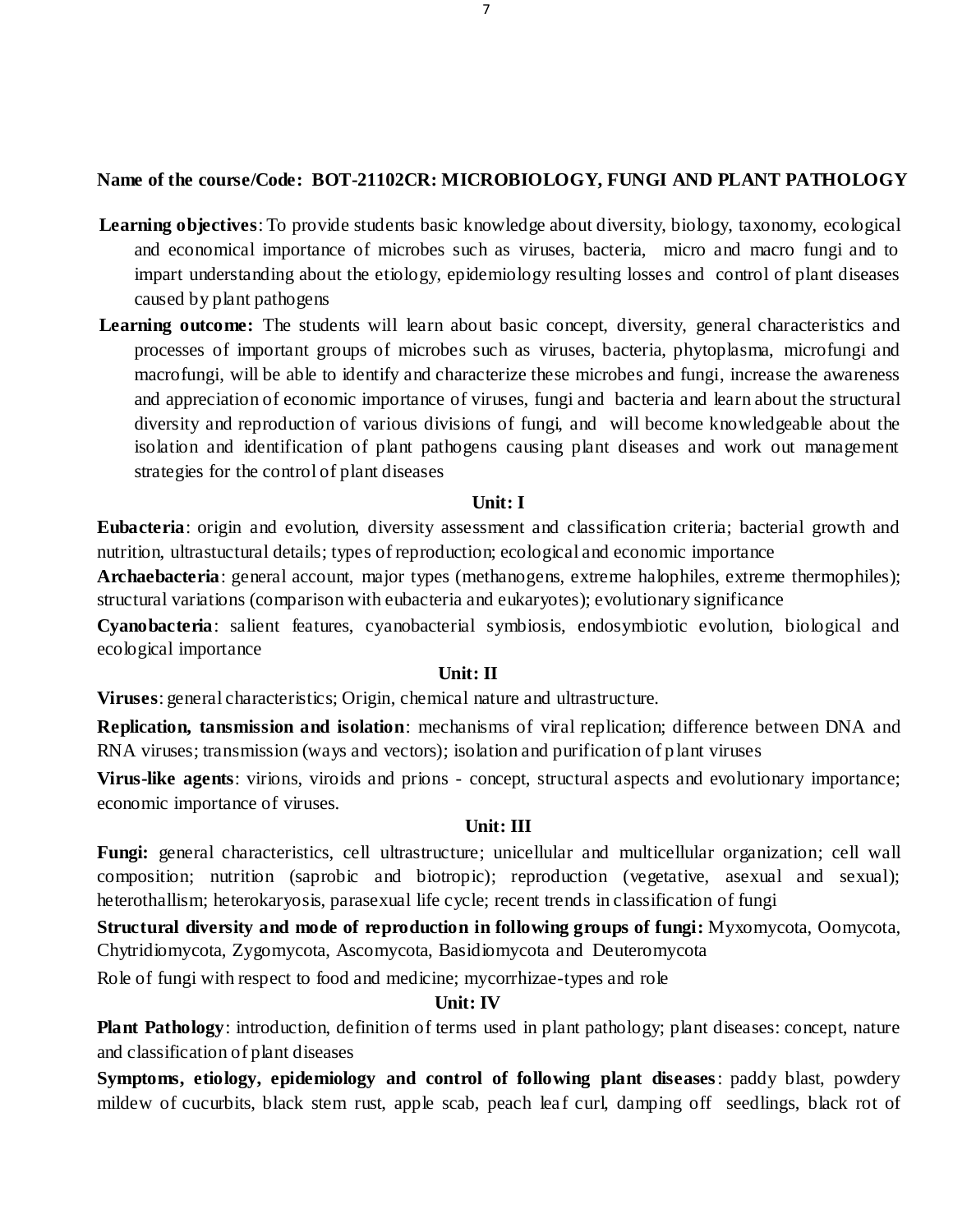# **Name of the course/Code: BOT-21102CR: MICROBIOLOGY, FUNGI AND PLANT PATHOLOGY**

- **Learning objectives**: To provide students basic knowledge about diversity, biology, taxonomy, ecological and economical importance of microbes such as viruses, bacteria, micro and macro fungi and to impart understanding about the etiology, epidemiology resulting losses and control of plant diseases caused by plant pathogens
- Learning outcome: The students will learn about basic concept, diversity, general characteristics and processes of important groups of microbes such as viruses, bacteria, phytoplasma, microfungi and macrofungi, will be able to identify and characterize these microbes and fungi, increase the awareness and appreciation of economic importance of viruses, fungi and bacteria and learn about the structural diversity and reproduction of various divisions of fungi, and will become knowledgeable about the isolation and identification of plant pathogens causing plant diseases and work out management strategies for the control of plant diseases

#### **Unit: I**

**Eubacteria**: origin and evolution, diversity assessment and classification criteria; bacterial growth and nutrition, ultrastuctural details; types of reproduction; ecological and economic importance

**Archaebacteria**: general account, major types (methanogens, extreme halophiles, extreme thermophiles); structural variations (comparison with eubacteria and eukaryotes); evolutionary significance

**Cyanobacteria**: salient features, cyanobacterial symbiosis, endosymbiotic evolution, biological and ecological importance

#### **Unit: II**

**Viruses**: general characteristics; Origin, chemical nature and ultrastructure.

**Replication, tansmission and isolation**: mechanisms of viral replication; difference between DNA and RNA viruses; transmission (ways and vectors); isolation and purification of p lant viruses

**Virus-like agents**: virions, viroids and prions - concept, structural aspects and evolutionary importance; economic importance of viruses.

#### **Unit: III**

**Fungi:** general characteristics, cell ultrastructure; unicellular and multicellular organization; cell wall composition; nutrition (saprobic and biotropic); reproduction (vegetative, asexual and sexual); heterothallism; heterokaryosis, parasexual life cycle; recent trends in classification of fungi

**Structural diversity and mode of reproduction in following groups of fungi:** Myxomycota, Oomycota, Chytridiomycota, Zygomycota, Ascomycota, Basidiomycota and Deuteromycota

Role of fungi with respect to food and medicine; mycorrhizae-types and role

### **Unit: IV**

**Plant Pathology**: introduction, definition of terms used in plant pathology; plant diseases: concept, nature and classification of plant diseases

**Symptoms, etiology, epidemiology and control of following plant diseases**: paddy blast, powdery mildew of cucurbits, black stem rust, apple scab, peach leaf curl, damping off seedlings, black rot of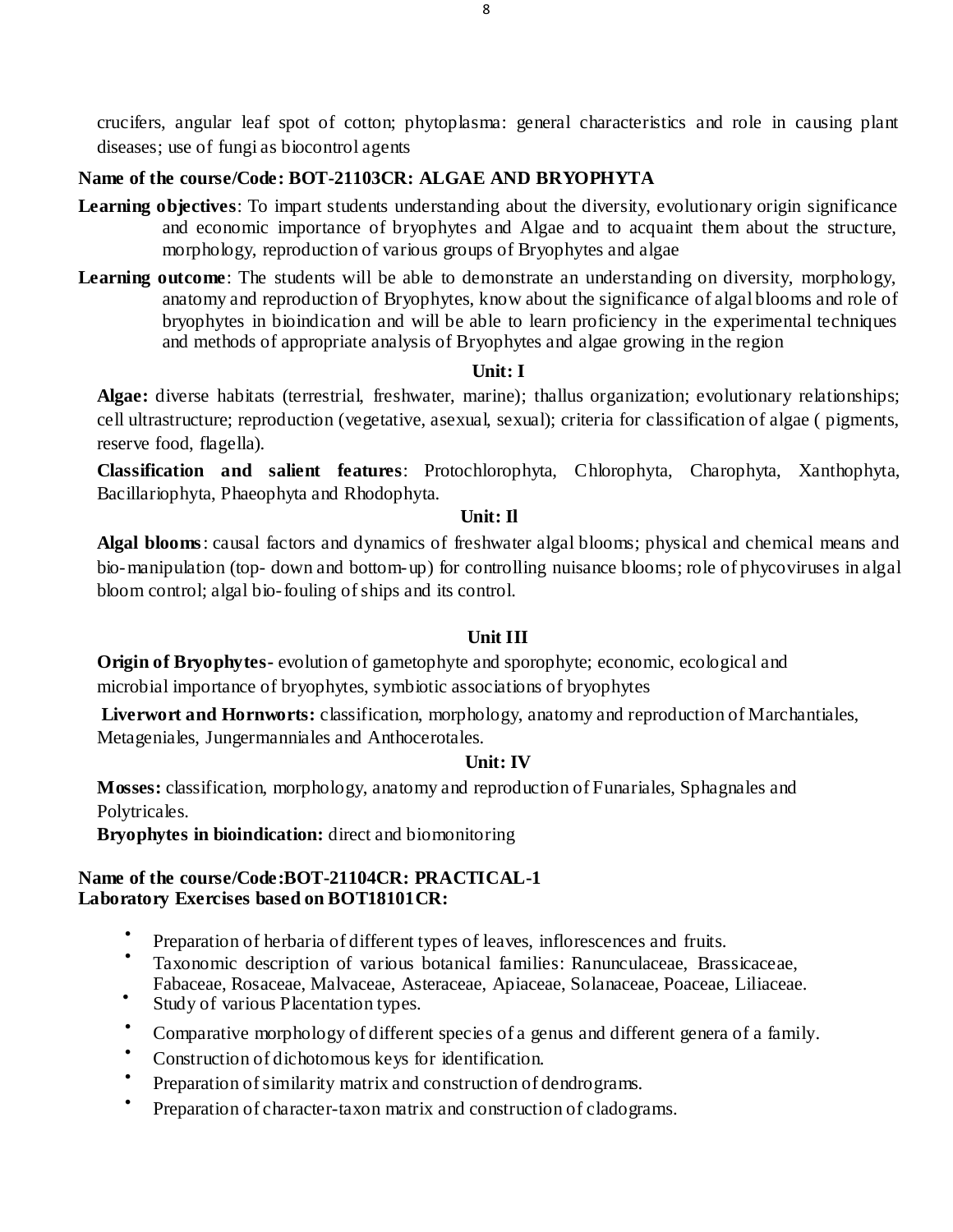crucifers, angular leaf spot of cotton; phytoplasma: general characteristics and role in causing plant diseases; use of fungi as biocontrol agents

# **Name of the course/Code: BOT-21103CR: ALGAE AND BRYOPHYTA**

- **Learning objectives**: To impart students understanding about the diversity, evolutionary origin significance and economic importance of bryophytes and Algae and to acquaint them about the structure, morphology, reproduction of various groups of Bryophytes and algae
- **Learning outcome:** The students will be able to demonstrate an understanding on diversity, morphology, anatomy and reproduction of Bryophytes, know about the significance of algal blooms and role of bryophytes in bioindication and will be able to learn proficiency in the experimental techniques and methods of appropriate analysis of Bryophytes and algae growing in the region

# **Unit: I**

**Algae:** diverse habitats (terrestrial, freshwater, marine); thallus organization; evolutionary relationships; cell ultrastructure; reproduction (vegetative, asexual, sexual); criteria for classification of algae ( pigments, reserve food, flagella).

**Classification and salient features**: Protochlorophyta, Chlorophyta, Charophyta, Xanthophyta, Bacillariophyta, Phaeophyta and Rhodophyta.

# **Unit: Il**

**Algal blooms**: causal factors and dynamics of freshwater algal blooms; physical and chemical means and bio-manipulation (top- down and bottom-up) for controlling nuisance blooms; role of phycoviruses in algal bloom control; algal bio-fouling of ships and its control.

# **Unit III**

**Origin of Bryophytes-** evolution of gametophyte and sporophyte; economic, ecological and microbial importance of bryophytes, symbiotic associations of bryophytes

**Liverwort and Hornworts:** classification, morphology, anatomy and reproduction of Marchantiales, Metageniales, Jungermanniales and Anthocerotales.

# **Unit: IV**

**Mosses:** classification, morphology, anatomy and reproduction of Funariales, Sphagnales and Polytricales.

**Bryophytes in bioindication:** direct and biomonitoring

# **Name of the course/Code:BOT-21104CR: PRACTICAL-1 Laboratory Exercises based on BOT18101CR:**

- $\bullet$ Preparation of herbaria of different types of leaves, inflorescences and fruits.
- $\bullet$ Taxonomic description of various botanical families: Ranunculaceae, Brassicaceae,
- Fabaceae, Rosaceae, Malvaceae, Asteraceae, Apiaceae, Solanaceae, Poaceae, Liliaceae.  $\bullet$
- Study of various Placentation types.
- $\bullet$ Comparative morphology of different species of a genus and different genera of a family.
- Construction of dichotomous keys for identification.
- $\bullet$ Preparation of similarity matrix and construction of dendrograms.
- $\bullet$ Preparation of character-taxon matrix and construction of cladograms.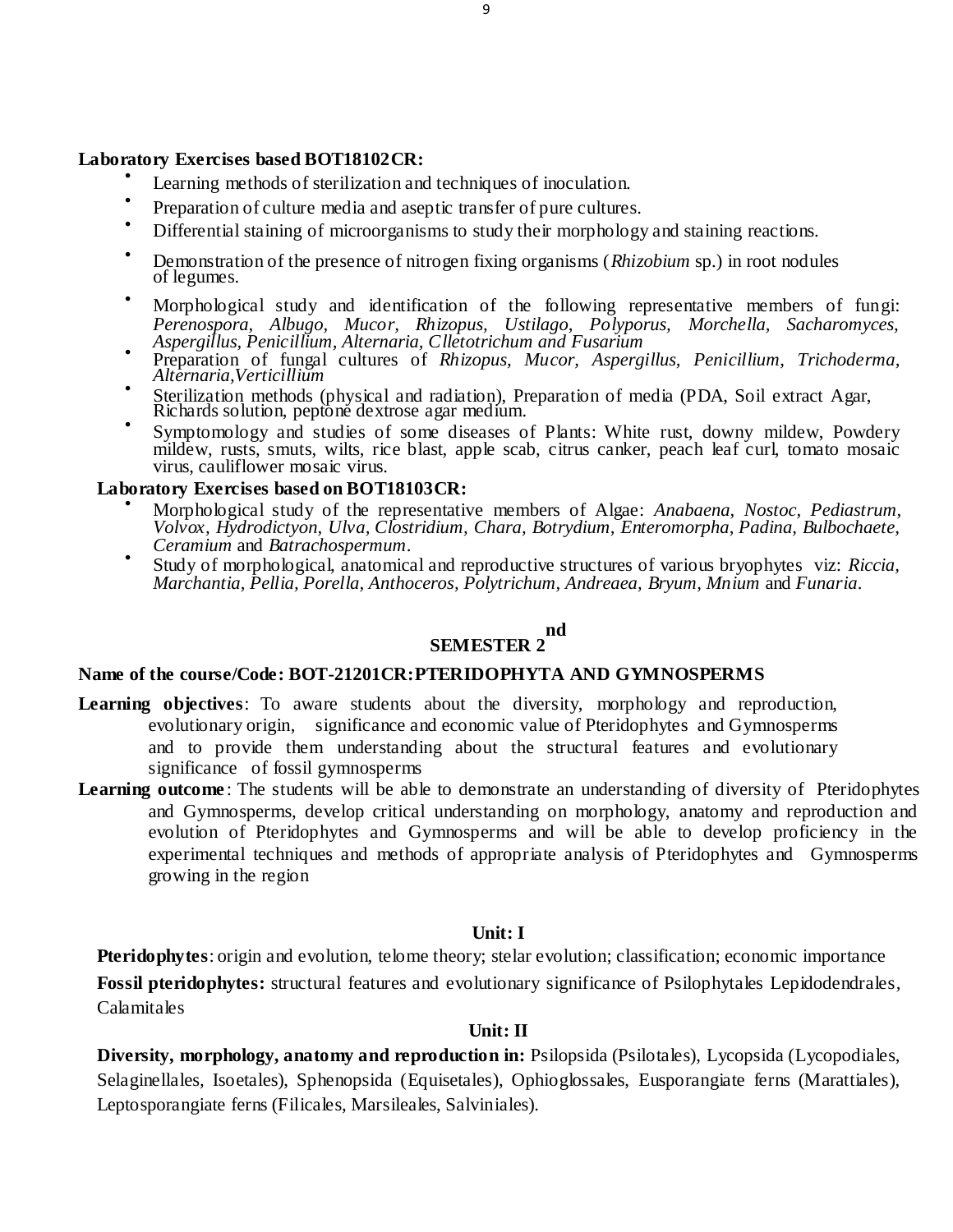#### **Laboratory Exercises based BOT18102CR:**

- $\bullet$ Learning methods of sterilization and techniques of inoculation.
- $\bullet$ Preparation of culture media and aseptic transfer of pure cultures.
- Differential staining of microorganisms to study their morphology and staining reactions.
- Demonstration of the presence of nitrogen fixing organisms (*Rhizobium* sp.) in root nodules of legumes.
- Morphological study and identification of the following representative members of fungi: *Perenospora, Albugo, Mucor, Rhizopus, Ustilago, Polyporus, Morchella, Sacharomyces, Aspergillus, Penicillium, Alternaria, Clletotrichum and Fusarium*
- Preparation of fungal cultures of *Rhizopus, Mucor, Aspergillus, Penicillium, Trichoderma, Alternaria,Verticillium*
- $\bullet$ Sterilization methods (physical and radiation), Preparation of media (PDA, Soil extract Agar, Richards solution, peptone dextrose agar medium.
- $\bullet$ Symptomology and studies of some diseases of Plants: White rust, downy mildew, Powdery mildew, rusts, smuts, wilts, rice blast, apple scab, citrus canker, peach leaf curl, tomato mosaic virus, cauliflower mosaic virus.

# **Laboratory Exercises based on BOT18103CR:**

- Morphological study of the representative members of Algae: *Anabaena, Nostoc, Pediastrum, Volvox, Hydrodictyon, Ulva, Clostridium, Chara, Botrydium, Enteromorpha, Padina, Bulbochaete, Ceramium* and *Batrachospermum*.
- $\bullet$ Study of morphological, anatomical and reproductive structures of various bryophytes viz: *Riccia, Marchantia, Pellia, Porella, Anthoceros, Polytrichum, Andreaea, Bryum, Mnium* and *Funaria*.

#### **SEMESTER 2 nd**

#### **Name of the course/Code: BOT-21201CR:PTERIDOPHYTA AND GYMNOSPERMS**

- **Learning objectives**: To aware students about the diversity, morphology and reproduction, evolutionary origin, significance and economic value of Pteridophytes and Gymnosperms and to provide them understanding about the structural features and evolutionary significance of fossil gymnosperms
- **Learning outcome**: The students will be able to demonstrate an understanding of diversity of Pteridophytes and Gymnosperms, develop critical understanding on morphology, anatomy and reproduction and evolution of Pteridophytes and Gymnosperms and will be able to develop proficiency in the experimental techniques and methods of appropriate analysis of Pteridophytes and Gymnosperms growing in the region

# **Unit: I**

**Pteridophytes**: origin and evolution, telome theory; stelar evolution; classification; economic importance **Fossil pteridophytes:** structural features and evolutionary significance of Psilophytales Lepidodendrales*,*  Calamitales

# **Unit: II**

**Diversity, morphology, anatomy and reproduction in:** Psilopsida (Psilotales), Lycopsida (Lycopodiales, Selaginellales*,* Isoetales), Sphenopsida (Equisetales), Ophioglossales, Eusporangiate ferns (Marattiales), Leptosporangiate ferns (Filicales, Marsileales, Salviniales).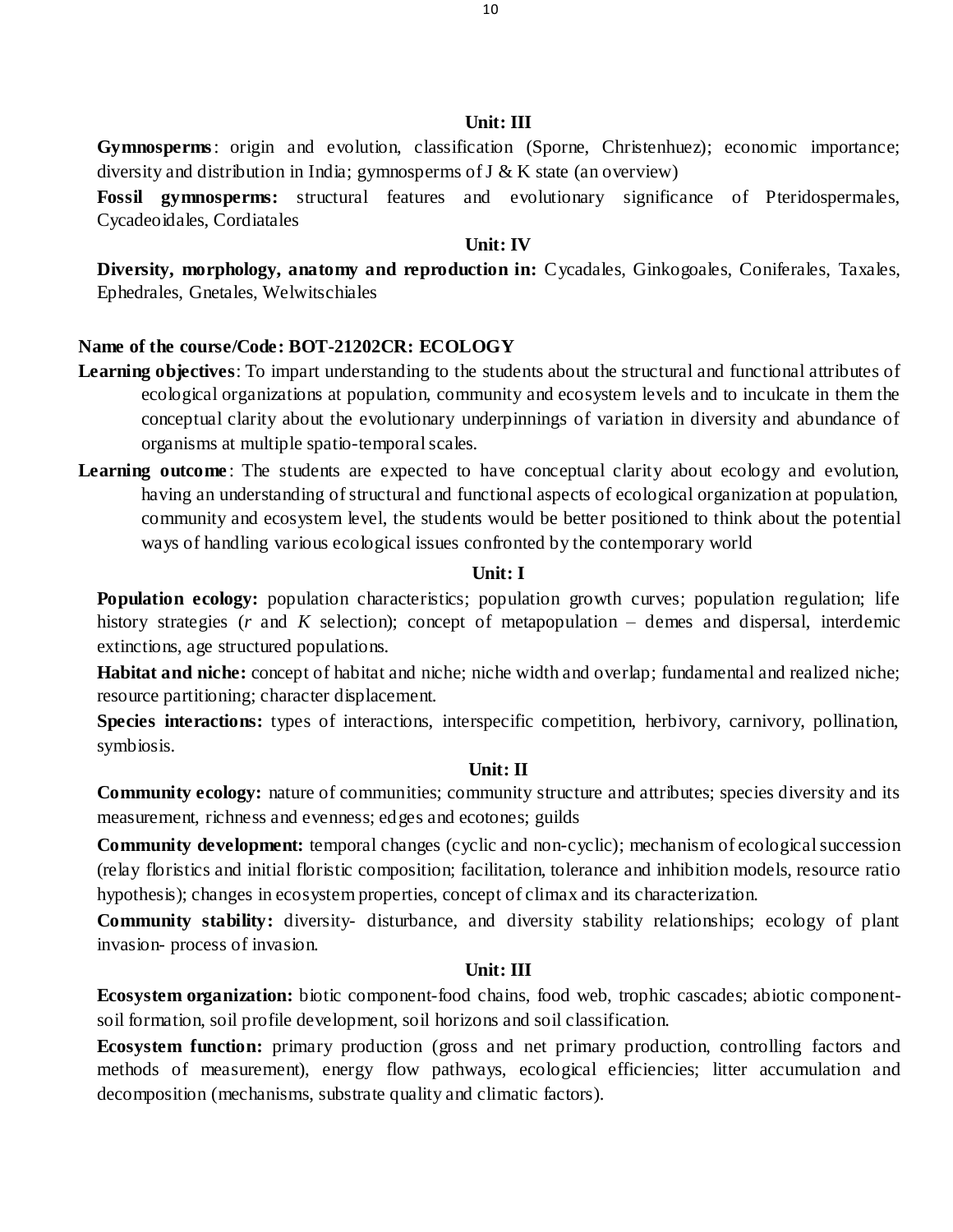#### **Unit: III**

**Gymnosperms**: origin and evolution, classification (Sporne, Christenhuez); economic importance; diversity and distribution in India; gymnosperms of J & K state (an overview)

**Fossil gymnosperms:** structural features and evolutionary significance of Pteridospermales, Cycadeoidales, Cordiatales

#### **Unit: IV**

**Diversity, morphology, anatomy and reproduction in:** Cycadales, Ginkogoales, Coniferales, Taxales, Ephedrales, Gnetales, Welwitschiales

### **Name of the course/Code: BOT-21202CR: ECOLOGY**

- **Learning objectives**: To impart understanding to the students about the structural and functional attributes of ecological organizations at population, community and ecosystem levels and to inculcate in them the conceptual clarity about the evolutionary underpinnings of variation in diversity and abundance of organisms at multiple spatio-temporal scales.
- Learning outcome: The students are expected to have conceptual clarity about ecology and evolution, having an understanding of structural and functional aspects of ecological organization at population, community and ecosystem level, the students would be better positioned to think about the potential ways of handling various ecological issues confronted by the contemporary world

### **Unit: I**

**Population ecology:** population characteristics; population growth curves; population regulation; life history strategies (*r* and *K* selection); concept of metapopulation – demes and dispersal, interdemic extinctions, age structured populations.

**Habitat and niche:** concept of habitat and niche; niche width and overlap; fundamental and realized niche; resource partitioning; character displacement.

**Species interactions:** types of interactions, interspecific competition, herbivory, carnivory, pollination, symbiosis.

# **Unit: II**

**Community ecology:** nature of communities; community structure and attributes; species diversity and its measurement, richness and evenness; edges and ecotones; guilds

**Community development:** temporal changes (cyclic and non-cyclic); mechanism of ecological succession (relay floristics and initial floristic composition; facilitation, tolerance and inhibition models, resource ratio hypothesis); changes in ecosystem properties, concept of climax and its characterization.

**Community stability:** diversity- disturbance, and diversity stability relationships; ecology of plant invasion- process of invasion.

### **Unit: III**

**Ecosystem organization:** biotic component-food chains, food web, trophic cascades; abiotic componentsoil formation, soil profile development, soil horizons and soil classification.

**Ecosystem function:** primary production (gross and net primary production, controlling factors and methods of measurement), energy flow pathways, ecological efficiencies; litter accumulation and decomposition (mechanisms, substrate quality and climatic factors).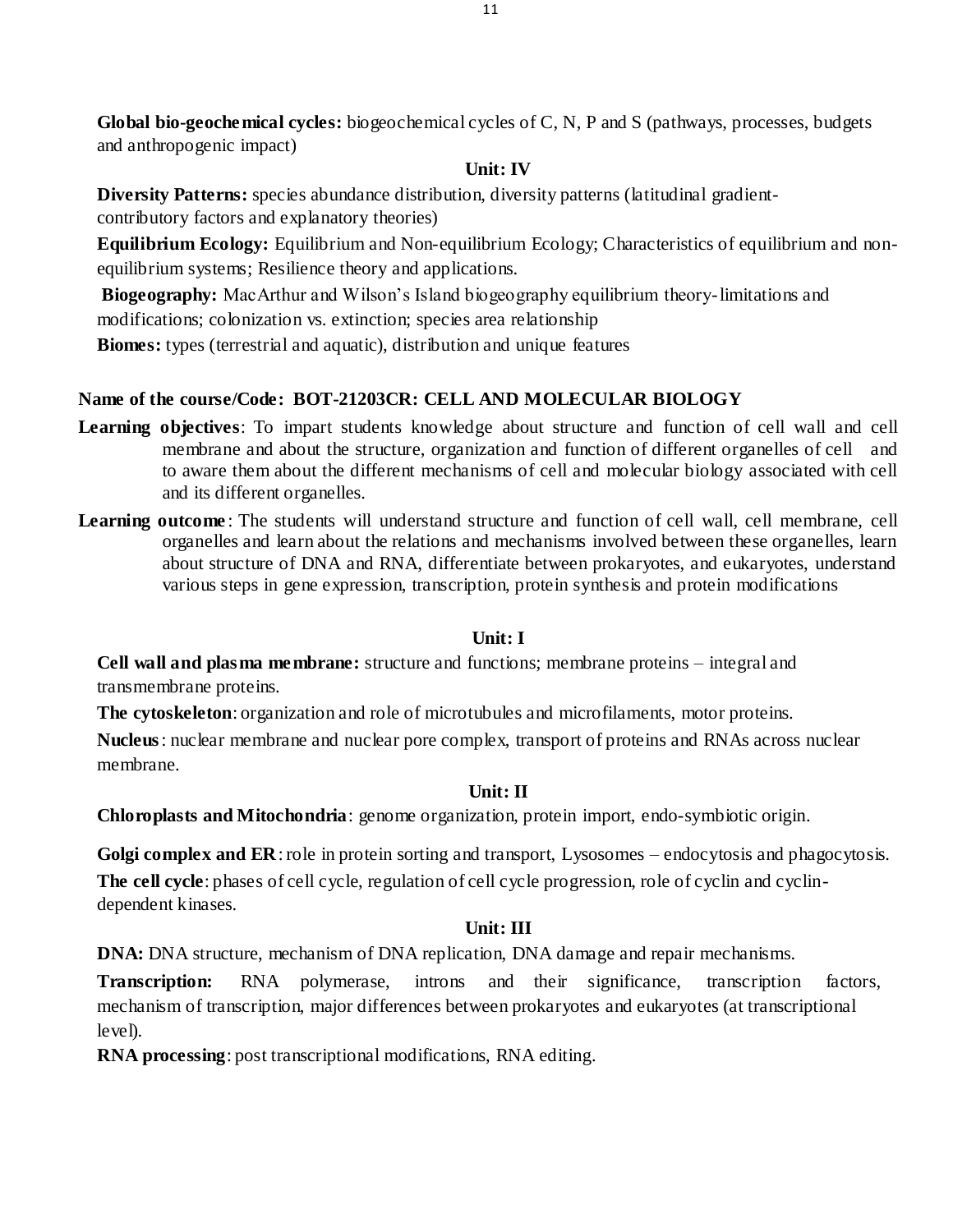**Global bio-geochemical cycles:** biogeochemical cycles of C, N, P and S (pathways, processes, budgets and anthropogenic impact)

# **Unit: IV**

**Diversity Patterns:** species abundance distribution, diversity patterns (latitudinal gradientcontributory factors and explanatory theories)

**Equilibrium Ecology:** Equilibrium and Non-equilibrium Ecology; Characteristics of equilibrium and nonequilibrium systems; Resilience theory and applications.

**Biogeography:** MacArthur and Wilson's Island biogeography equilibrium theory-limitations and modifications; colonization vs. extinction; species area relationship

**Biomes:** types (terrestrial and aquatic), distribution and unique features

# **Name of the course/Code: BOT-21203CR: CELL AND MOLECULAR BIOLOGY**

- **Learning objectives**: To impart students knowledge about structure and function of cell wall and cell membrane and about the structure, organization and function of different organelles of cell and to aware them about the different mechanisms of cell and molecular biology associated with cell and its different organelles.
- **Learning outcome** : The students will understand structure and function of cell wall, cell membrane, cell organelles and learn about the relations and mechanisms involved between these organelles, learn about structure of DNA and RNA, differentiate between prokaryotes, and eukaryotes, understand various steps in gene expression, transcription, protein synthesis and protein modifications

# **Unit: I**

**Cell wall and plasma membrane:** structure and functions; membrane proteins – integral and transmembrane proteins.

**The cytoskeleton**: organization and role of microtubules and microfilaments, motor proteins.

**Nucleus**: nuclear membrane and nuclear pore complex, transport of proteins and RNAs across nuclear membrane.

# **Unit: II**

**Chloroplasts and Mitochondria**: genome organization, protein import, endo-symbiotic origin.

**Golgi complex and ER**: role in protein sorting and transport, Lysosomes – endocytosis and phagocytosis. **The cell cycle**: phases of cell cycle, regulation of cell cycle progression, role of cyclin and cyclindependent kinases.

# **Unit: III**

**DNA:** DNA structure, mechanism of DNA replication, DNA damage and repair mechanisms.

**Transcription:** RNA polymerase, introns and their significance, transcription factors, mechanism of transcription, major differences between prokaryotes and eukaryotes (at transcriptional level).

**RNA processing**: post transcriptional modifications, RNA editing.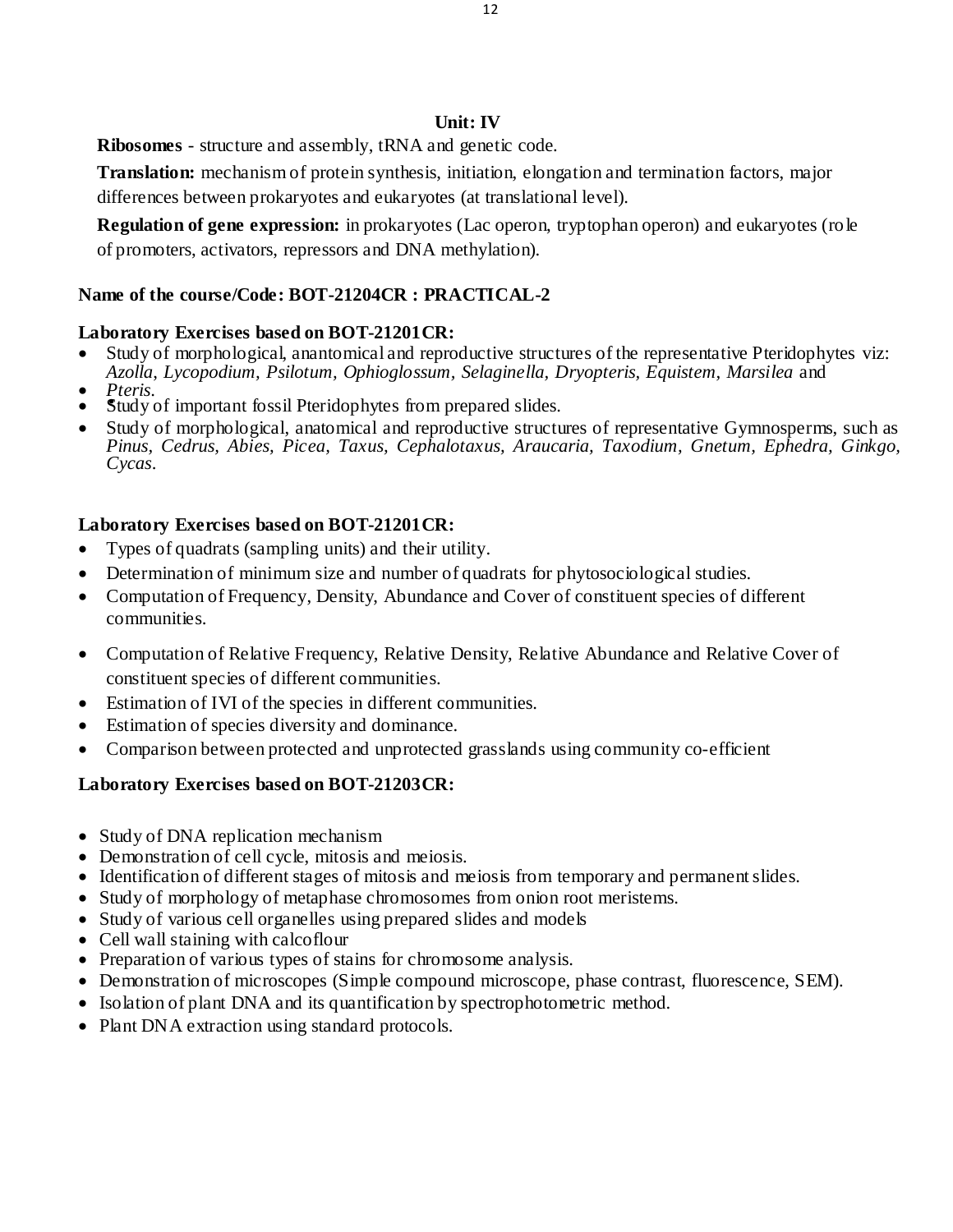**Ribosomes** - structure and assembly, tRNA and genetic code.

**Translation:** mechanism of protein synthesis, initiation, elongation and termination factors, major differences between prokaryotes and eukaryotes (at translational level).

**Regulation of gene expression:** in prokaryotes (Lac operon, tryptophan operon) and eukaryotes (role of promoters, activators, repressors and DNA methylation).

# **Name of the course/Code: BOT-21204CR : PRACTICAL-2**

# **Laboratory Exercises based on BOT-21201CR:**

- Study of morphological, anantomical and reproductive structures of the representative Pteridophytes viz: *Azolla*, *Lycopodium, Psilotum, Ophioglossum, Selaginella, Dryopteris, Equistem, Marsilea* and
- *Pteris*.
- Study of important fossil Pteridophytes from prepared slides.
- Study of morphological, anatomical and reproductive structures of representative Gymnosperms, such as *Pinus, Cedrus, Abies, Picea, Taxus, Cephalotaxus, Araucaria, Taxodium, Gnetum, Ephedra, Ginkgo, Cycas*.

# **Laboratory Exercises based on BOT-21201CR:**

- Types of quadrats (sampling units) and their utility.
- Determination of minimum size and number of quadrats for phytosociological studies.
- Computation of Frequency, Density, Abundance and Cover of constituent species of different communities.
- Computation of Relative Frequency, Relative Density, Relative Abundance and Relative Cover of constituent species of different communities.
- Estimation of IVI of the species in different communities.
- Estimation of species diversity and dominance.
- Comparison between protected and unprotected grasslands using community co-efficient

# **Laboratory Exercises based on BOT-21203CR:**

- Study of DNA replication mechanism
- Demonstration of cell cycle, mitosis and meiosis.
- Identification of different stages of mitosis and meiosis from temporary and permanentslides.
- Study of morphology of metaphase chromosomes from onion root meristems.
- Study of various cell organelles using prepared slides and models
- Cell wall staining with calcoflour
- Preparation of various types of stains for chromosome analysis.
- Demonstration of microscopes (Simple compound microscope, phase contrast, fluorescence, SEM).
- Isolation of plant DNA and its quantification by spectrophotometric method.
- Plant DNA extraction using standard protocols.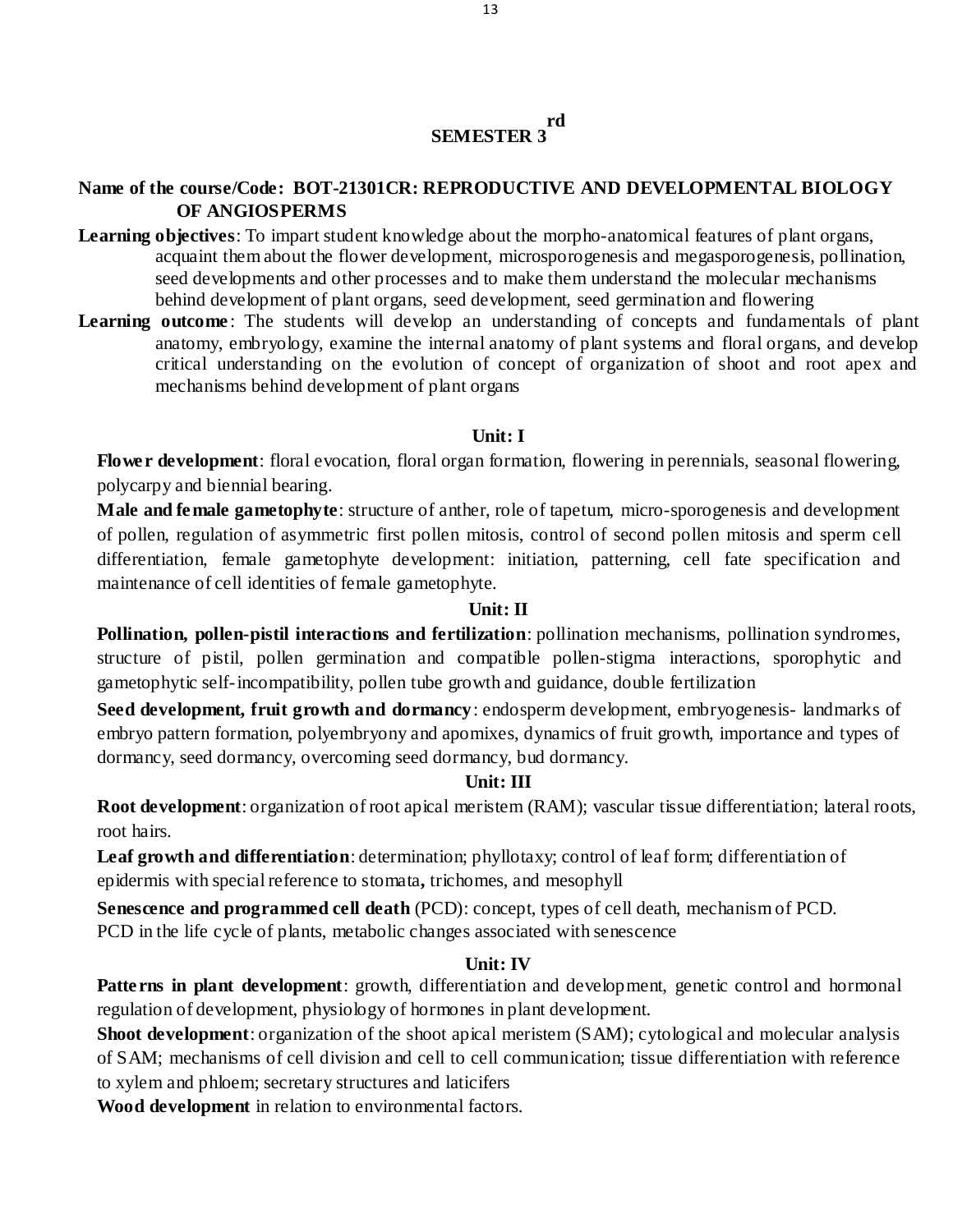#### **SEMESTER 3 rd**

# **Name of the course/Code: BOT-21301CR: REPRODUCTIVE AND DEVELOPMENTAL BIOLOGY OF ANGIOSPERMS**

- **Learning objectives**: To impart student knowledge about the morpho-anatomical features of plant organs, acquaint them about the flower development, microsporogenesis and megasporogenesis, pollination, seed developments and other processes and to make them understand the molecular mechanisms behind development of plant organs, seed development, seed germination and flowering
- **Learning outcome**: The students will develop an understanding of concepts and fundamentals of plant anatomy, embryology, examine the internal anatomy of plant systems and floral organs, and develop critical understanding on the evolution of concept of organization of shoot and root apex and mechanisms behind development of plant organs

# **Unit: I**

**Flower development**: floral evocation, floral organ formation, flowering in perennials, seasonal flowering, polycarpy and biennial bearing.

**Male and female gametophyte**: structure of anther, role of tapetum, micro-sporogenesis and development of pollen, regulation of asymmetric first pollen mitosis, control of second pollen mitosis and sperm cell differentiation, female gametophyte development: initiation, patterning, cell fate specification and maintenance of cell identities of female gametophyte.

# **Unit: II**

**Pollination, pollen-pistil interactions and fertilization**: pollination mechanisms, pollination syndromes, structure of pistil, pollen germination and compatible pollen-stigma interactions, sporophytic and gametophytic self-incompatibility, pollen tube growth and guidance, double fertilization

**Seed development, fruit growth and dormancy**: endosperm development, embryogenesis- landmarks of embryo pattern formation, polyembryony and apomixes, dynamics of fruit growth, importance and types of dormancy, seed dormancy, overcoming seed dormancy, bud dormancy.

# **Unit: III**

**Root development**: organization of root apical meristem (RAM); vascular tissue differentiation; lateral roots, root hairs.

**Leaf growth and differentiation**: determination; phyllotaxy; control of leaf form; differentiation of epidermis with special reference to stomata**,** trichomes, and mesophyll

**Senescence and programmed cell death** (PCD): concept, types of cell death, mechanism of PCD. PCD in the life cycle of plants, metabolic changes associated with senescence

# **Unit: IV**

**Patterns in plant development**: growth, differentiation and development, genetic control and hormonal regulation of development, physiology of hormones in plant development.

**Shoot development**: organization of the shoot apical meristem (SAM); cytological and molecular analysis of SAM; mechanisms of cell division and cell to cell communication; tissue differentiation with reference to xylem and phloem; secretary structures and laticifers

**Wood development** in relation to environmental factors.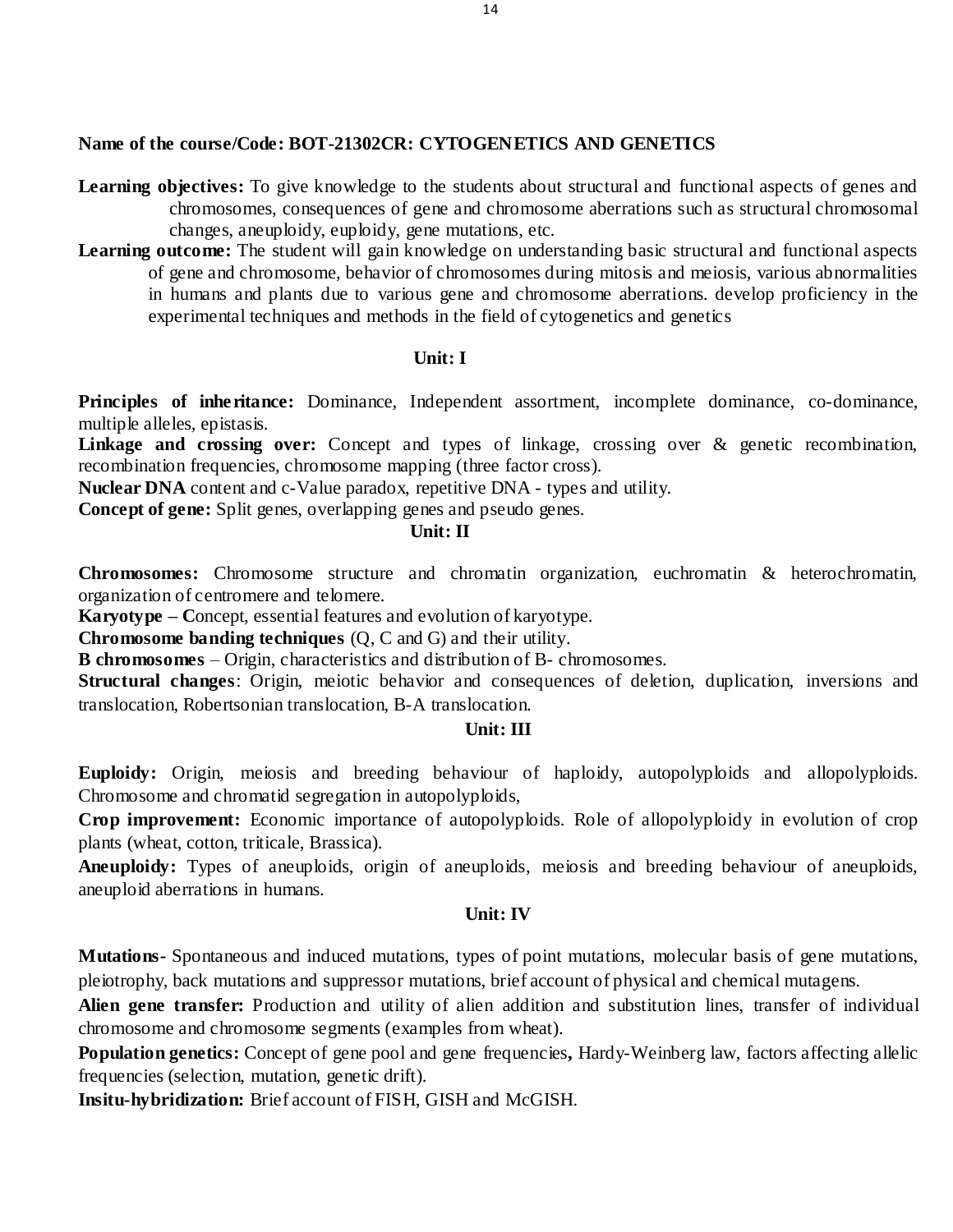### **Name of the course/Code: BOT-21302CR: CYTOGENETICS AND GENETICS**

**Learning objectives:** To give knowledge to the students about structural and functional aspects of genes and chromosomes, consequences of gene and chromosome aberrations such as structural chromosomal changes, aneuploidy, euploidy, gene mutations, etc.

**Learning outcome:** The student will gain knowledge on understanding basic structural and functional aspects of gene and chromosome, behavior of chromosomes during mitosis and meiosis, various abnormalities in humans and plants due to various gene and chromosome aberrations. develop proficiency in the experimental techniques and methods in the field of cytogenetics and genetics

#### **Unit: I**

Principles of inheritance: Dominance, Independent assortment, incomplete dominance, co-dominance, multiple alleles, epistasis.

**Linkage and crossing over:** Concept and types of linkage, crossing over & genetic recombination, recombination frequencies, chromosome mapping (three factor cross).

**Nuclear DNA** content and c-Value paradox, repetitive DNA - types and utility.

**Concept of gene:** Split genes, overlapping genes and pseudo genes.

# **Unit: II**

**Chromosomes:** Chromosome structure and chromatin organization, euchromatin & heterochromatin, organization of centromere and telomere.

**Karyotype – C**oncept, essential features and evolution of karyotype.

**Chromosome banding techniques** (Q, C and G) and their utility.

**B chromosomes** – Origin, characteristics and distribution of B- chromosomes.

**Structural changes**: Origin, meiotic behavior and consequences of deletion, duplication, inversions and translocation, Robertsonian translocation, B-A translocation.

### **Unit: III**

**Euploidy:** Origin, meiosis and breeding behaviour of haploidy, autopolyploids and allopolyploids. Chromosome and chromatid segregation in autopolyploids,

**Crop improvement:** Economic importance of autopolyploids. Role of allopolyploidy in evolution of crop plants (wheat, cotton, triticale, Brassica).

**Aneuploidy:** Types of aneuploids, origin of aneuploids, meiosis and breeding behaviour of aneuploids, aneuploid aberrations in humans.

#### **Unit: IV**

**Mutations-** Spontaneous and induced mutations, types of point mutations, molecular basis of gene mutations, pleiotrophy, back mutations and suppressor mutations, brief account of physical and chemical mutagens.

**Alien gene transfer:** Production and utility of alien addition and substitution lines, transfer of individual chromosome and chromosome segments (examples from wheat).

**Population genetics:** Concept of gene pool and gene frequencies, Hardy-Weinberg law, factors affecting allelic frequencies (selection, mutation, genetic drift).

**Insitu-hybridization:** Brief account of FISH, GISH and McGISH.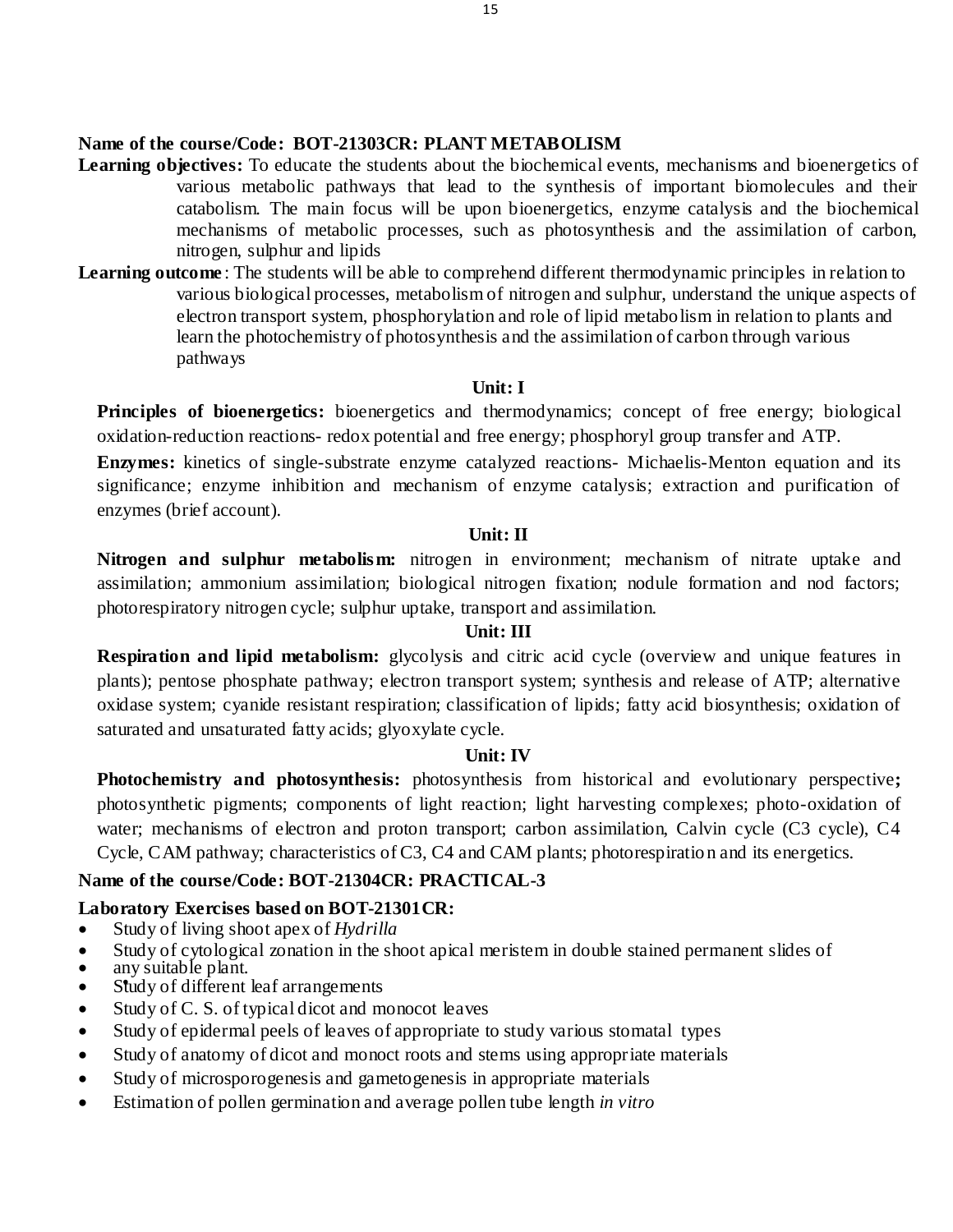# **Name of the course/Code: BOT-21303CR: PLANT METABOLISM**

- **Learning objectives:** To educate the students about the biochemical events, mechanisms and bioenergetics of various metabolic pathways that lead to the synthesis of important biomolecules and their catabolism. The main focus will be upon bioenergetics, enzyme catalysis and the biochemical mechanisms of metabolic processes, such as photosynthesis and the assimilation of carbon, nitrogen, sulphur and lipids
- **Learning outcome**: The students will be able to comprehend different thermodynamic principles in relation to various biological processes, metabolism of nitrogen and sulphur, understand the unique aspects of electron transport system, phosphorylation and role of lipid metabolism in relation to plants and learn the photochemistry of photosynthesis and the assimilation of carbon through various pathways

# **Unit: I**

**Principles of bioenergetics:** bioenergetics and thermodynamics; concept of free energy; biological oxidation-reduction reactions- redox potential and free energy; phosphoryl group transfer and ATP.

**Enzymes:** kinetics of single-substrate enzyme catalyzed reactions- Michaelis-Menton equation and its significance; enzyme inhibition and mechanism of enzyme catalysis; extraction and purification of enzymes (brief account).

#### **Unit: II**

**Nitrogen and sulphur metabolism:** nitrogen in environment; mechanism of nitrate uptake and assimilation; ammonium assimilation; biological nitrogen fixation; nodule formation and nod factors; photorespiratory nitrogen cycle; sulphur uptake, transport and assimilation.

#### **Unit: III**

**Respiration and lipid metabolism:** glycolysis and citric acid cycle (overview and unique features in plants); pentose phosphate pathway; electron transport system; synthesis and release of ATP; alternative oxidase system; cyanide resistant respiration; classification of lipids; fatty acid biosynthesis; oxidation of saturated and unsaturated fatty acids; glyoxylate cycle.

#### **Unit: IV**

**Photochemistry and photosynthesis:** photosynthesis from historical and evolutionary perspective**;**  photosynthetic pigments; components of light reaction; light harvesting complexes; photo-oxidation of water; mechanisms of electron and proton transport; carbon assimilation, Calvin cycle (C3 cycle), C4 Cycle, CAM pathway; characteristics of C3, C4 and CAM plants; photorespiration and its energetics.

# **Name of the course/Code: BOT-21304CR: PRACTICAL-3**

# **Laboratory Exercises based on BOT-21301CR:**

- Study of living shoot apex of *Hydrilla*
- Study of cytological zonation in the shoot apical meristem in double stained permanent slides of
- any suitable plant.
- Study of different leaf arrangements
- Study of C. S. of typical dicot and monocot leaves
- Study of epidermal peels of leaves of appropriate to study various stomatal types
- Study of anatomy of dicot and monoct roots and stems using appropriate materials
- Study of microsporogenesis and gametogenesis in appropriate materials
- Estimation of pollen germination and average pollen tube length *in vitro*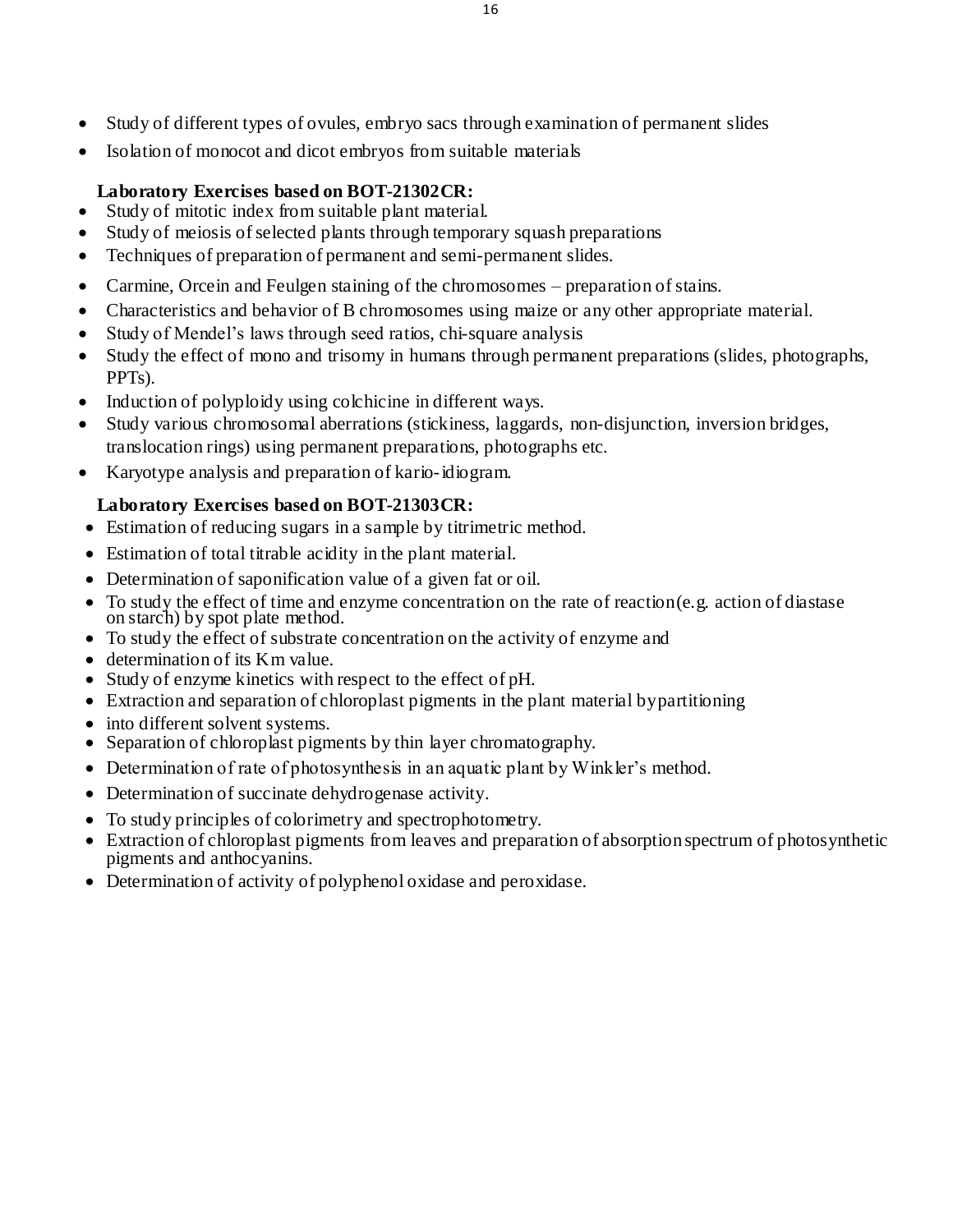- Study of different types of ovules, embryo sacs through examination of permanent slides
- Isolation of monocot and dicot embryos from suitable materials

# **Laboratory Exercises based on BOT-21302CR:**

- Study of mitotic index from suitable plant material.
- Study of meiosis of selected plants through temporary squash preparations
- Techniques of preparation of permanent and semi-permanent slides.
- Carmine, Orcein and Feulgen staining of the chromosomes preparation of stains.
- Characteristics and behavior of B chromosomes using maize or any other appropriate material.
- Study of Mendel's laws through seed ratios, chi-square analysis
- Study the effect of mono and trisomy in humans through permanent preparations (slides, photographs, PPTs).
- Induction of polyploidy using colchicine in different ways.
- Study various chromosomal aberrations (stickiness, laggards, non-disjunction, inversion bridges, translocation rings) using permanent preparations, photographs etc.
- Karyotype analysis and preparation of kario-idiogram.

# **Laboratory Exercises based on BOT-21303CR:**

- Estimation of reducing sugars in a sample by titrimetric method.
- Estimation of total titrable acidity in the plant material.
- Determination of saponification value of a given fat or oil.
- To study the effect of time and enzyme concentration on the rate of reaction(e.g. action of diastase on starch) by spot plate method.
- To study the effect of substrate concentration on the activity of enzyme and
- determination of its Km value.
- Study of enzyme kinetics with respect to the effect of pH.
- Extraction and separation of chloroplast pigments in the plant material bypartitioning
- into different solvent systems.
- Separation of chloroplast pigments by thin layer chromatography.
- Determination of rate of photosynthesis in an aquatic plant by Winkler's method.
- Determination of succinate dehydrogenase activity.
- To study principles of colorimetry and spectrophotometry.
- Extraction of chloroplast pigments from leaves and preparation of absorption spectrum of photosynthetic pigments and anthocyanins.
- Determination of activity of polyphenol oxidase and peroxidase.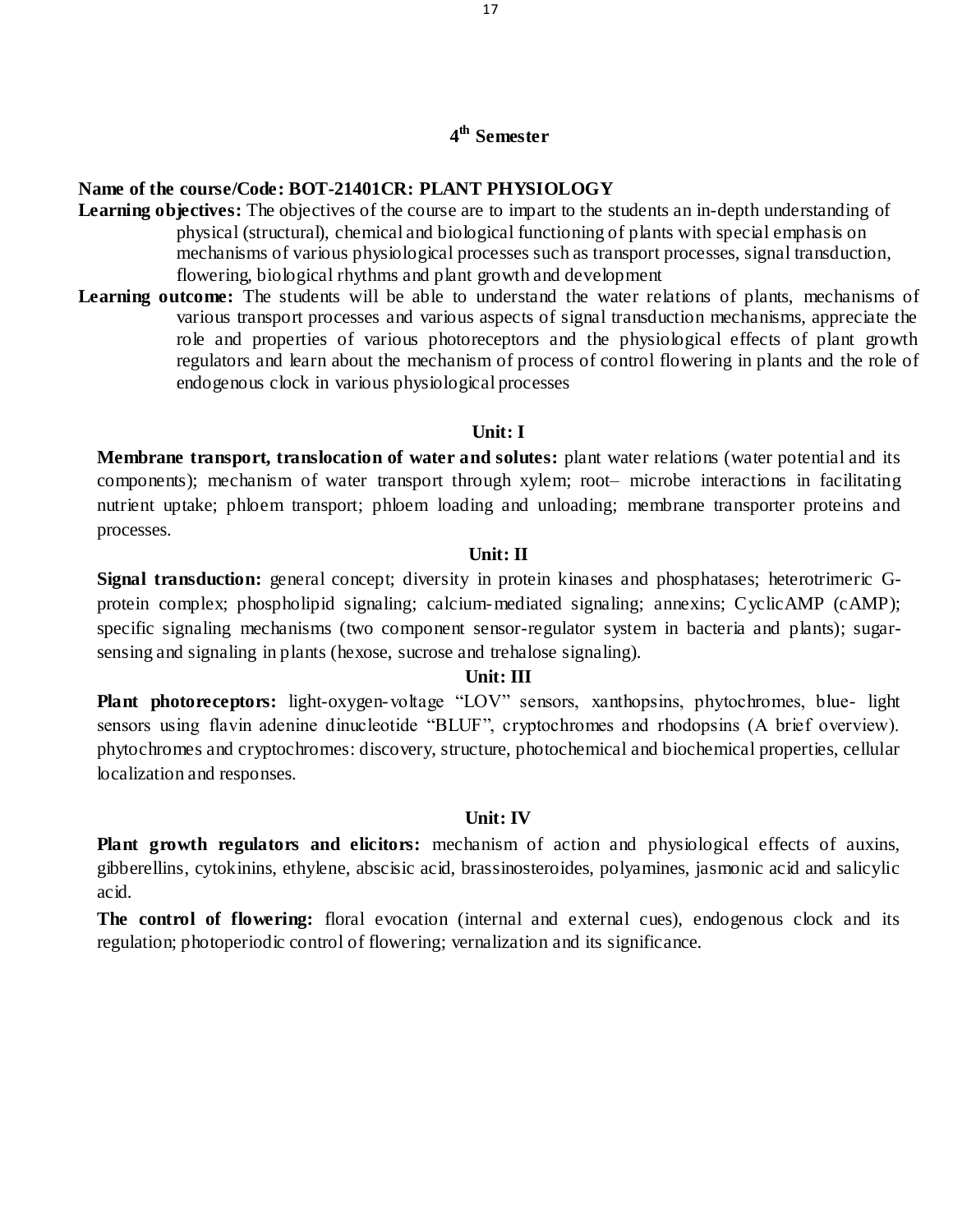# **4 th Semester**

### **Name of the course/Code: BOT-21401CR: PLANT PHYSIOLOGY**

- **Learning objectives:** The objectives of the course are to impart to the students an in-depth understanding of physical (structural), chemical and biological functioning of plants with special emphasis on mechanisms of various physiological processes such as transport processes, signal transduction, flowering, biological rhythms and plant growth and development
- Learning outcome: The students will be able to understand the water relations of plants, mechanisms of various transport processes and various aspects of signal transduction mechanisms, appreciate the role and properties of various photoreceptors and the physiological effects of plant growth regulators and learn about the mechanism of process of control flowering in plants and the role of endogenous clock in various physiological processes

#### **Unit: I**

**Membrane transport, translocation of water and solutes:** plant water relations (water potential and its components); mechanism of water transport through xylem; root– microbe interactions in facilitating nutrient uptake; phloem transport; phloem loading and unloading; membrane transporter proteins and processes.

#### **Unit: II**

**Signal transduction:** general concept; diversity in protein kinases and phosphatases; heterotrimeric Gprotein complex; phospholipid signaling; calcium-mediated signaling; annexins; CyclicAMP (cAMP); specific signaling mechanisms (two component sensor-regulator system in bacteria and plants); sugarsensing and signaling in plants (hexose, sucrose and trehalose signaling).

#### **Unit: III**

**Plant photoreceptors:** light-oxygen-voltage "LOV" sensors, xanthopsins, phytochromes, blue- light sensors using flavin adenine dinucleotide "BLUF", cryptochromes and rhodopsins (A brief overview). phytochromes and cryptochromes: discovery, structure, photochemical and biochemical properties, cellular localization and responses.

#### **Unit: IV**

**Plant growth regulators and elicitors:** mechanism of action and physiological effects of auxins, gibberellins, cytokinins, ethylene, abscisic acid, brassinosteroides, polyamines, jasmonic acid and salicylic acid.

**The control of flowering:** floral evocation (internal and external cues), endogenous clock and its regulation; photoperiodic control of flowering; vernalization and its significance.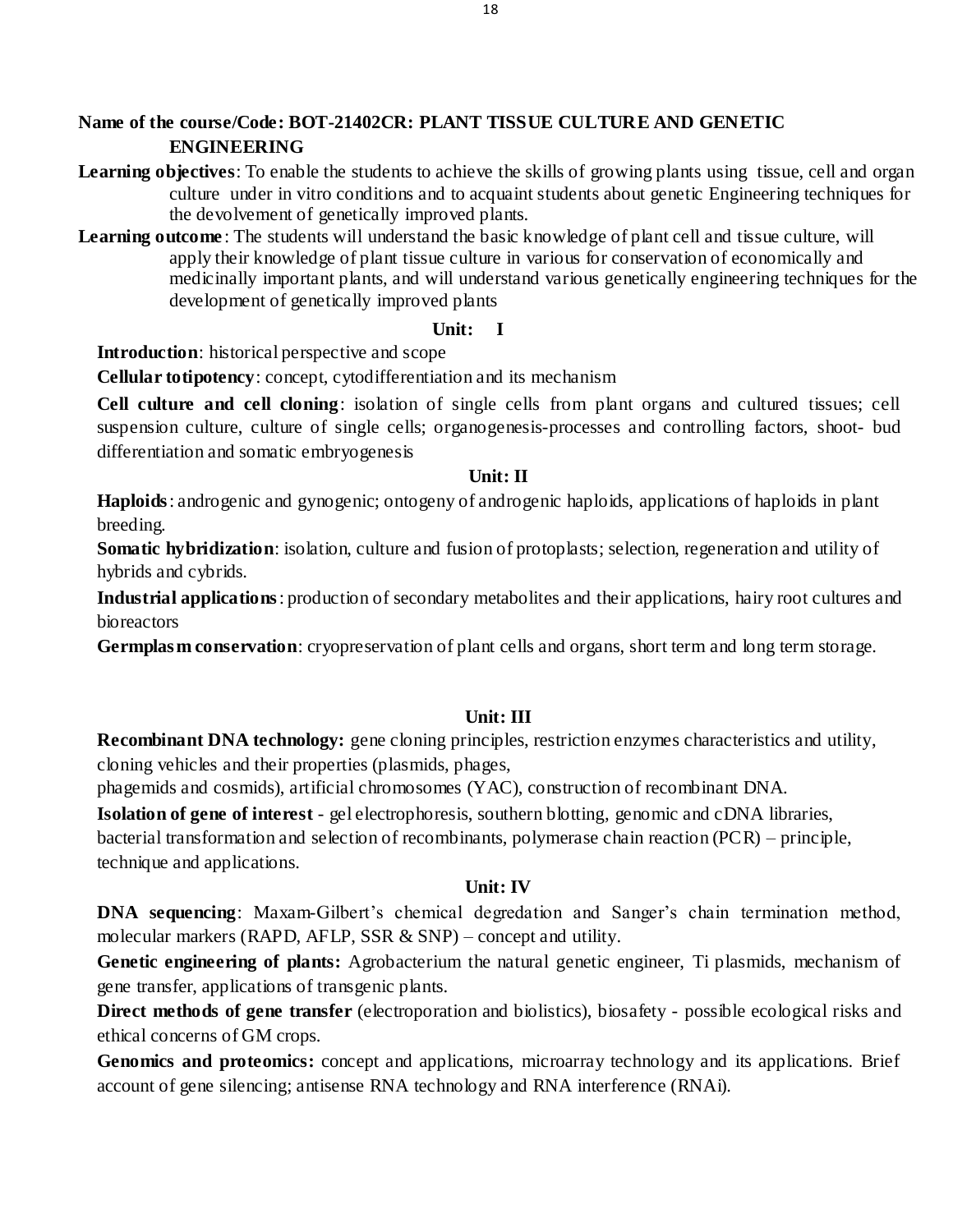# **Name of the course/Code: BOT-21402CR: PLANT TISSUE CULTURE AND GENETIC ENGINEERING**

- Learning objectives: To enable the students to achieve the skills of growing plants using tissue, cell and organ culture under in vitro conditions and to acquaint students about genetic Engineering techniques for the devolvement of genetically improved plants.
- **Learning outcome** : The students will understand the basic knowledge of plant cell and tissue culture, will apply their knowledge of plant tissue culture in various for conservation of economically and medicinally important plants, and will understand various genetically engineering techniques for the development of genetically improved plants

# **Unit: I**

**Introduction**: historical perspective and scope

**Cellular totipotency**: concept, cytodifferentiation and its mechanism

**Cell culture and cell cloning**: isolation of single cells from plant organs and cultured tissues; cell suspension culture, culture of single cells; organogenesis-processes and controlling factors, shoot- bud differentiation and somatic embryogenesis

# **Unit: II**

**Haploids**: androgenic and gynogenic; ontogeny of androgenic haploids, applications of haploids in plant breeding.

**Somatic hybridization**: isolation, culture and fusion of protoplasts; selection, regeneration and utility of hybrids and cybrids.

**Industrial applications**: production of secondary metabolites and their applications, hairy root cultures and bioreactors

**Germplasm conservation**: cryopreservation of plant cells and organs, short term and long term storage.

# **Unit: III**

**Recombinant DNA technology:** gene cloning principles, restriction enzymes characteristics and utility, cloning vehicles and their properties (plasmids, phages,

phagemids and cosmids), artificial chromosomes (YAC), construction of recombinant DNA.

**Isolation of gene of interest** - gel electrophoresis, southern blotting, genomic and cDNA libraries, bacterial transformation and selection of recombinants, polymerase chain reaction (PCR) – principle, technique and applications.

# **Unit: IV**

**DNA sequencing:** Maxam-Gilbert's chemical degredation and Sanger's chain termination method, molecular markers (RAPD, AFLP, SSR  $&$  SNP) – concept and utility.

**Genetic engineering of plants:** Agrobacterium the natural genetic engineer, Ti plasmids, mechanism of gene transfer, applications of transgenic plants.

**Direct methods of gene transfer** (electroporation and biolistics), biosafety - possible ecological risks and ethical concerns of GM crops.

**Genomics and proteomics:** concept and applications, microarray technology and its applications. Brief account of gene silencing; antisense RNA technology and RNA interference (RNAi).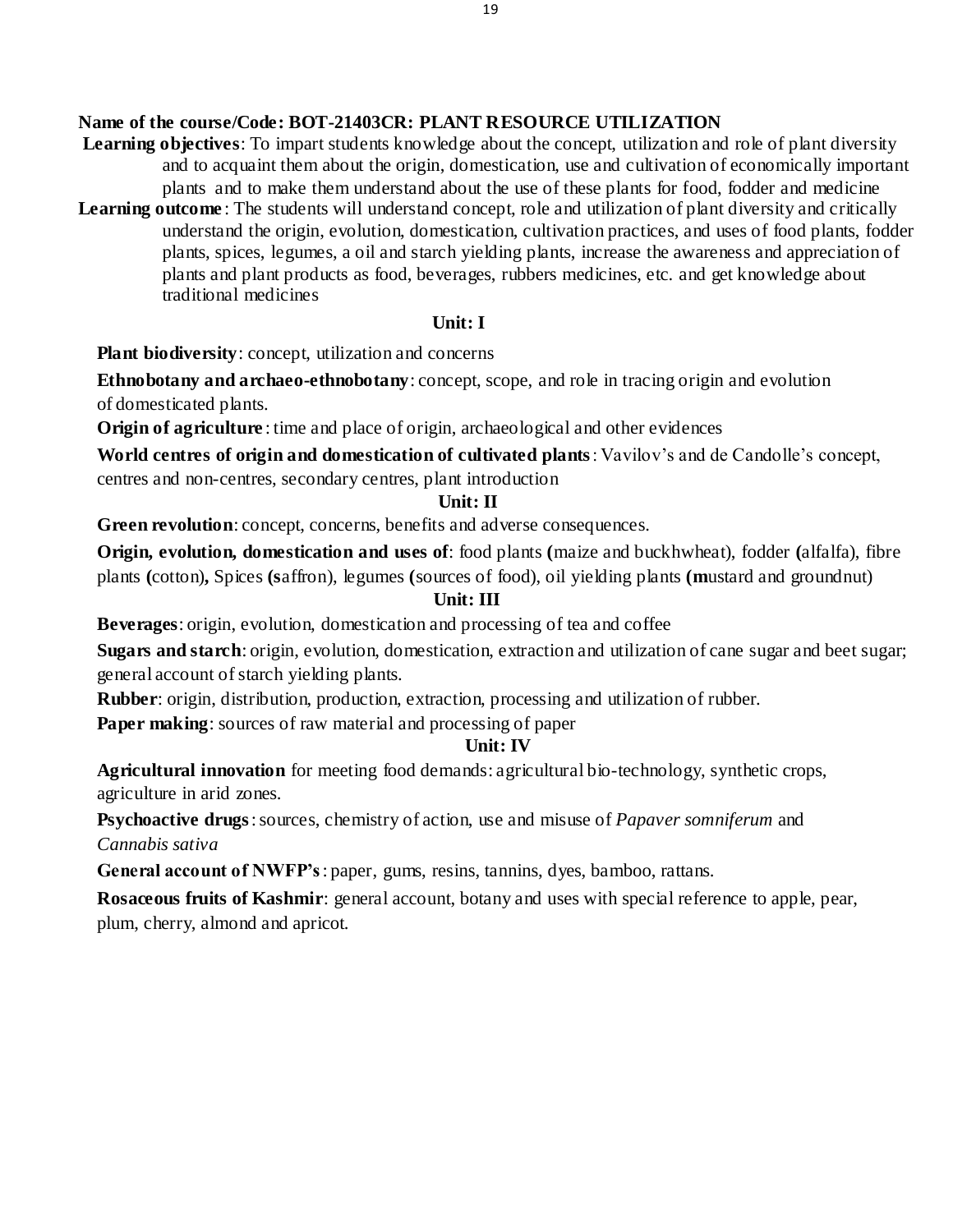# **Name of the course/Code: BOT-21403CR: PLANT RESOURCE UTILIZATION**

- **Learning objectives**: To impart students knowledge about the concept, utilization and role of plant diversity and to acquaint them about the origin, domestication, use and cultivation of economically important plants and to make them understand about the use of these plants for food, fodder and medicine
- Learning outcome: The students will understand concept, role and utilization of plant diversity and critically understand the origin, evolution, domestication, cultivation practices, and uses of food plants, fodder plants, spices, legumes, a oil and starch yielding plants, increase the awareness and appreciation of plants and plant products as food, beverages, rubbers medicines, etc. and get knowledge about traditional medicines

### **Unit: I**

**Plant biodiversity**: concept, utilization and concerns

**Ethnobotany and archaeo-ethnobotany**: concept, scope, and role in tracing origin and evolution of domesticated plants.

**Origin of agriculture**: time and place of origin, archaeological and other evidences

**World centres of origin and domestication of cultivated plants**: Vavilov's and de Candolle's concept, centres and non-centres, secondary centres, plant introduction

# **Unit: II**

**Green revolution**: concept, concerns, benefits and adverse consequences.

**Origin, evolution, domestication and uses of**: food plants **(**maize and buckhwheat), fodder **(**alfalfa), fibre plants **(**cotton)**,** Spices **(s**affron), legumes **(**sources of food), oil yielding plants **(m**ustard and groundnut)

# **Unit: III**

**Beverages**: origin, evolution, domestication and processing of tea and coffee

**Sugars and starch**: origin, evolution, domestication, extraction and utilization of cane sugar and beet sugar; general account of starch yielding plants.

**Rubber**: origin, distribution, production, extraction, processing and utilization of rubber.

**Paper making**: sources of raw material and processing of paper

# **Unit: IV**

**Agricultural innovation** for meeting food demands: agricultural bio-technology, synthetic crops, agriculture in arid zones.

**Psychoactive drugs**: sources, chemistry of action, use and misuse of *Papaver somniferum* and *Cannabis sativa*

**General account of NWFP's**: paper, gums, resins, tannins, dyes, bamboo, rattans.

**Rosaceous fruits of Kashmir**: general account, botany and uses with special reference to apple, pear, plum, cherry, almond and apricot.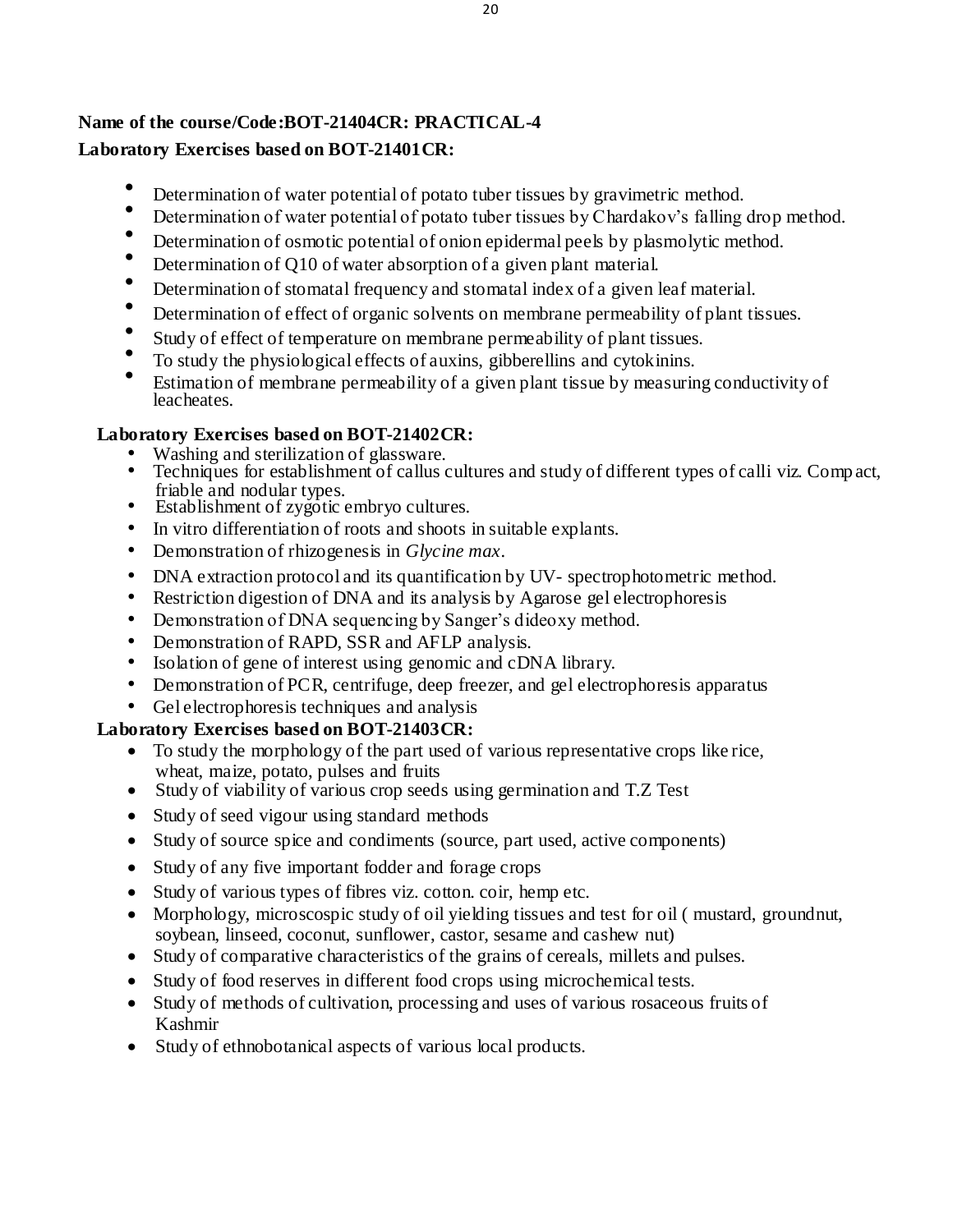# **Name of the course/Code:BOT-21404CR: PRACTICAL-4 Laboratory Exercises based on BOT-21401CR:**

- Determination of water potential of potato tuber tissues by gravimetric method.
- Determination of water potential of potato tuber tissues by Chardakov's falling drop method.
- Determination of osmotic potential of onion epidermal peels by plasmolytic method.
- Determination of Q10 of water absorption of a given plant material.
- Determination of stomatal frequency and stomatal index of a given leaf material.
- Determination of effect of organic solvents on membrane permeability of plant tissues.
- $\bullet$ Study of effect of temperature on membrane permeability of plant tissues.
- To study the physiological effects of auxins, gibberellins and cytokinins.
- Estimation of membrane permeability of a given plant tissue by measuring conductivity of leacheates.

# **Laboratory Exercises based on BOT-21402CR:**

- Washing and sterilization of glassware.
- Techniques for establishment of callus cultures and study of different types of calli viz. Comp act, friable and nodular types.
- Establishment of zygotic embryo cultures.
- In vitro differentiation of roots and shoots in suitable explants.
- Demonstration of rhizogenesis in *Glycine max.*
- DNA extraction protocol and its quantification by UV- spectrophotometric method.
- Restriction digestion of DNA and its analysis by Agarose gel electrophoresis
- Demonstration of DNA sequencing by Sanger's dideoxy method.
- Demonstration of RAPD, SSR and AFLP analysis.
- Isolation of gene of interest using genomic and cDNA library.
- Demonstration of PCR, centrifuge, deep freezer, and gel electrophoresis apparatus
- Gel electrophoresis techniques and analysis

# **Laboratory Exercises based on BOT-21403CR:**

- To study the morphology of the part used of various representative crops like rice, wheat, maize, potato, pulses and fruits
- Study of viability of various crop seeds using germination and T.Z Test
- Study of seed vigour using standard methods
- Study of source spice and condiments (source, part used, active components)
- Study of any five important fodder and forage crops
- Study of various types of fibres viz. cotton. coir, hemp etc.
- Morphology, microscospic study of oil yielding tissues and test for oil ( mustard, groundnut, soybean, linseed, coconut, sunflower, castor, sesame and cashew nut)
- Study of comparative characteristics of the grains of cereals, millets and pulses.
- Study of food reserves in different food crops using microchemical tests.
- Study of methods of cultivation, processing and uses of various rosaceous fruits of Kashmir
- Study of ethnobotanical aspects of various local products.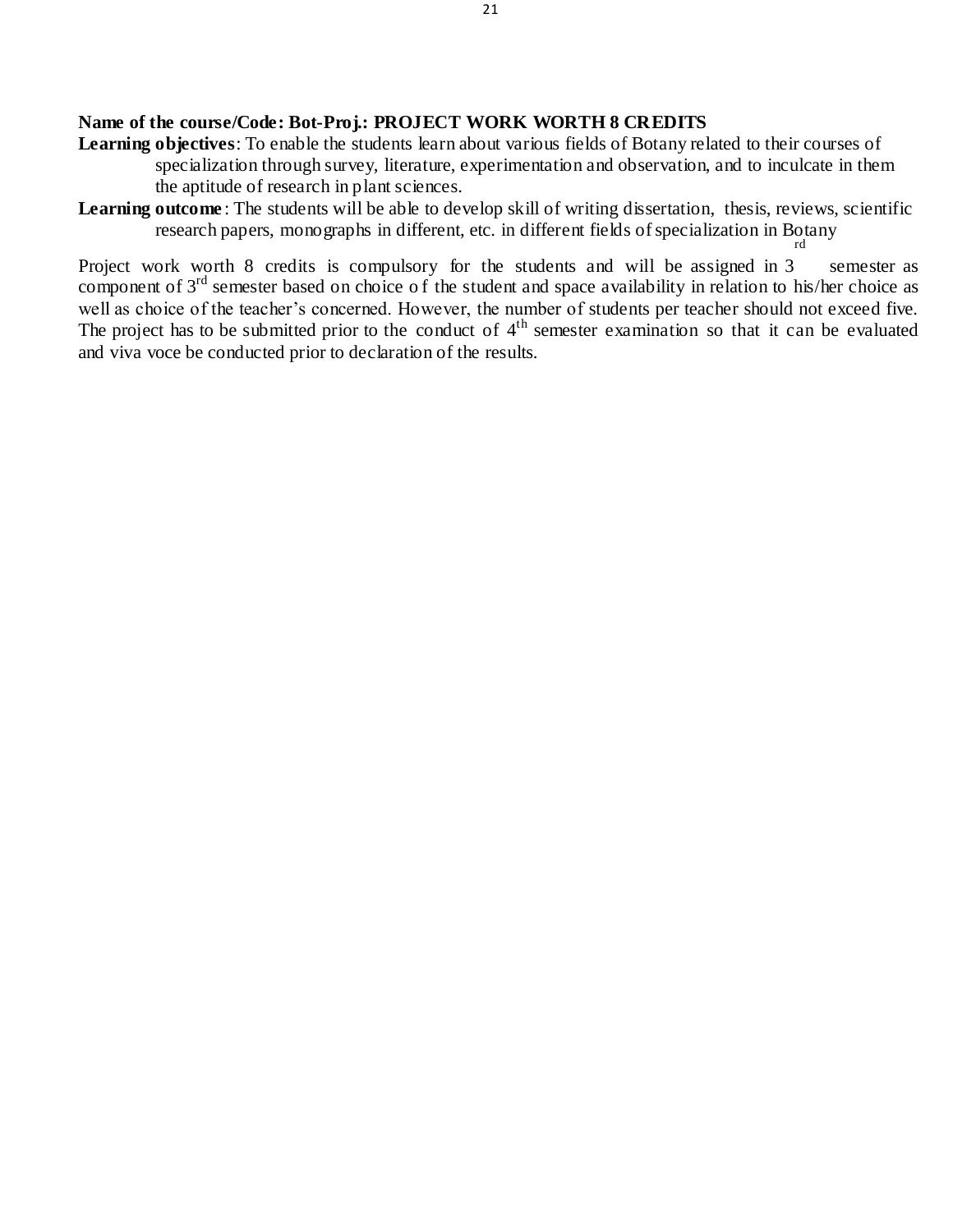### **Name of the course/Code: Bot-Proj.: PROJECT WORK WORTH 8 CREDITS**

- **Learning objectives**: To enable the students learn about various fields of Botany related to their courses of specialization through survey, literature, experimentation and observation, and to inculcate in them the aptitude of research in plant sciences.
- Learning outcome: The students will be able to develop skill of writing dissertation, thesis, reviews, scientific research papers, monographs in different, etc. in different fields of specialization in Botany rd

Project work worth 8 credits is compulsory for the students and will be assigned in 3 semester as component of 3<sup>rd</sup> semester based on choice of the student and space availability in relation to his/her choice as well as choice of the teacher's concerned. However, the number of students per teacher should not exceed five. The project has to be submitted prior to the conduct of  $4<sup>th</sup>$  semester examination so that it can be evaluated and viva voce be conducted prior to declaration of the results.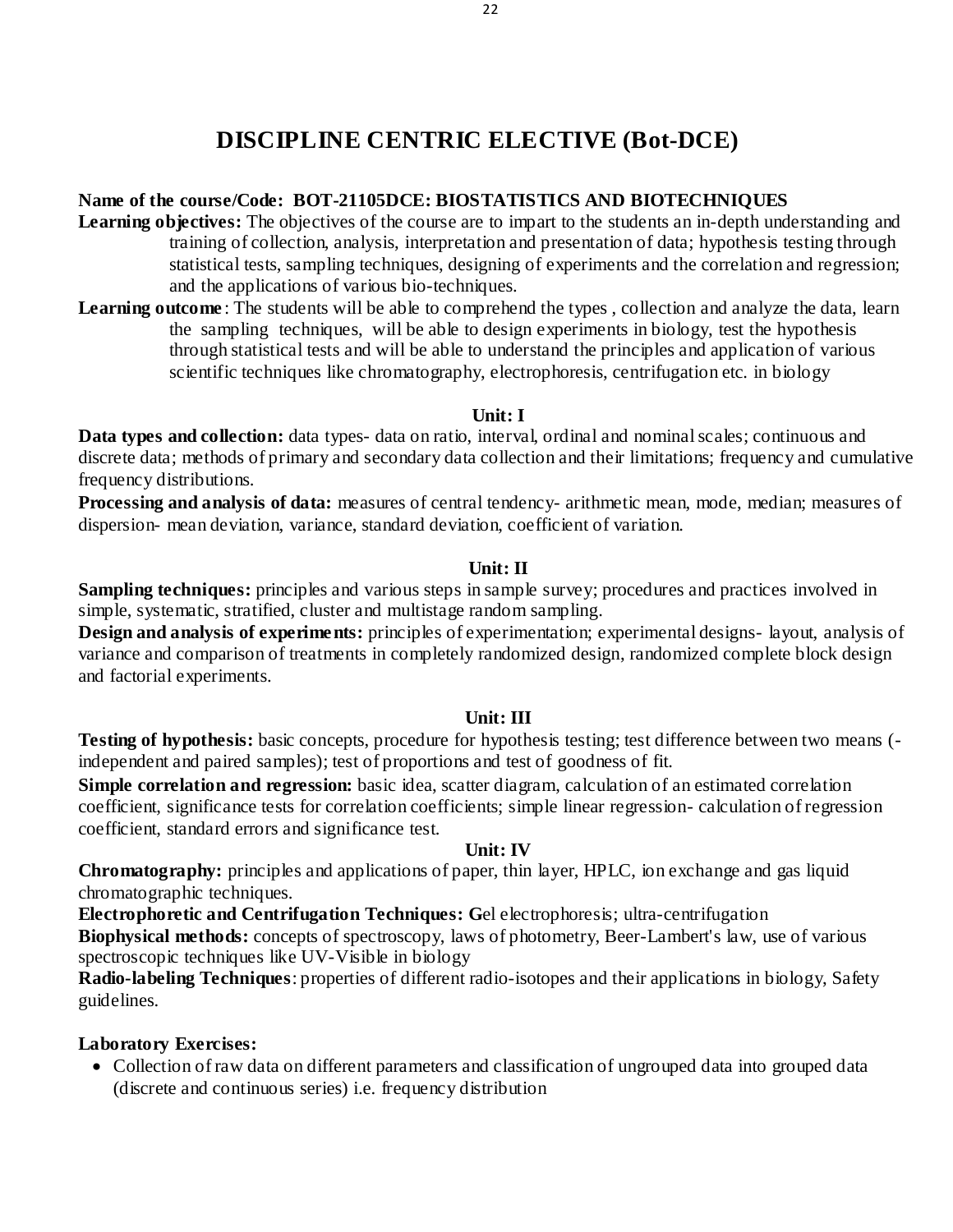# **DISCIPLINE CENTRIC ELECTIVE (Bot-DCE)**

# **Name of the course/Code: BOT-21105DCE: BIOSTATISTICS AND BIOTECHNIQUES**

- **Learning objectives:** The objectives of the course are to impart to the students an in-depth understanding and training of collection, analysis, interpretation and presentation of data; hypothesis testing through statistical tests, sampling techniques, designing of experiments and the correlation and regression; and the applications of various bio-techniques.
- **Learning outcome**: The students will be able to comprehend the types, collection and analyze the data, learn the sampling techniques, will be able to design experiments in biology, test the hypothesis through statistical tests and will be able to understand the principles and application of various scientific techniques like chromatography, electrophoresis, centrifugation etc. in biology

# **Unit: I**

**Data types and collection:** data types- data on ratio, interval, ordinal and nominal scales; continuous and discrete data; methods of primary and secondary data collection and their limitations; frequency and cumulative frequency distributions.

**Processing and analysis of data:** measures of central tendency- arithmetic mean, mode, median; measures of dispersion- mean deviation, variance, standard deviation, coefficient of variation.

# **Unit: II**

**Sampling techniques:** principles and various steps in sample survey; procedures and practices involved in simple, systematic, stratified, cluster and multistage random sampling.

**Design and analysis of experiments:** principles of experimentation; experimental designs- layout, analysis of variance and comparison of treatments in completely randomized design, randomized complete block design and factorial experiments.

# **Unit: III**

**Testing of hypothesis:** basic concepts, procedure for hypothesis testing; test difference between two means (independent and paired samples); test of proportions and test of goodness of fit.

**Simple correlation and regression:** basic idea, scatter diagram, calculation of an estimated correlation coefficient, significance tests for correlation coefficients; simple linear regression- calculation of regression coefficient, standard errors and significance test.

# **Unit: IV**

**Chromatography:** principles and applications of paper, thin layer, HPLC, ion exchange and gas liquid chromatographic techniques.

**Electrophoretic and Centrifugation Techniques: G**el electrophoresis; ultra-centrifugation **Biophysical methods:** concepts of spectroscopy, laws of photometry, Beer-Lambert's law, use of various

spectroscopic techniques like UV-Visible in biology

**Radio-labeling Techniques**: properties of different radio-isotopes and their applications in biology, Safety guidelines.

# **Laboratory Exercises:**

• Collection of raw data on different parameters and classification of ungrouped data into grouped data (discrete and continuous series) i.e. frequency distribution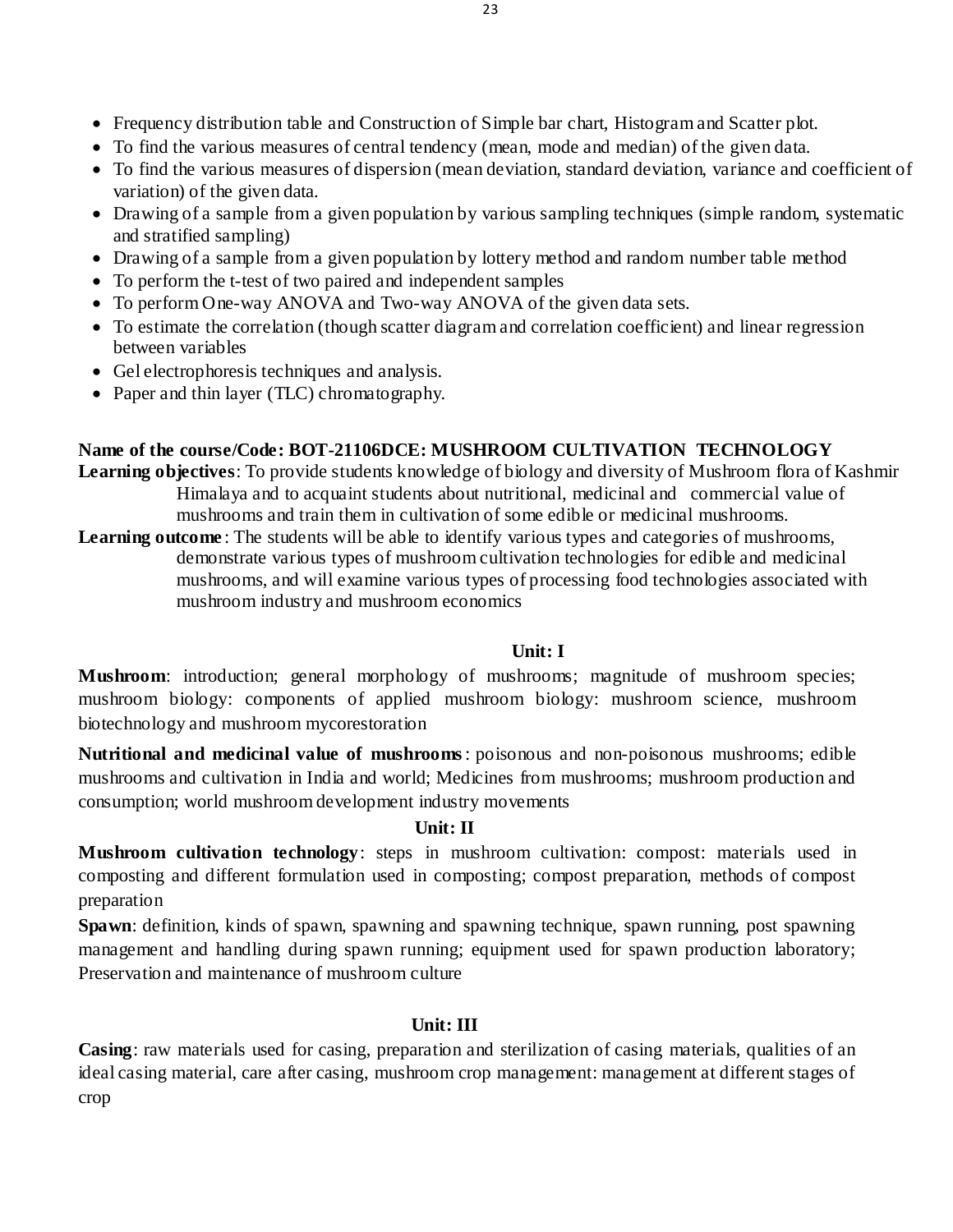- Frequency distribution table and Construction of Simple bar chart, Histogram and Scatter plot.
- To find the various measures of central tendency (mean, mode and median) of the given data.
- To find the various measures of dispersion (mean deviation, standard deviation, variance and coefficient of variation) of the given data.
- Drawing of a sample from a given population by various sampling techniques (simple random, systematic and stratified sampling)
- Drawing of a sample from a given population by lottery method and random number table method
- To perform the t-test of two paired and independent samples
- To perform One-way ANOVA and Two-way ANOVA of the given data sets.
- To estimate the correlation (though scatter diagram and correlation coefficient) and linear regression between variables
- Gel electrophores is techniques and analysis.
- Paper and thin layer (TLC) chromatography.

# **Name of the course/Code: BOT-21106DCE: MUSHROOM CULTIVATION TECHNOLOGY**

**Learning objectives**: To provide students knowledge of biology and diversity of Mushroom flora of Kashmir Himalaya and to acquaint students about nutritional, medicinal and commercial value of mushrooms and train them in cultivation of some edible or medicinal mushrooms.

**Learning outcome**: The students will be able to identify various types and categories of mushrooms, demonstrate various types of mushroom cultivation technologies for edible and medicinal mushrooms, and will examine various types of processing food technologies associated with mushroom industry and mushroom economics

# **Unit: I**

**Mushroom:** introduction; general morphology of mushrooms; magnitude of mushroom species; mushroom biology: components of applied mushroom biology: mushroom science, mushroom biotechnology and mushroom mycorestoration

**Nutritional and medicinal value of mushrooms**: poisonous and non-poisonous mushrooms; edible mushrooms and cultivation in India and world; Medicines from mushrooms; mushroom production and consumption; world mushroom development industry movements

# **Unit: II**

**Mushroom cultivation technology**: steps in mushroom cultivation: compost: materials used in composting and different formulation used in composting; compost preparation, methods of compost preparation

**Spawn**: definition, kinds of spawn, spawning and spawning technique, spawn running, post spawning management and handling during spawn running; equipment used for spawn production laboratory; Preservation and maintenance of mushroom culture

# **Unit: III**

**Casing**: raw materials used for casing, preparation and sterilization of casing materials, qualities of an ideal casing material, care after casing, mushroom crop management: management at different stages of crop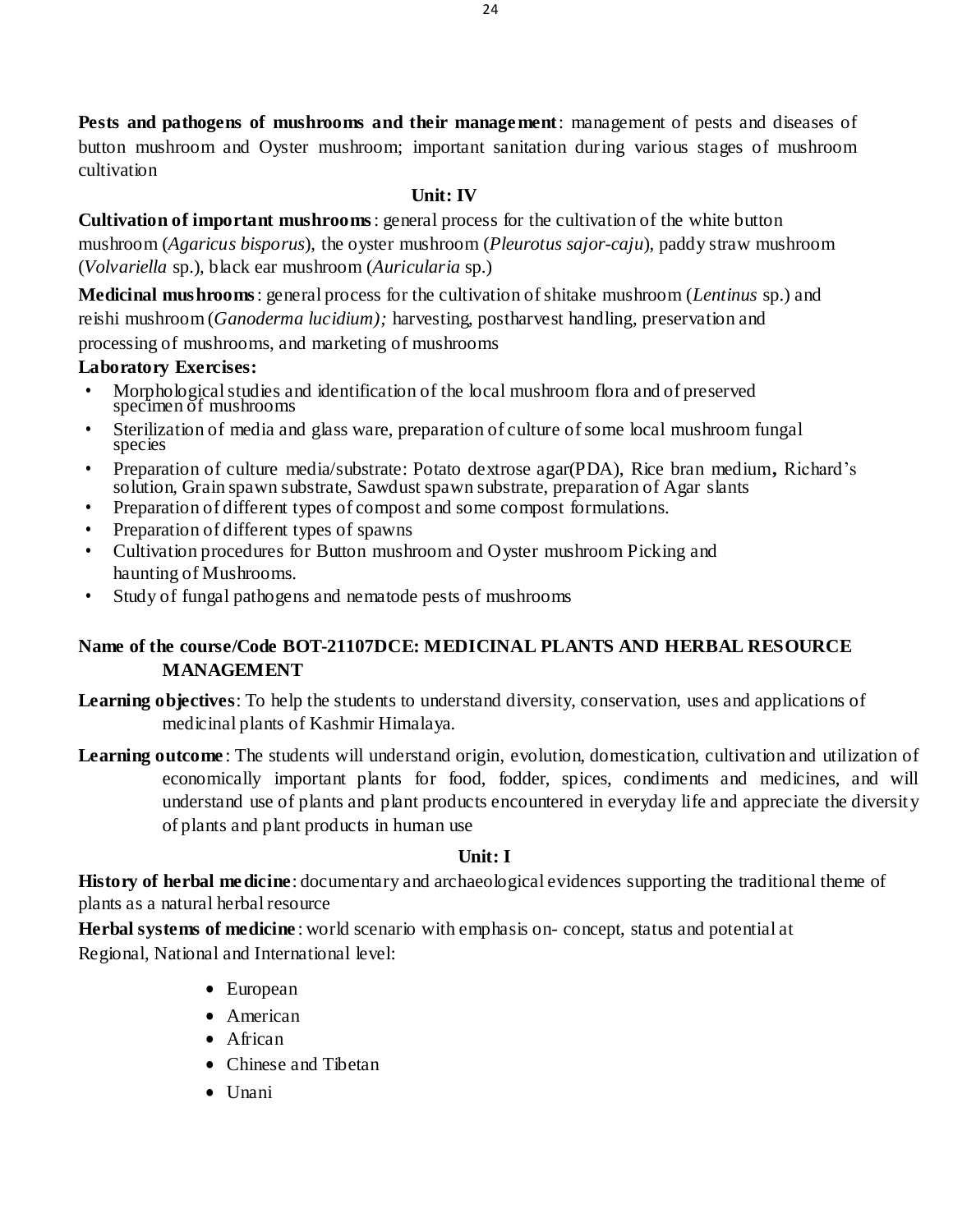**Pests and pathogens of mushrooms and their management**: management of pests and diseases of button mushroom and Oyster mushroom; important sanitation during various stages of mushroom cultivation

# **Unit: IV**

**Cultivation of important mushrooms**: general process for the cultivation of the white button mushroom (*Agaricus bisporus*), the oyster mushroom (*Pleurotus sajor-caju*), paddy straw mushroom (*Volvariella* sp.), black ear mushroom (*Auricularia* sp.)

**Medicinal mushrooms**: general process for the cultivation of shitake mushroom (*Lentinus* sp.) and reishi mushroom (*Ganoderma lucidium);* harvesting, postharvest handling, preservation and processing of mushrooms, and marketing of mushrooms

# **Laboratory Exercises:**

- Morphological studies and identification of the local mushroom flora and of preserved specimen of mushrooms
- Sterilization of media and glass ware, preparation of culture of some local mushroom fungal species
- Preparation of culture media/substrate: Potato dextrose agar(PDA), Rice bran medium**,** Richard's solution, Grain spawn substrate, Sawdust spawn substrate, preparation of Agar slants
- Preparation of different types of compost and some compost formulations.
- Preparation of different types of spawns
- Cultivation procedures for Button mushroom and Oyster mushroom Picking and haunting of Mushrooms.
- Study of fungal pathogens and nematode pests of mushrooms

# **Name of the course/Code BOT-21107DCE: MEDICINAL PLANTS AND HERBAL RESOURCE MANAGEMENT**

**Learning objectives**: To help the students to understand diversity, conservation, uses and applications of medicinal plants of Kashmir Himalaya.

**Learning outcome** : The students will understand origin, evolution, domestication, cultivation and utilization of economically important plants for food, fodder, spices, condiments and medicines, and will understand use of plants and plant products encountered in everyday life and appreciate the diversity of plants and plant products in human use

# **Unit: I**

**History of herbal medicine**: documentary and archaeological evidences supporting the traditional theme of plants as a natural herbal resource

**Herbal systems of medicine** : world scenario with emphasis on- concept, status and potential at Regional, National and International level:

- European
- American
- African
- Chinese and Tibetan
- $\bullet$  Unani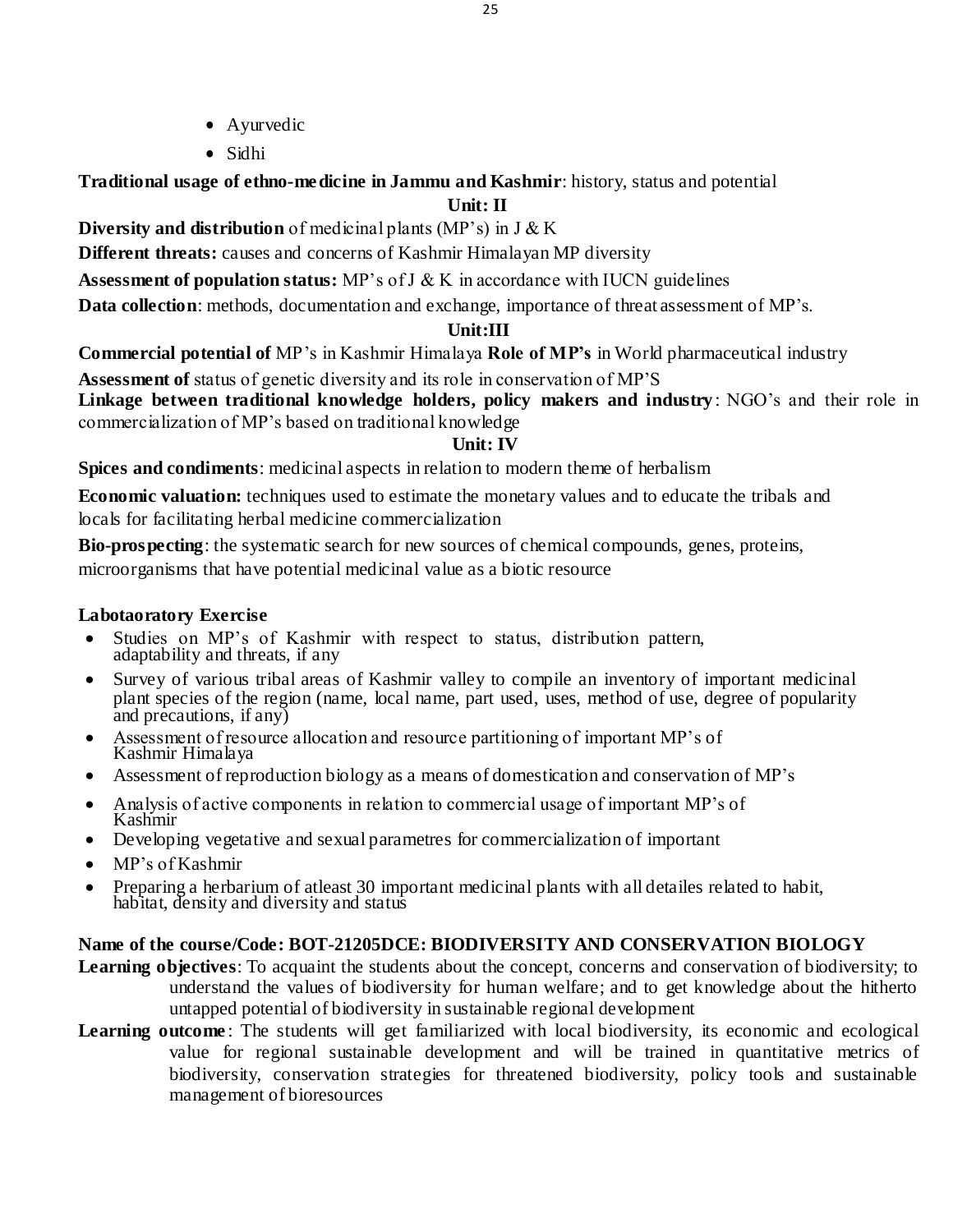- Ayurvedic
- Sidhi

**Traditional usage of ethno-medicine in Jammu and Kashmir**: history, status and potential

# **Unit: II**

**Diversity and distribution** of medicinal plants (MP's) in J & K

**Different threats:** causes and concerns of Kashmir Himalayan MP diversity

**Assessment of population status:** MP's of J & K in accordance with IUCN guidelines

**Data collection**: methods, documentation and exchange, importance of threat assessment of MP's.

# **Unit:III**

**Commercial potential of** MP's in Kashmir Himalaya **Role of MP's** in World pharmaceutical industry

**Assessment of** status of genetic diversity and its role in conservation of MP'S

**Linkage between traditional knowledge holders, policy makers and industry** : NGO's and their role in commercialization of MP's based on traditional knowledge

# **Unit: IV**

**Spices and condiments**: medicinal aspects in relation to modern theme of herbalism

**Economic valuation:** techniques used to estimate the monetary values and to educate the tribals and locals for facilitating herbal medicine commercialization

**Bio-prospecting**: the systematic search for new sources of chemical compounds, genes, proteins,

microorganisms that have potential medicinal value as a biotic resource

# **Labotaoratory Exercise**

- Studies on MP's of Kashmir with respect to status, distribution pattern, adaptability and threats, if any
- Survey of various tribal areas of Kashmir valley to compile an inventory of important medicinal plant species of the region (name, local name, part used, uses, method of use, degree of popularity and precautions, if any)
- Assessment of resource allocation and resource partitioning of important MP's of Kashmir Himalaya
- Assessment of reproduction biology as a means of domestication and conservation of MP's
- Analysis of active components in relation to commercial usage of important MP's of Kashmir
- Developing vegetative and sexual parametres for commercialization of important
- MP's of Kashmir
- Preparing a herbarium of atleast 30 important medicinal plants with all detailes related to habit, habitat, density and diversity and status

# **Name of the course/Code: BOT-21205DCE: BIODIVERSITY AND CONSERVATION BIOLOGY**

- **Learning objectives**: To acquaint the students about the concept, concerns and conservation of biodiversity; to understand the values of biodiversity for human welfare; and to get knowledge about the hitherto untapped potential of biodiversity in sustainable regional development
- **Learning outcome**: The students will get familiarized with local biodiversity, its economic and ecological value for regional sustainable development and will be trained in quantitative metrics of biodiversity, conservation strategies for threatened biodiversity, policy tools and sustainable management of bioresources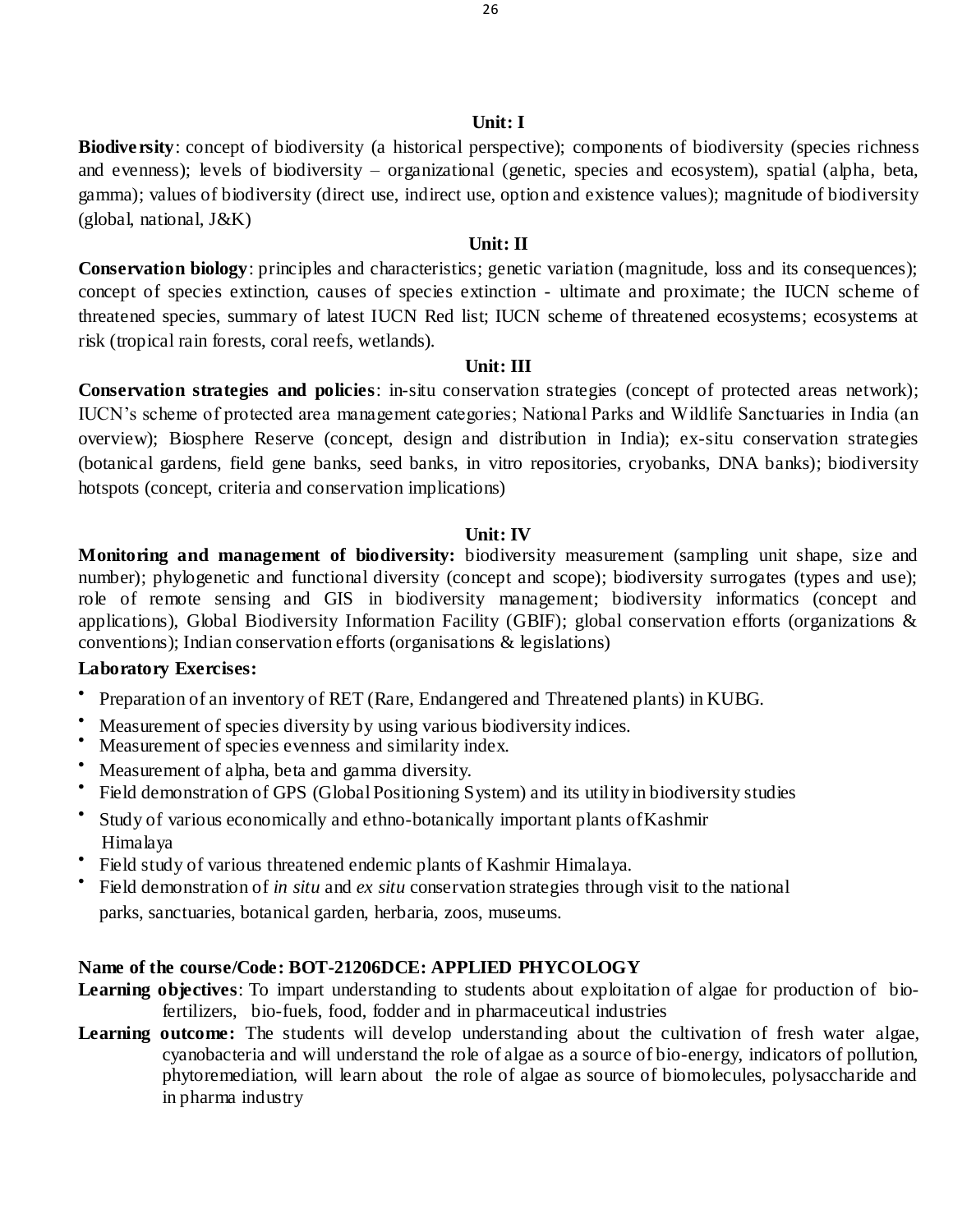#### **Unit: I**

**Biodiversity**: concept of biodiversity (a historical perspective); components of biodiversity (species richness and evenness); levels of biodiversity – organizational (genetic, species and ecosystem), spatial (alpha, beta, gamma); values of biodiversity (direct use, indirect use, option and existence values); magnitude of biodiversity (global, national, J&K)

### **Unit: II**

**Conservation biology**: principles and characteristics; genetic variation (magnitude, loss and its consequences); concept of species extinction, causes of species extinction - ultimate and proximate; the IUCN scheme of threatened species, summary of latest IUCN Red list; IUCN scheme of threatened ecosystems; ecosystems at risk (tropical rain forests, coral reefs, wetlands).

#### **Unit: III**

**Conservation strategies and policies**: in-situ conservation strategies (concept of protected areas network); IUCN's scheme of protected area management categories; National Parks and Wildlife Sanctuaries in India (an overview); Biosphere Reserve (concept, design and distribution in India); ex-situ conservation strategies (botanical gardens, field gene banks, seed banks, in vitro repositories, cryobanks, DNA banks); biodiversity hotspots (concept, criteria and conservation implications)

#### **Unit: IV**

**Monitoring and management of biodiversity:** biodiversity measurement (sampling unit shape, size and number); phylogenetic and functional diversity (concept and scope); biodiversity surrogates (types and use); role of remote sensing and GIS in biodiversity management; biodiversity informatics (concept and applications), Global Biodiversity Information Facility (GBIF); global conservation efforts (organizations & conventions); Indian conservation efforts (organisations & legislations)

#### **Laboratory Exercises:**

- $\bullet$ Preparation of an inventory of RET (Rare, Endangered and Threatened plants) in KUBG.
- Measurement of species diversity by using various biodiversity indices.
- Measurement of species evenness and similarity index.
- Measurement of alpha, beta and gamma diversity.
- $\bullet$ Field demonstration of GPS (Global Positioning System) and its utility in biodiversity studies
- $\bullet$ Study of various economically and ethno-botanically important plants ofKashmir Himalaya
- $\bullet$ Field study of various threatened endemic plants of Kashmir Himalaya.
- $\bullet$ Field demonstration of *in situ* and *ex situ* conservation strategies through visit to the national parks, sanctuaries, botanical garden, herbaria, zoos, museums.

# **Name of the course/Code: BOT-21206DCE: APPLIED PHYCOLOGY**

- **Learning objectives**: To impart understanding to students about exploitation of algae for production of biofertilizers, bio-fuels, food, fodder and in pharmaceutical industries
- Learning outcome: The students will develop understanding about the cultivation of fresh water algae, cyanobacteria and will understand the role of algae as a source of bio-energy, indicators of pollution, phytoremediation, will learn about the role of algae as source of biomolecules, polysaccharide and in pharma industry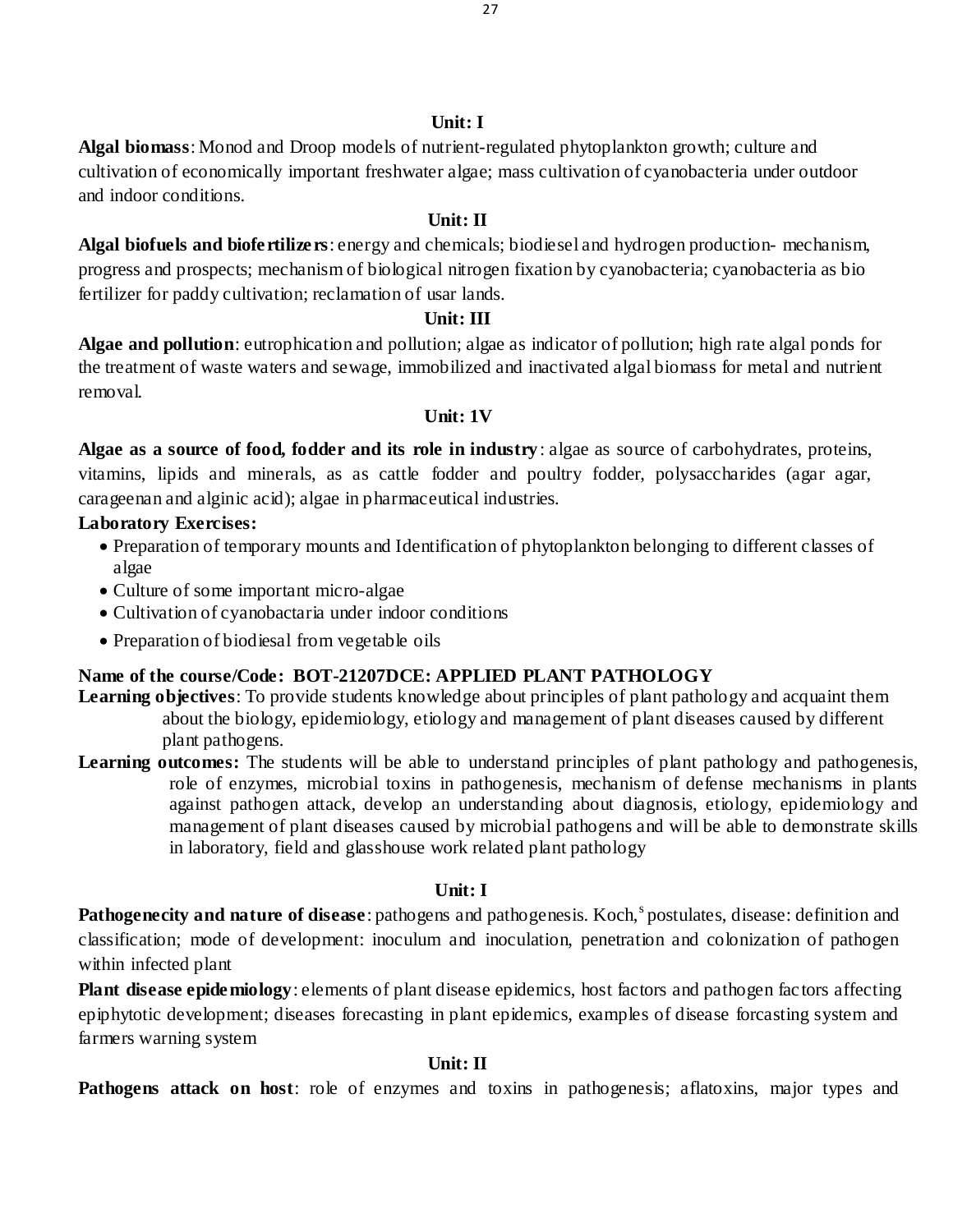#### **Unit: I**

**Algal biomass**: Monod and Droop models of nutrient-regulated phytoplankton growth; culture and cultivation of economically important freshwater algae; mass cultivation of cyanobacteria under outdoor and indoor conditions.

### **Unit: II**

**Algal biofuels and biofertilizers**: energy and chemicals; biodiesel and hydrogen production- mechanism, progress and prospects; mechanism of biological nitrogen fixation by cyanobacteria; cyanobacteria as bio fertilizer for paddy cultivation; reclamation of usar lands.

### **Unit: III**

**Algae and pollution**: eutrophication and pollution; algae as indicator of pollution; high rate algal ponds for the treatment of waste waters and sewage, immobilized and inactivated algal biomass for metal and nutrient removal.

#### $\textbf{I}\text{Init}\cdot\textbf{1}\textbf{V}$

**Algae as a source of food, fodder and its role in industry**: algae as source of carbohydrates, proteins, vitamins, lipids and minerals, as as cattle fodder and poultry fodder, polysaccharides (agar agar, carageenan and alginic acid); algae in pharmaceutical industries.

### **Laboratory Exercises:**

- Preparation of temporary mounts and Identification of phytoplankton belonging to different classes of algae
- Culture of some important micro-algae
- Cultivation of cyanobactaria under indoor conditions
- Preparation of biodiesal from vegetable oils

# **Name of the course/Code: BOT-21207DCE: APPLIED PLANT PATHOLOGY**

- **Learning objectives**: To provide students knowledge about principles of plant pathology and acquaint them about the biology, epidemiology, etiology and management of plant diseases caused by different plant pathogens.
- Learning outcomes: The students will be able to understand principles of plant pathology and pathogenesis, role of enzymes, microbial toxins in pathogenesis, mechanism of defense mechanisms in plants against pathogen attack, develop an understanding about diagnosis, etiology, epidemiology and management of plant diseases caused by microbial pathogens and will be able to demonstrate skills in laboratory, field and glasshouse work related plant pathology

### **Unit: I**

Pathogenecity and nature of disease: pathogens and pathogenesis. Koch,<sup>s</sup> postulates, disease: definition and classification; mode of development: inoculum and inoculation, penetration and colonization of pathogen within infected plant

**Plant disease epidemiology**: elements of plant disease epidemics, host factors and pathogen fac tors affecting epiphytotic development; diseases forecasting in plant epidemics, examples of disease forcasting system and farmers warning system

# **Unit: II**

**Pathogens attack on host:** role of enzymes and toxins in pathogenesis; aflatoxins, major types and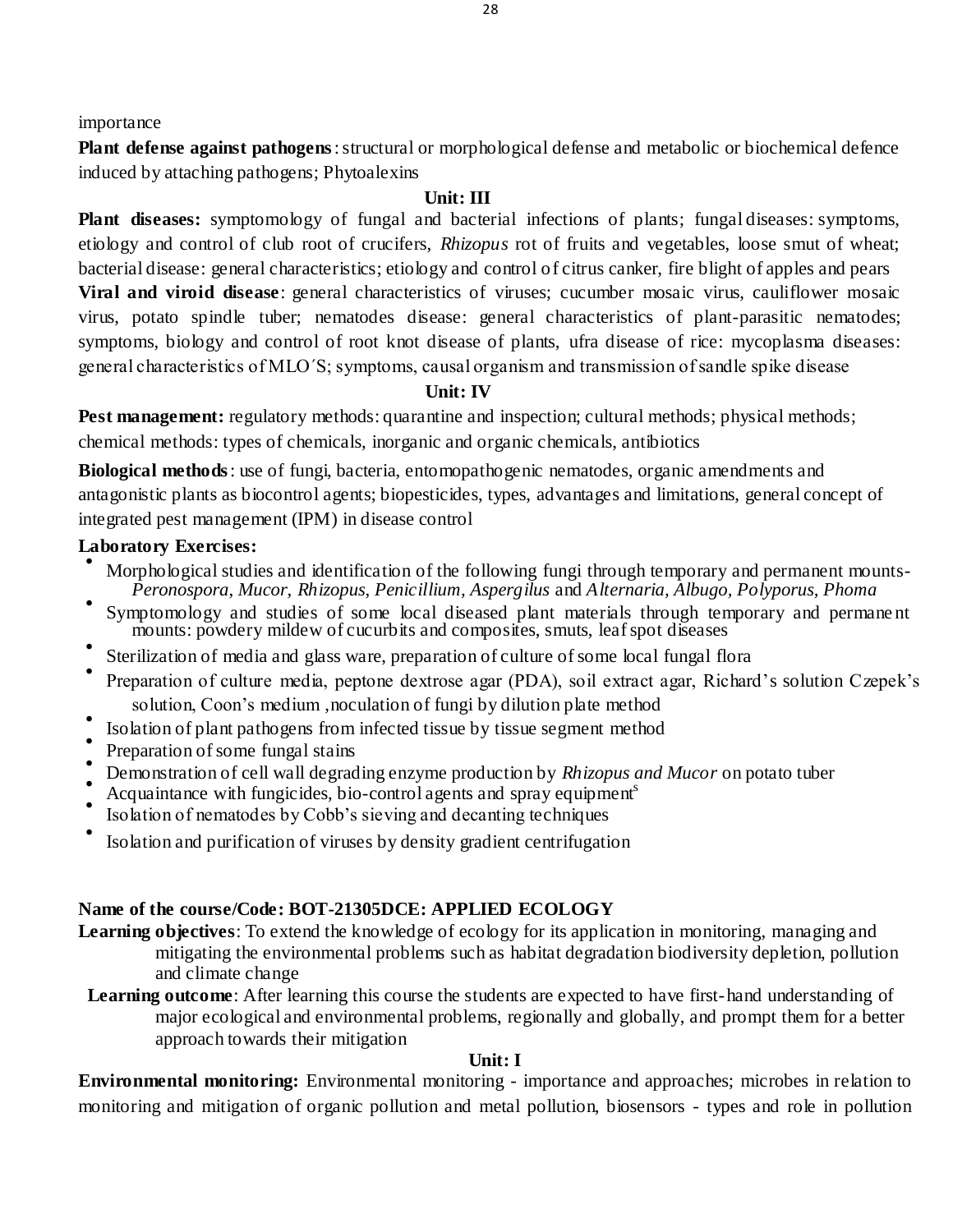importance

**Plant defense against pathogens**: structural or morphological defense and metabolic or biochemical defence induced by attaching pathogens; Phytoalexins

# **Unit: III**

**Plant diseases:** symptomology of fungal and bacterial infections of plants; fungal diseases: symptoms, etiology and control of club root of crucifers, *Rhizopus* rot of fruits and vegetables, loose smut of wheat; bacterial disease: general characteristics; etiology and control of citrus canker, fire blight of apples and pears **Viral and viroid disease**: general characteristics of viruses; cucumber mosaic virus, cauliflower mosaic virus, potato spindle tuber; nematodes disease: general characteristics of plant-parasitic nematodes; symptoms, biology and control of root knot disease of plants, ufra disease of rice: mycoplasma diseases: general characteristics of MLO΄S; symptoms, causal organism and transmission of sandle spike disease

# **Unit: IV**

**Pest management:** regulatory methods: quarantine and inspection; cultural methods; physical methods; chemical methods: types of chemicals, inorganic and organic chemicals, antibiotics

**Biological methods**: use of fungi, bacteria, entomopathogenic nematodes, organic amendments and antagonistic plants as biocontrol agents; biopesticides, types, advantages and limitations, general concept of integrated pest management (IPM) in disease control

# **Laboratory Exercises:**

- Morphological studies and identification of the following fungi through temporary and permanent mounts-*Peronospora, Mucor, Rhizopus, Penicillium, Aspergilus* and *Alternaria, Albugo, Polyporus, Phoma*
- Symptomology and studies of some local diseased plant materials through temporary and permane nt mounts: powdery mildew of cucurbits and composites, smuts, leaf spot diseases
- Sterilization of media and glass ware, preparation of culture of some local fungal flora
- Preparation of culture media, peptone dextrose agar (PDA), soil extract agar, Richard's solution Czepek's solution, Coon's medium ,noculation of fungi by dilution plate method
- Isolation of plant pathogens from infected tissue by tissue segment method
- Preparation of some fungal stains
- Demonstration of cell wall degrading enzyme production by *Rhizopus and Mucor* on potato tuber
- Acquaintance with fungicides, bio-control agents and spray equipment<sup>s</sup>
- Isolation of nematodes by Cobb's sieving and decanting techniques
- Isolation and purification of viruses by density gradient centrifugation

# **Name of the course/Code: BOT-21305DCE: APPLIED ECOLOGY**

- Learning objectives: To extend the knowledge of ecology for its application in monitoring, managing and mitigating the environmental problems such as habitat degradation biodiversity depletion, pollution and climate change
- **Learning outcome**: After learning this course the students are expected to have first-hand understanding of major ecological and environmental problems, regionally and globally, and prompt them for a better approach towards their mitigation

# **Unit: I**

**Environmental monitoring:** Environmental monitoring - importance and approaches; microbes in relation to monitoring and mitigation of organic pollution and metal pollution, biosensors - types and role in pollution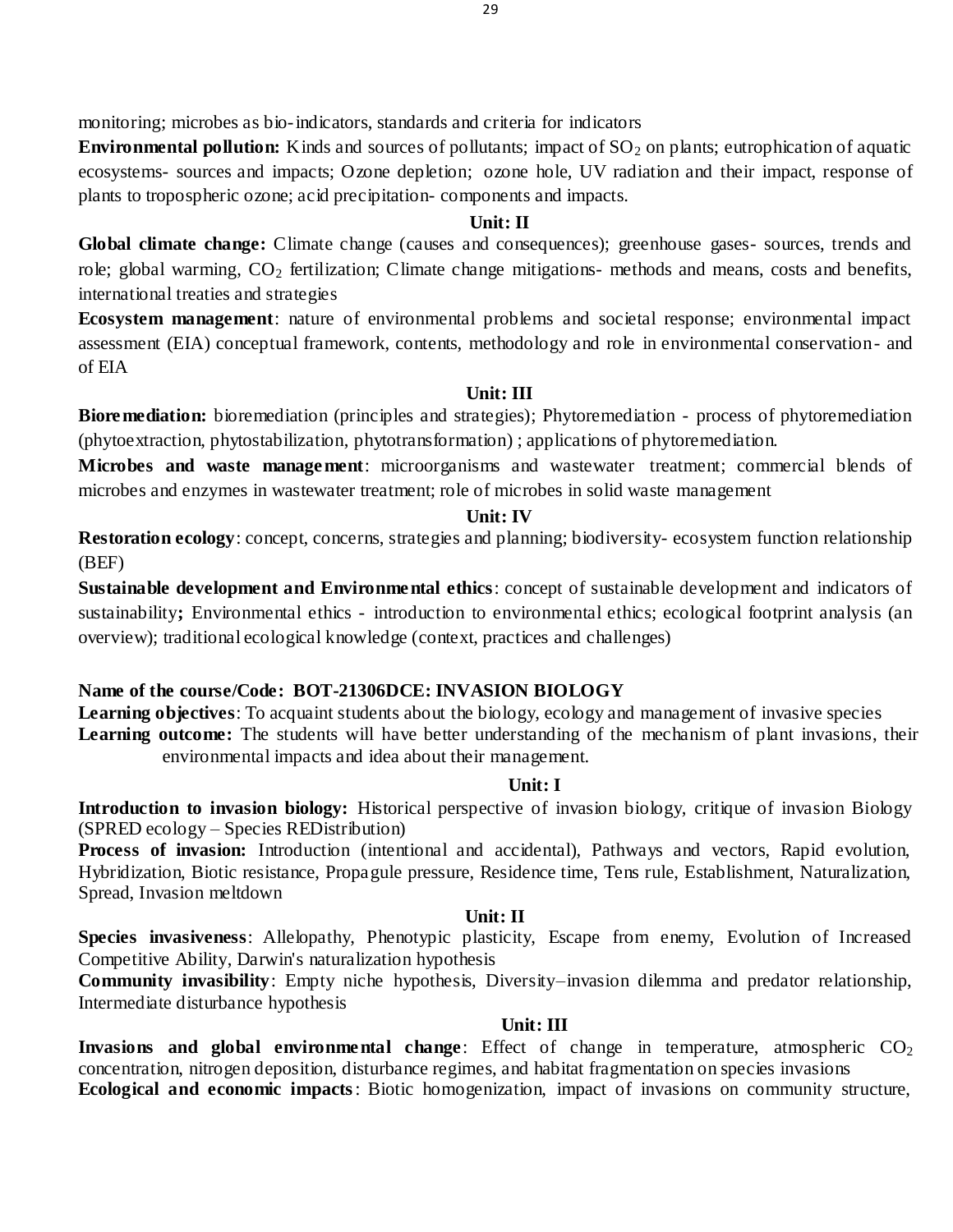monitoring; microbes as bio-indicators, standards and criteria for indicators

**Environmental pollution:** Kinds and sources of pollutants; impact of SO<sub>2</sub> on plants; eutrophication of aquatic ecosystems- sources and impacts; Ozone depletion; ozone hole, UV radiation and their impact, response of plants to tropospheric ozone; acid precipitation- components and impacts.

### **Unit: II**

**Global climate change:** Climate change (causes and consequences); greenhouse gases- sources, trends and role; global warming, CO<sub>2</sub> fertilization; Climate change mitigations- methods and means, costs and benefits, international treaties and strategies

**Ecosystem management**: nature of environmental problems and societal response; environmental impact assessment (EIA) conceptual framework, contents, methodology and role in environmental conservation- and of EIA

# **Unit: III**

**Bioremediation:** bioremediation (principles and strategies); Phytoremediation - process of phytoremediation (phytoextraction, phytostabilization, phytotransformation) ; applications of phytoremediation.

**Microbes and waste management**: microorganisms and wastewater treatment; commercial blends of microbes and enzymes in wastewater treatment; role of microbes in solid waste management

### **Unit: IV**

**Restoration ecology**: concept, concerns, strategies and planning; biodiversity- ecosystem function relationship (BEF)

**Sustainable development and Environmental ethics**: concept of sustainable development and indicators of sustainability; Environmental ethics - introduction to environmental ethics; ecological footprint analysis (an overview); traditional ecological knowledge (context, practices and challenges)

# **Name of the course/Code: BOT-21306DCE: INVASION BIOLOGY**

**Learning objectives**: To acquaint students about the biology, ecology and management of invasive species **Learning outcome:** The students will have better understanding of the mechanism of plant invasions, their environmental impacts and idea about their management.

### **Unit: I**

**Introduction to invasion biology:** Historical perspective of invasion biology, critique of invasion Biology (SPRED ecology – Species REDistribution)

**Process of invasion:** Introduction (intentional and accidental), Pathways and vectors, Rapid evolution, Hybridization, Biotic resistance, Propagule pressure, Residence time, Tens rule, Establishment, Naturalization, Spread, Invasion meltdown

# **Unit: II**

**Species invasiveness**: Allelopathy, Phenotypic plasticity, Escape from enemy, Evolution of Increased Competitive Ability, Darwin's naturalization hypothesis

**Community invasibility**: Empty niche hypothesis, Diversity–invasion dilemma and predator relationship, Intermediate disturbance hypothesis

# **Unit: III**

**Invasions and global environmental change**: Effect of change in temperature, atmospheric  $CO<sub>2</sub>$ concentration, nitrogen deposition, disturbance regimes, and habitat fragmentation on species invasions **Ecological and economic impacts**: Biotic homogenization, impact of invasions on community structure,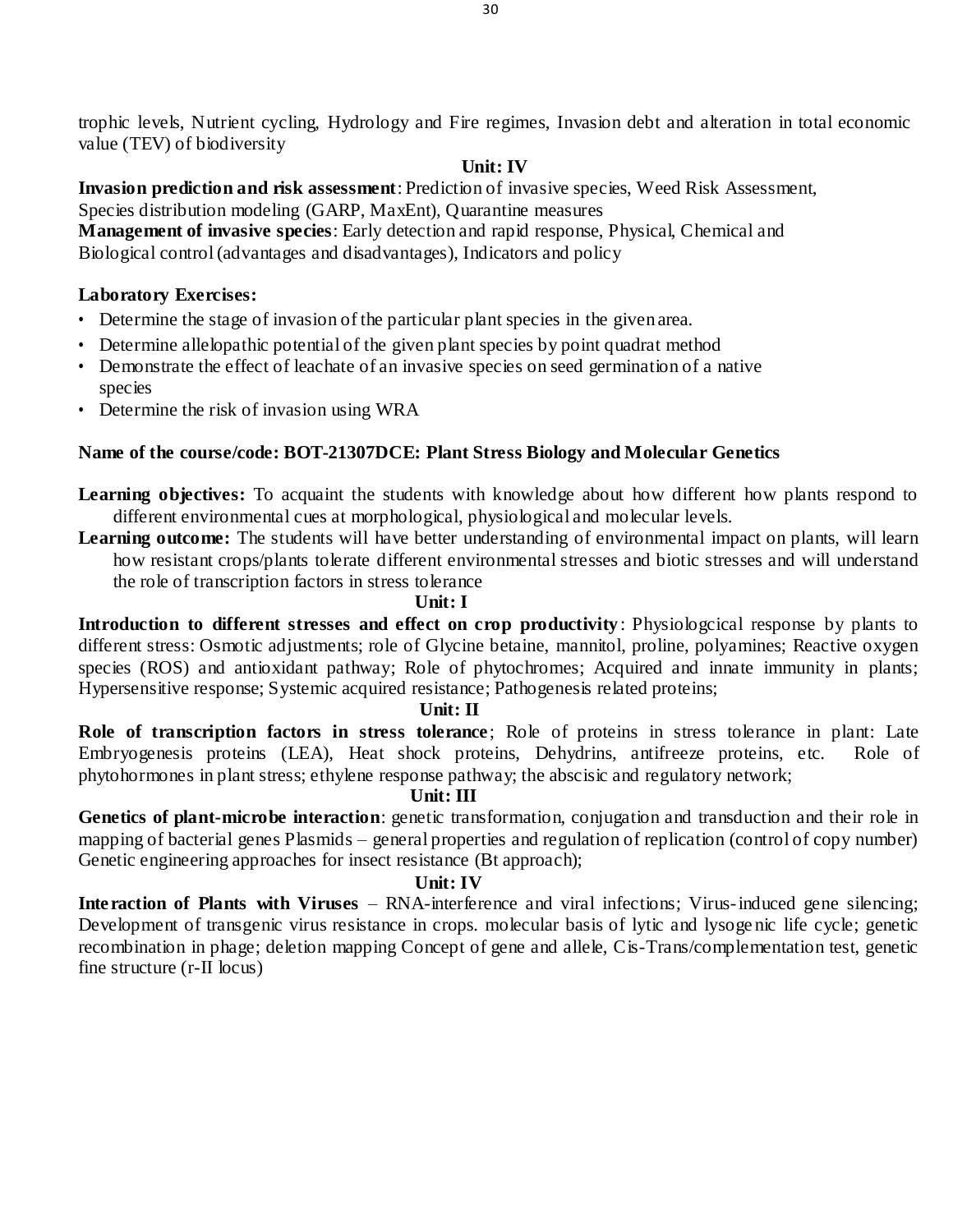30

trophic levels, Nutrient cycling, Hydrology and Fire regimes, Invasion debt and alteration in total economic value (TEV) of biodiversity

# **Unit: IV**

**Invasion prediction and risk assessment**: Prediction of invasive species, Weed Risk Assessment, Species distribution modeling (GARP, MaxEnt), Quarantine measures **Management of invasive species**: Early detection and rapid response, Physical, Chemical and Biological control (advantages and disadvantages), Indicators and policy

# **Laboratory Exercises:**

- Determine the stage of invasion of the particular plant species in the given area.
- Determine allelopathic potential of the given plant species by point quadrat method
- Demonstrate the effect of leachate of an invasive species on seed germination of a native species
- Determine the risk of invasion using WRA

# **Name of the course/code: BOT-21307DCE: Plant Stress Biology and Molecular Genetics**

- **Learning objectives:** To acquaint the students with knowledge about how different how plants respond to different environmental cues at morphological, physiological and molecular levels.
- **Learning outcome:** The students will have better understanding of environmental impact on plants, will learn how resistant crops/plants tolerate different environmental stresses and biotic stresses and will understand the role of transcription factors in stress tolerance

# **Unit: I**

**Introduction to different stresses and effect on crop productivity** : Physiologcical response by plants to different stress: Osmotic adjustments; role of Glycine betaine, mannitol, proline, polyamines; Reactive oxygen species (ROS) and antioxidant pathway; Role of phytochromes; Acquired and innate immunity in plants; Hypersensitive response; Systemic acquired resistance; Pathogenesis related proteins;

# **Unit: II**

**Role of transcription factors in stress tolerance**; Role of proteins in stress tolerance in plant: Late Embryogenesis proteins (LEA), Heat shock proteins, Dehydrins, antifreeze proteins, etc. Role of phytohormones in plant stress; ethylene response pathway; the abscisic and regulatory network;

# **Unit: III**

**Genetics of plant-microbe interaction**: genetic transformation, conjugation and transduction and their role in mapping of bacterial genes Plasmids – general properties and regulation of replication (control of copy number) Genetic engineering approaches for insect resistance (Bt approach);

# **Unit: IV**

**Interaction of Plants with Viruses** – RNA-interference and viral infections; Virus-induced gene silencing; Development of transgenic virus resistance in crops. molecular basis of lytic and lysogenic life cycle; genetic recombination in phage; deletion mapping Concept of gene and allele, Cis-Trans/complementation test, genetic fine structure (r-II locus)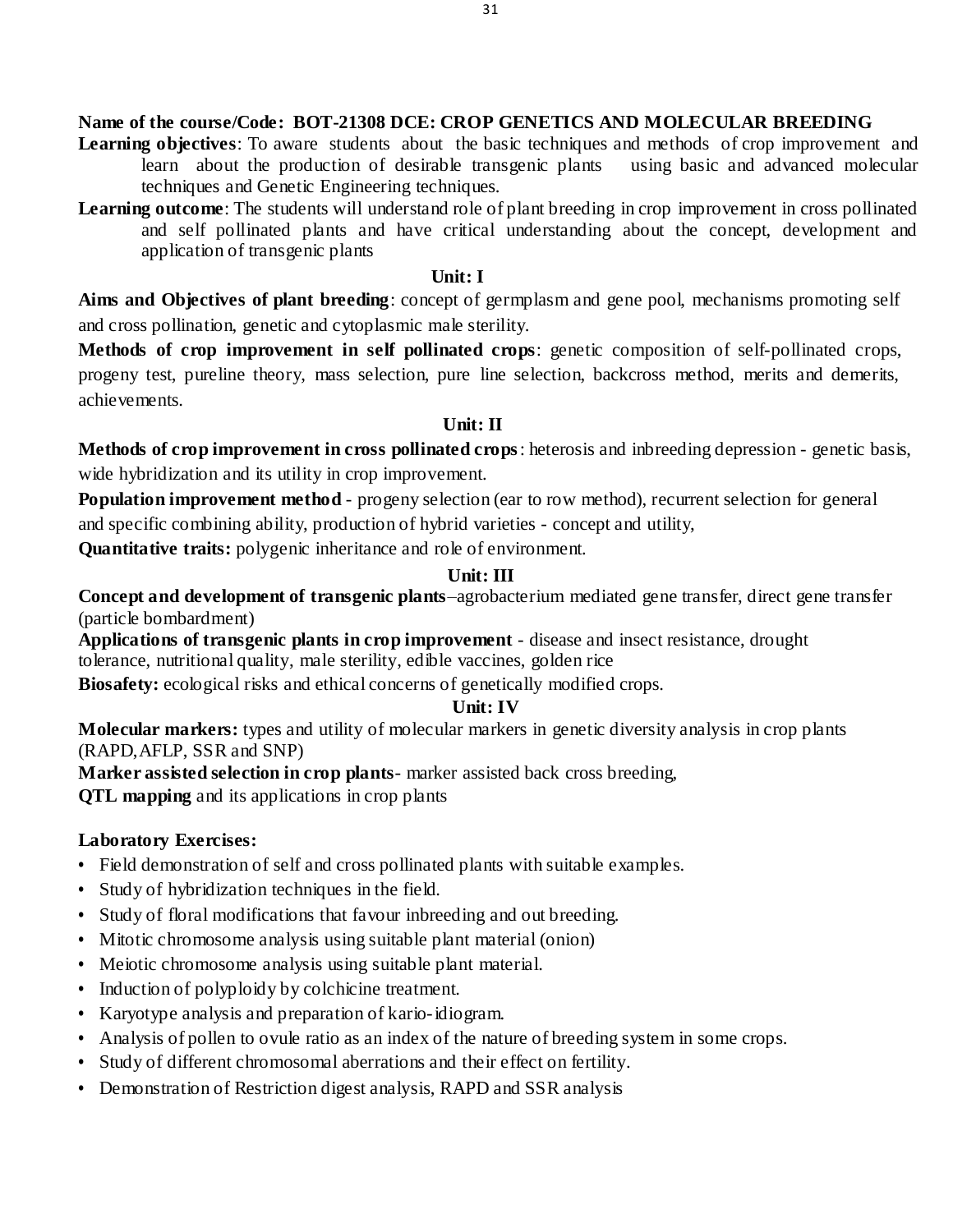### **Name of the course/Code: BOT-21308 DCE: CROP GENETICS AND MOLECULAR BREEDING**

- **Learning objectives**: To aware students about the basic techniques and methods of crop improvement and learn about the production of desirable transgenic plants using basic and advanced molecular techniques and Genetic Engineering techniques.
- **Learning outcome**: The students will understand role of plant breeding in crop improvement in cross pollinated and self pollinated plants and have critical understanding about the concept, development and application of transgenic plants

### **Unit: I**

**Aims and Objectives of plant breeding**: concept of germplasm and gene pool, mechanisms promoting self and cross pollination, genetic and cytoplasmic male sterility.

**Methods of crop improvement in self pollinated crops**: genetic composition of self-pollinated crops, progeny test, pureline theory, mass selection, pure line selection, backcross method, merits and demerits, achievements.

# **Unit: II**

**Methods of crop improvement in cross pollinated crops**: heterosis and inbreeding depression - genetic basis, wide hybridization and its utility in crop improvement.

**Population improvement method** - progeny selection (ear to row method), recurrent selection for general and specific combining ability, production of hybrid varieties - concept and utility,

**Quantitative traits:** polygenic inheritance and role of environment.

# **Unit: III**

**Concept and development of transgenic plants**–agrobacterium mediated gene transfer, direct gene transfer (particle bombardment)

**Applications of transgenic plants in crop improvement** - disease and insect resistance, drought tolerance, nutritional quality, male sterility, edible vaccines, golden rice

**Biosafety:** ecological risks and ethical concerns of genetically modified crops.

# **Unit: IV**

**Molecular markers:** types and utility of molecular markers in genetic diversity analysis in crop plants (RAPD,AFLP, SSR and SNP)

**Marker assisted selection in crop plants**- marker assisted back cross breeding,

**QTL mapping** and its applications in crop plants

# **Laboratory Exercises:**

- Field demonstration of self and cross pollinated plants with suitable examples.
- **•** Study of hybridization techniques in the field.
- **•** Study of floral modifications that favour inbreeding and out breeding.
- **•** Mitotic chromosome analysis using suitable plant material (onion)
- **•** Meiotic chromosome analysis using suitable plant material.
- **•** Induction of polyploidy by colchicine treatment.
- **•** Karyotype analysis and preparation of kario-idiogram.
- **•** Analysis of pollen to ovule ratio as an index of the nature of breeding system in some crops.
- **•** Study of different chromosomal aberrations and their effect on fertility.
- **•** Demonstration of Restriction digest analysis, RAPD and SSR analysis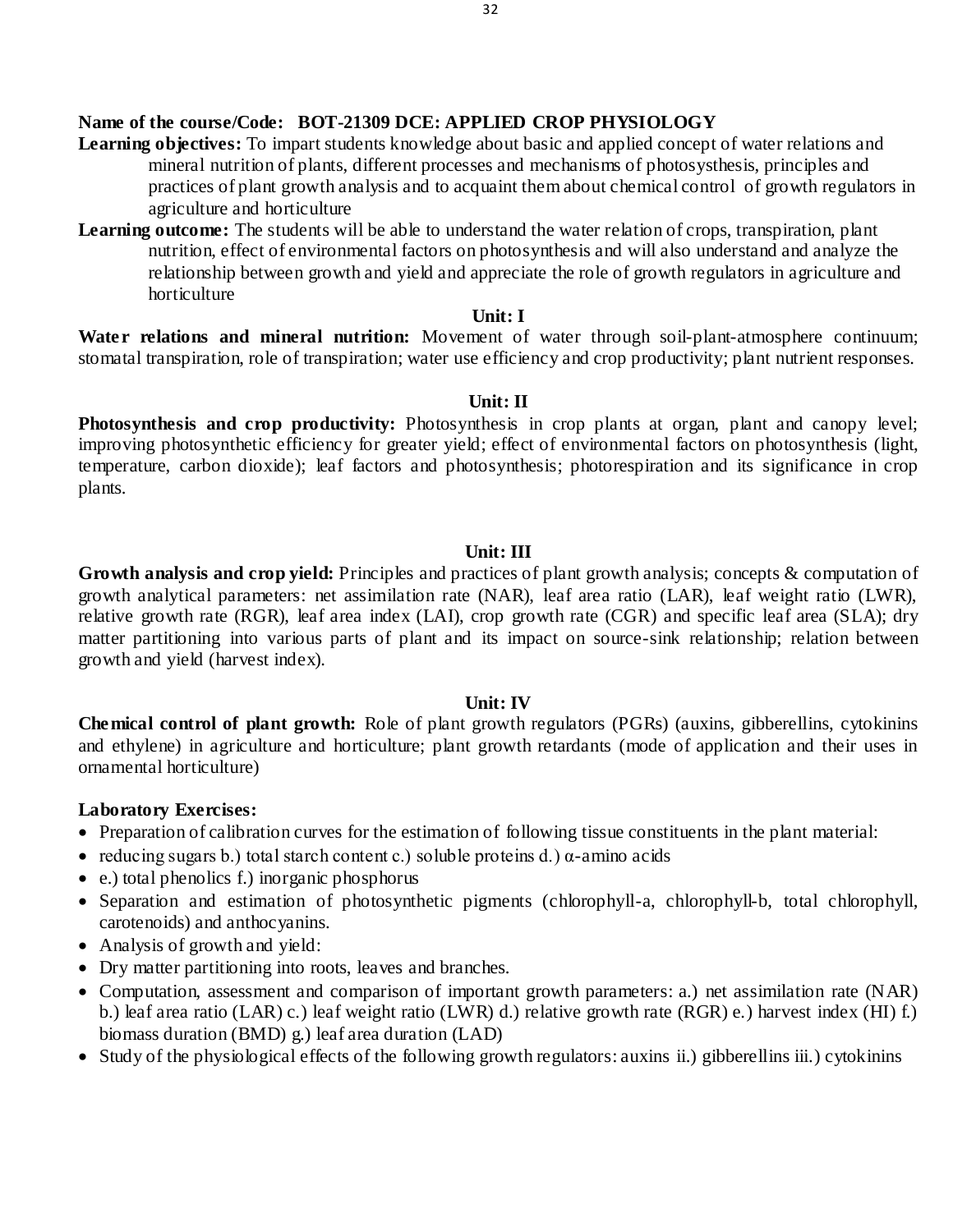32

# **Name of the course/Code: BOT-21309 DCE: APPLIED CROP PHYSIOLOGY**

- **Learning objectives:** To impart students knowledge about basic and applied concept of water relations and mineral nutrition of plants, different processes and mechanisms of photosysthesis, principles and practices of plant growth analysis and to acquaint them about chemical control of growth regulators in agriculture and horticulture
- Learning outcome: The students will be able to understand the water relation of crops, transpiration, plant nutrition, effect of environmental factors on photosynthesis and will also understand and analyze the relationship between growth and yield and appreciate the role of growth regulators in agriculture and horticulture

#### **Unit: I**

**Water relations and mineral nutrition:** Movement of water through soil-plant-atmosphere continuum; stomatal transpiration, role of transpiration; water use efficiency and crop productivity; plant nutrient responses.

### **Unit: II**

Photosynthesis and crop productivity: Photosynthesis in crop plants at organ, plant and canopy level; improving photosynthetic efficiency for greater yield; effect of environmental factors on photosynthesis (light, temperature, carbon dioxide); leaf factors and photosynthesis; photorespiration and its significance in crop plants.

#### **Unit: III**

**Growth analysis and crop yield:** Principles and practices of plant growth analysis; concepts & computation of growth analytical parameters: net assimilation rate (NAR), leaf area ratio (LAR), leaf weight ratio (LWR), relative growth rate (RGR), leaf area index (LAI), crop growth rate (CGR) and specific leaf area (SLA); dry matter partitioning into various parts of plant and its impact on source-sink relationship; relation between growth and yield (harvest index).

#### **Unit: IV**

**Chemical control of plant growth:** Role of plant growth regulators (PGRs) (auxins, gibberellins, cytokinins and ethylene) in agriculture and horticulture; plant growth retardants (mode of application and their uses in ornamental horticulture)

# **Laboratory Exercises:**

- Preparation of calibration curves for the estimation of following tissue constituents in the plant material:
- reducing sugars b.) total starch content c.) soluble proteins d.)  $\alpha$ -amino acids
- e.) total phenolics f.) inorganic phosphorus
- Separation and estimation of photosynthetic pigments (chlorophyll-a, chlorophyll-b, total chlorophyll, carotenoids) and anthocyanins.
- Analysis of growth and yield:
- Dry matter partitioning into roots, leaves and branches.
- Computation, assessment and comparison of important growth parameters: a.) net assimilation rate (NAR) b.) leaf area ratio (LAR) c.) leaf weight ratio (LWR) d.) relative growth rate (RGR) e.) harvest index (HI) f.) biomass duration (BMD) g.) leaf area duration (LAD)
- Study of the physiological effects of the following growth regulators: auxins ii.) gibberellins iii.) cytokinins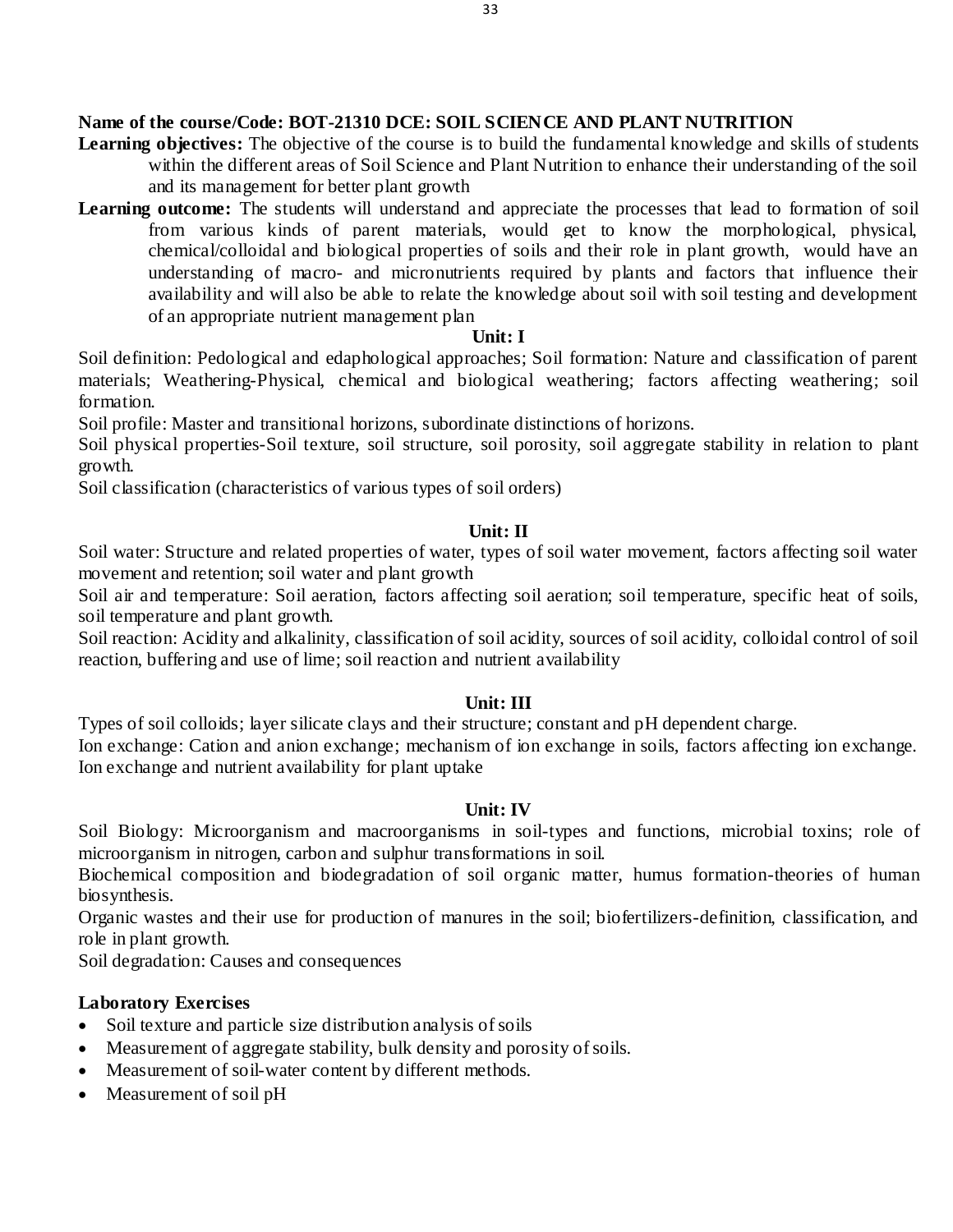# **Name of the course/Code: BOT-21310 DCE: SOIL SCIENCE AND PLANT NUTRITION**

- **Learning objectives:** The objective of the course is to build the fundamental knowledge and skills of students within the different areas of Soil Science and Plant Nutrition to enhance their understanding of the soil and its management for better plant growth
- **Learning outcome:** The students will understand and appreciate the processes that lead to formation of soil from various kinds of parent materials, would get to know the morphological, physical, chemical/colloidal and biological properties of soils and their role in plant growth, would have an understanding of macro- and micronutrients required by plants and factors that influence their availability and will also be able to relate the knowledge about soil with soil testing and development of an appropriate nutrient management plan

# **Unit: I**

Soil definition: Pedological and edaphological approaches; Soil formation: Nature and classification of parent materials; Weathering-Physical, chemical and biological weathering; factors affecting weathering; soil formation.

Soil profile: Master and transitional horizons, subordinate distinctions of horizons.

Soil physical properties-Soil texture, soil structure, soil porosity, soil aggregate stability in relation to plant growth.

Soil classification (characteristics of various types of soil orders)

# **Unit: II**

Soil water: Structure and related properties of water, types of soil water movement, factors affecting soil water movement and retention; soil water and plant growth

Soil air and temperature: Soil aeration, factors affecting soil aeration; soil temperature, specific heat of soils, soil temperature and plant growth.

Soil reaction: Acidity and alkalinity, classification of soil acidity, sources of soil acidity, colloidal control of soil reaction, buffering and use of lime; soil reaction and nutrient availability

# **Unit: III**

Types of soil colloids; layer silicate clays and their structure; constant and pH dependent charge.

Ion exchange: Cation and anion exchange; mechanism of ion exchange in soils, factors affecting ion exchange. Ion exchange and nutrient availability for plant uptake

# **Unit: IV**

Soil Biology: Microorganism and macroorganisms in soil-types and functions, microbial toxins; role of microorganism in nitrogen, carbon and sulphur transformations in soil.

Biochemical composition and biodegradation of soil organic matter, humus formation-theories of human biosynthesis.

Organic wastes and their use for production of manures in the soil; biofertilizers-definition, classification, and role in plant growth.

Soil degradation: Causes and consequences

# **Laboratory Exercises**

- Soil texture and particle size distribution analysis of soils
- Measurement of aggregate stability, bulk density and porosity of soils.
- Measurement of soil-water content by different methods.
- Measurement of soil pH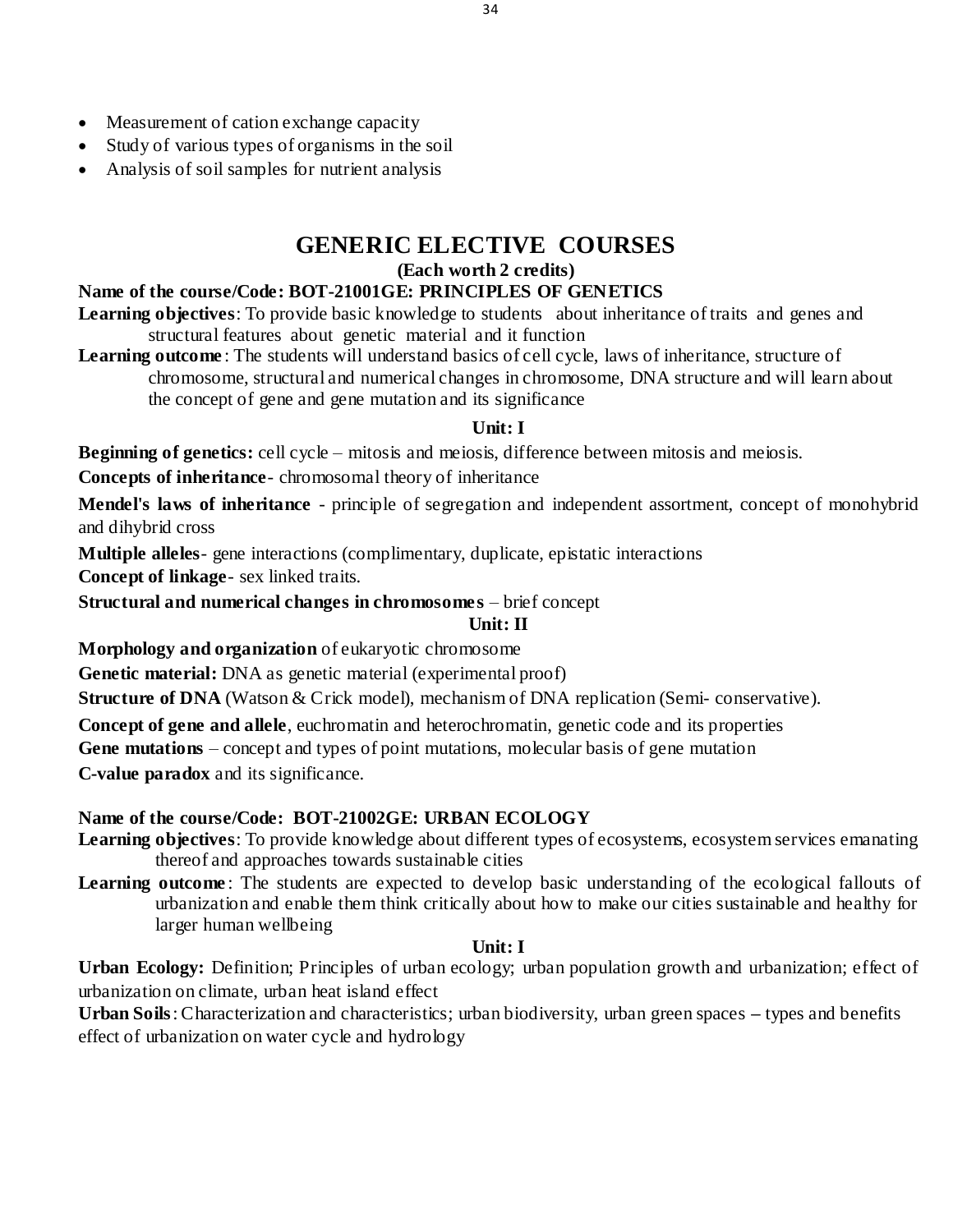- Measurement of cation exchange capacity
- Study of various types of organisms in the soil
- Analysis of soil samples for nutrient analysis

# **GENERIC ELECTIVE COURSES**

### **(Each worth 2 credits)**

# **Name of the course/Code: BOT-21001GE: PRINCIPLES OF GENETICS**

**Learning objectives**: To provide basic knowledge to students about inheritance of traits and genes and structural features about genetic material and it function

**Learning outcome**: The students will understand basics of cell cycle, laws of inheritance, structure of chromosome, structural and numerical changes in chromosome, DNA structure and will learn about the concept of gene and gene mutation and its significance

# **Unit: I**

**Beginning of genetics:** cell cycle – mitosis and meiosis, difference between mitosis and meiosis.

**Concepts of inheritance**- chromosomal theory of inheritance

**Mendel's laws of inheritance** - principle of segregation and independent assortment, concept of monohybrid and dihybrid cross

**Multiple alleles**- gene interactions (complimentary, duplicate, epistatic interactions

**Concept of linkage**- sex linked traits.

**Structural and numerical changes in chromosomes** – brief concept

**Unit: II**

**Morphology and organization** of eukaryotic chromosome

**Genetic material:** DNA as genetic material (experimental proof)

**Structure of DNA** (Watson & Crick model), mechanism of DNA replication (Semi- conservative).

**Concept of gene and allele**, euchromatin and heterochromatin, genetic code and its properties

**Gene mutations** – concept and types of point mutations, molecular basis of gene mutation

**C-value paradox** and its significance.

# **Name of the course/Code: BOT-21002GE: URBAN ECOLOGY**

**Learning objectives**: To provide knowledge about different types of ecosystems, ecosystem services emanating thereof and approaches towards sustainable cities

**Learning outcome**: The students are expected to develop basic understanding of the ecological fallouts of urbanization and enable them think critically about how to make our cities sustainable and healthy for larger human wellbeing

# **Unit: I**

**Urban Ecology:** Definition; Principles of urban ecology; urban population growth and urbanization; effect of urbanization on climate, urban heat island effect

**Urban Soils**: Characterization and characteristics; urban biodiversity, urban green spaces **–** types and benefits effect of urbanization on water cycle and hydrology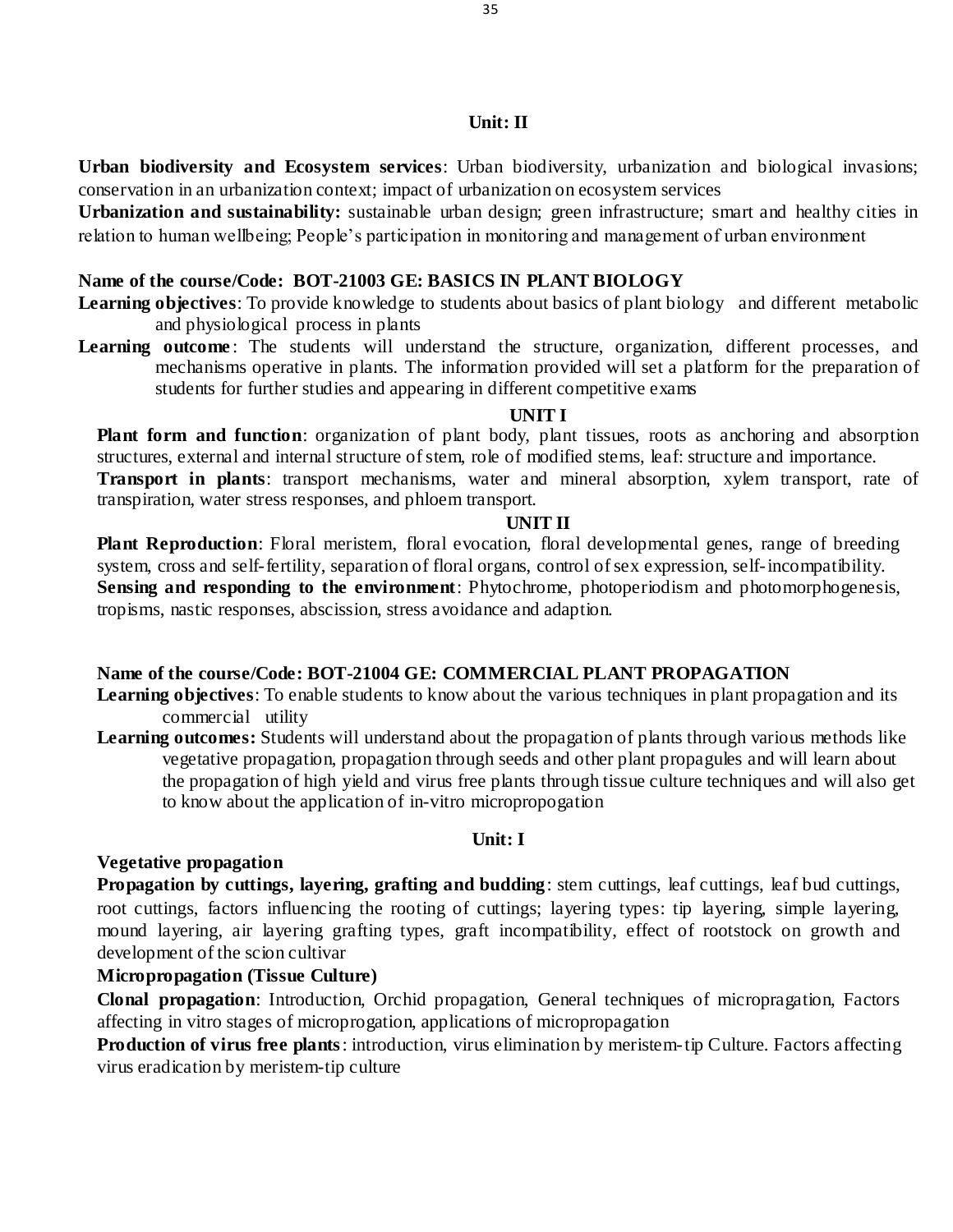### **Unit: II**

**Urban biodiversity and Ecosystem services**: Urban biodiversity, urbanization and biological invasions; conservation in an urbanization context; impact of urbanization on ecosystem services

**Urbanization and sustainability:** sustainable urban design; green infrastructure; smart and healthy cities in relation to human wellbeing; People's participation in monitoring and management of urban environment

### **Name of the course/Code: BOT-21003 GE: BASICS IN PLANT BIOLOGY**

- **Learning objectives**: To provide knowledge to students about basics of plant biology and different metabolic and physiological process in plants
- **Learning outcome**: The students will understand the structure, organization, different processes, and mechanisms operative in plants. The information provided will set a platform for the preparation of students for further studies and appearing in different competitive exams

#### **UNIT I**

**Plant form and function**: organization of plant body, plant tissues, roots as anchoring and absorption structures, external and internal structure of stem, role of modified stems, leaf: structure and importance.

**Transport in plants**: transport mechanisms, water and mineral absorption, xylem transport, rate of transpiration, water stress responses, and phloem transport.

#### **UNIT II**

**Plant Reproduction**: Floral meristem, floral evocation, floral developmental genes, range of breeding system, cross and self-fertility, separation of floral organs, control of sex expression, self-incompatibility. **Sensing and responding to the environment**: Phytochrome, photoperiodism and photomorphogenesis, tropisms, nastic responses, abscission, stress avoidance and adaption.

#### **Name of the course/Code: BOT-21004 GE: COMMERCIAL PLANT PROPAGATION**

- **Learning objectives**: To enable students to know about the various techniques in plant propagation and its commercial utility
- **Learning outcomes:** Students will understand about the propagation of plants through various methods like vegetative propagation, propagation through seeds and other plant propagules and will learn about the propagation of high yield and virus free plants through tissue culture techniques and will also get to know about the application of in-vitro micropropogation

### **Unit: I**

#### **Vegetative propagation**

**Propagation by cuttings, layering, grafting and budding**: stem cuttings, leaf cuttings, leaf bud cuttings, root cuttings, factors influencing the rooting of cuttings; layering types: tip layering, simple layering, mound layering, air layering grafting types, graft incompatibility, effect of rootstock on growth and development of the scion cultivar

# **Micropropagation (Tissue Culture)**

**Clonal propagation**: Introduction, Orchid propagation, General techniques of micropragation, Factors affecting in vitro stages of microprogation, applications of micropropagation

**Production of virus free plants**: introduction, virus elimination by meristem-tip Culture. Factors affecting virus eradication by meristem-tip culture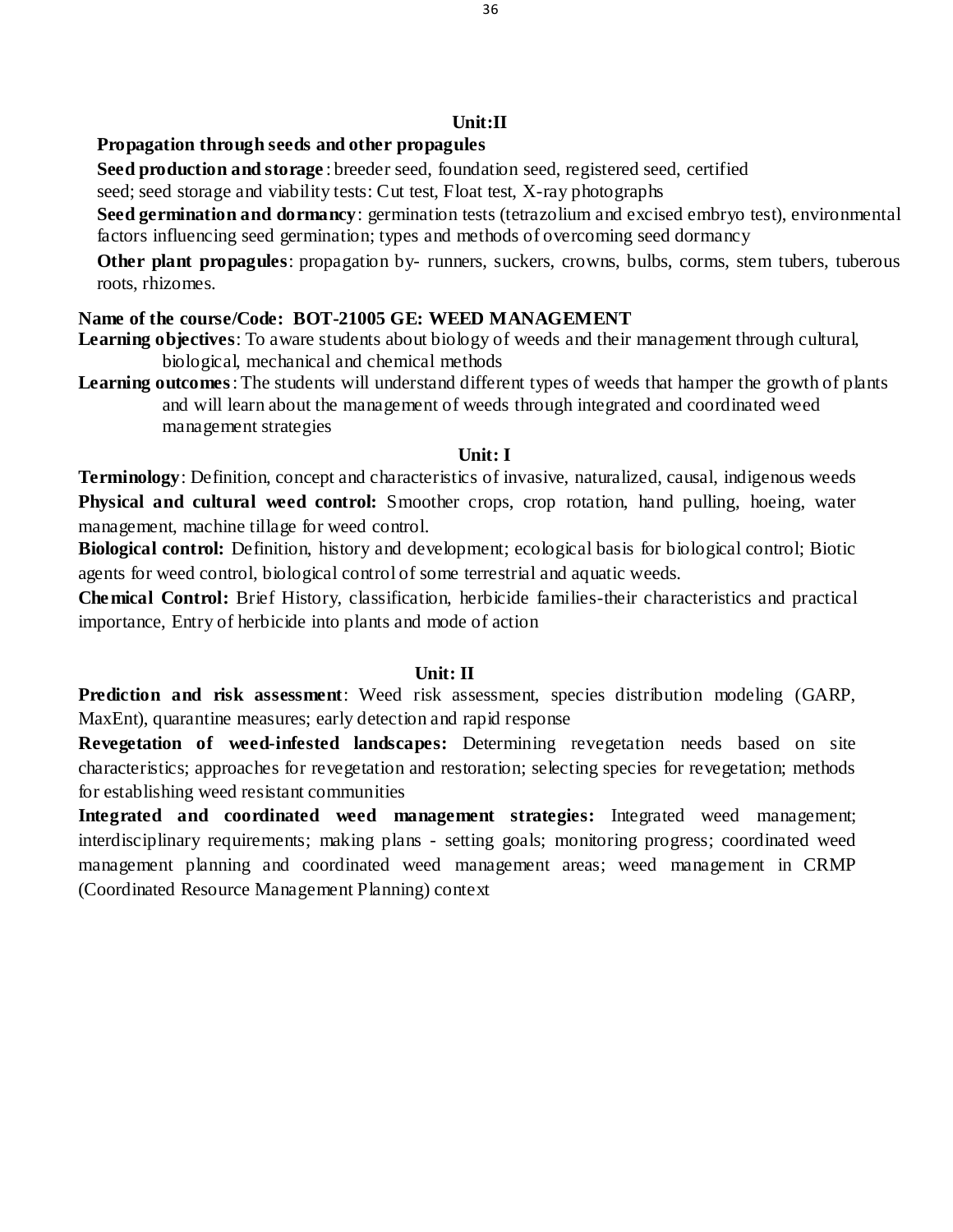### **Propagation through seeds and other propagules**

**Seed production and storage** : breeder seed, foundation seed, registered seed, certified

seed; seed storage and viability tests: Cut test, Float test, X-ray photographs

**Seed germination and dormancy**: germination tests (tetrazolium and excised embryo test), environmental factors influencing seed germination; types and methods of overcoming seed dormancy

**Other plant propagules**: propagation by- runners, suckers, crowns, bulbs, corms, stem tubers, tuberous roots, rhizomes.

### **Name of the course/Code: BOT-21005 GE: WEED MANAGEMENT**

**Learning objectives**: To aware students about biology of weeds and their management through cultural, biological, mechanical and chemical methods

**Learning outcomes**: The students will understand different types of weeds that hamper the growth of plants and will learn about the management of weeds through integrated and coordinated weed management strategies

#### **Unit: I**

**Terminology**: Definition, concept and characteristics of invasive, naturalized, causal, indigenous weeds **Physical and cultural weed control:** Smoother crops, crop rotation, hand pulling, hoeing, water management, machine tillage for weed control.

**Biological control:** Definition, history and development; ecological basis for biological control; Biotic agents for weed control, biological control of some terrestrial and aquatic weeds.

**Chemical Control:** Brief History, classification, herbicide families-their characteristics and practical importance, Entry of herbicide into plants and mode of action

#### **Unit: II**

**Prediction and risk assessment**: Weed risk assessment, species distribution modeling (GARP, MaxEnt), quarantine measures; early detection and rapid response

**Revegetation of weed-infested landscapes:** Determining revegetation needs based on site characteristics; approaches for revegetation and restoration; selecting species for revegetation; methods for establishing weed resistant communities

**Integrated and coordinated weed management strategies:** Integrated weed management; interdisciplinary requirements; making plans - setting goals; monitoring progress; coordinated weed management planning and coordinated weed management areas; weed management in CRMP (Coordinated Resource Management Planning) context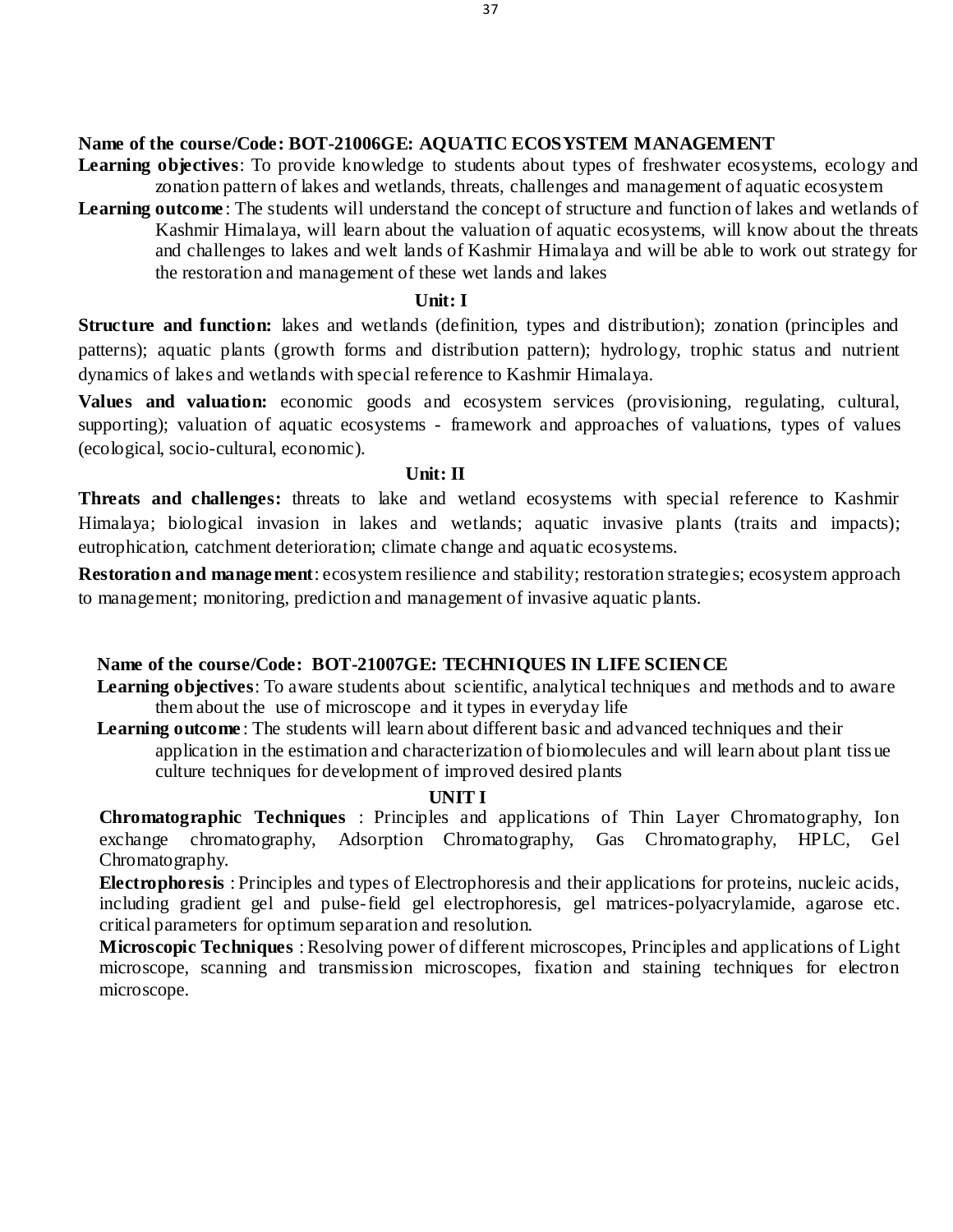### **Name of the course/Code: BOT-21006GE: AQUATIC ECOSYSTEM MANAGEMENT**

- Learning objectives: To provide knowledge to students about types of freshwater ecosystems, ecology and zonation pattern of lakes and wetlands, threats, challenges and management of aquatic ecosystem
- **Learning outcome** : The students will understand the concept of structure and function of lakes and wetlands of Kashmir Himalaya, will learn about the valuation of aquatic ecosystems, will know about the threats and challenges to lakes and welt lands of Kashmir Himalaya and will be able to work out strategy for the restoration and management of these wet lands and lakes

#### **Unit: I**

**Structure and function:** lakes and wetlands (definition, types and distribution); zonation (principles and patterns); aquatic plants (growth forms and distribution pattern); hydrology, trophic status and nutrient dynamics of lakes and wetlands with special reference to Kashmir Himalaya.

**Values and valuation:** economic goods and ecosystem services (provisioning, regulating, cultural, supporting); valuation of aquatic ecosystems - framework and approaches of valuations, types of values (ecological, socio-cultural, economic).

### **Unit: II**

**Threats and challenges:** threats to lake and wetland ecosystems with special reference to Kashmir Himalaya; biological invasion in lakes and wetlands; aquatic invasive plants (traits and impacts); eutrophication, catchment deterioration; climate change and aquatic ecosystems.

**Restoration and management**: ecosystem resilience and stability; restoration strategies; ecosystem approach to management; monitoring, prediction and management of invasive aquatic plants.

# **Name of the course/Code: BOT-21007GE: TECHNIQUES IN LIFE SCIENCE**

**Learning objectives**: To aware students about scientific, analytical techniques and methods and to aware them about the use of microscope and it types in everyday life

Learning outcome: The students will learn about different basic and advanced techniques and their application in the estimation and characterization of biomolecules and will learn about plant tiss ue culture techniques for development of improved desired plants

### **UNIT I**

**Chromatographic Techniques** : Principles and applications of Thin Layer Chromatography, Ion exchange chromatography, Adsorption Chromatography, Gas Chromatography, HPLC, Gel Chromatography.

**Electrophoresis** : Principles and types of Electrophoresis and their applications for proteins, nucleic acids, including gradient gel and pulse-field gel electrophoresis, gel matrices-polyacrylamide, agarose etc. critical parameters for optimum separation and resolution.

**Microscopic Techniques** : Resolving power of different microscopes, Principles and applications of Light microscope, scanning and transmission microscopes, fixation and staining techniques for electron microscope.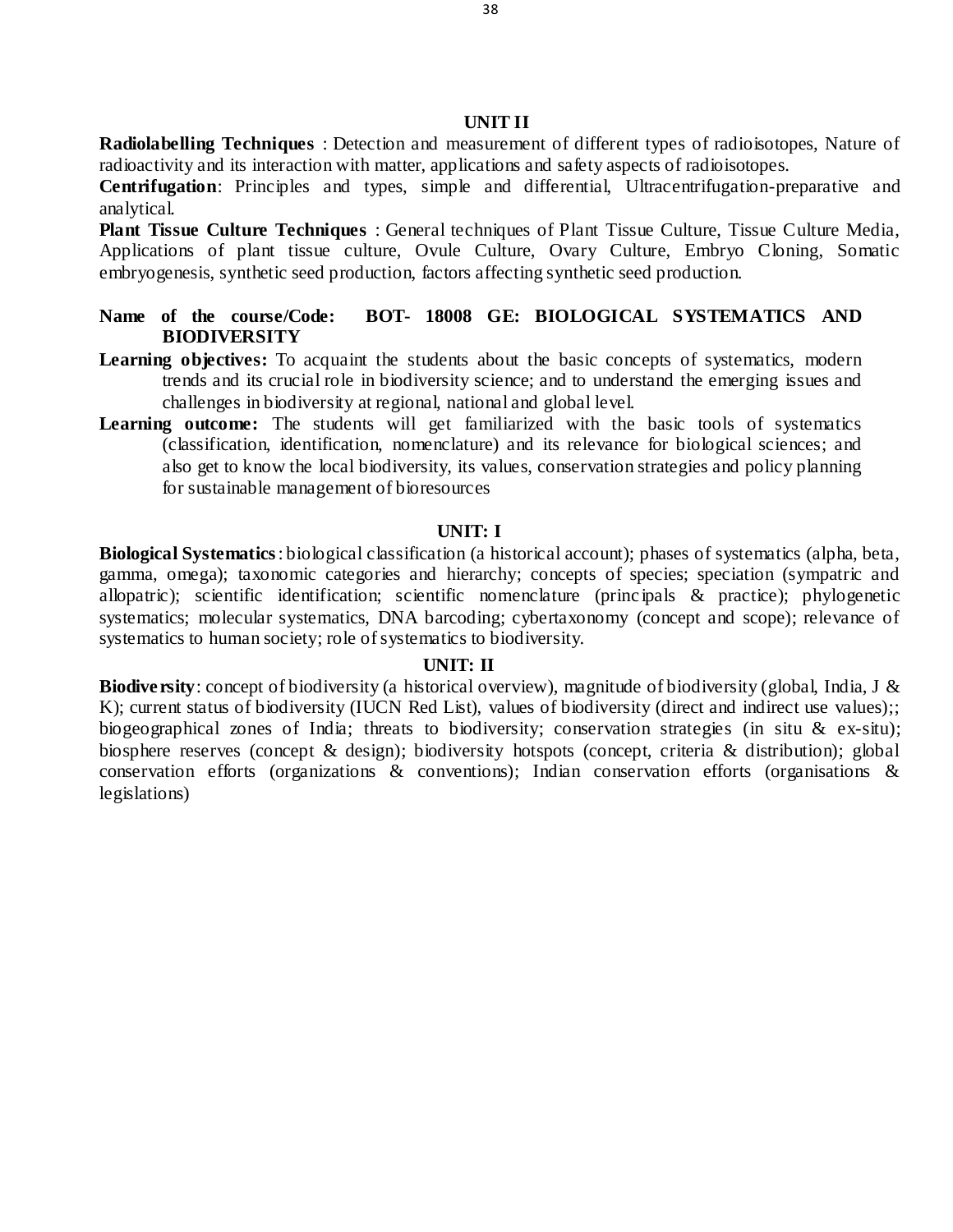#### **UNIT II**

**Radiolabelling Techniques** : Detection and measurement of different types of radioisotopes, Nature of radioactivity and its interaction with matter, applications and safety aspects of radioisotopes.

**Centrifugation**: Principles and types, simple and differential, Ultracentrifugation-preparative and analytical.

**Plant Tissue Culture Techniques** : General techniques of Plant Tissue Culture, Tissue Culture Media, Applications of plant tissue culture, Ovule Culture, Ovary Culture, Embryo Cloning, Somatic embryogenesis, synthetic seed production, factors affecting synthetic seed production.

- **Name of the course/Code: BOT- 18008 GE: BIOLOGICAL SYSTEMATICS AND BIODIVERSITY**
- Learning objectives: To acquaint the students about the basic concepts of systematics, modern trends and its crucial role in biodiversity science; and to understand the emerging issues and challenges in biodiversity at regional, national and global level.
- **Learning outcome:** The students will get familiarized with the basic tools of systematics (classification, identification, nomenclature) and its relevance for biological sciences; and also get to know the local biodiversity, its values, conservation strategies and policy planning for sustainable management of bioresources

#### **UNIT: I**

**Biological Systematics**: biological classification (a historical account); phases of systematics (alpha, beta, gamma, omega); taxonomic categories and hierarchy; concepts of species; speciation (sympatric and allopatric); scientific identification; scientific nomenclature (princ ipals & practice); phylogenetic systematics; molecular systematics, DNA barcoding; cybertaxonomy (concept and scope); relevance of systematics to human society; role of systematics to biodiversity.

#### **UNIT: II**

**Biodiversity**: concept of biodiversity (a historical overview), magnitude of biodiversity (global, India, J & K); current status of biodiversity (IUCN Red List), values of biodiversity (direct and indirect use values);; biogeographical zones of India; threats to biodiversity; conservation strategies (in situ & ex-situ); biosphere reserves (concept & design); biodiversity hotspots (concept, criteria & distribution); global conservation efforts (organizations & conventions); Indian conservation efforts (organisations & legislations)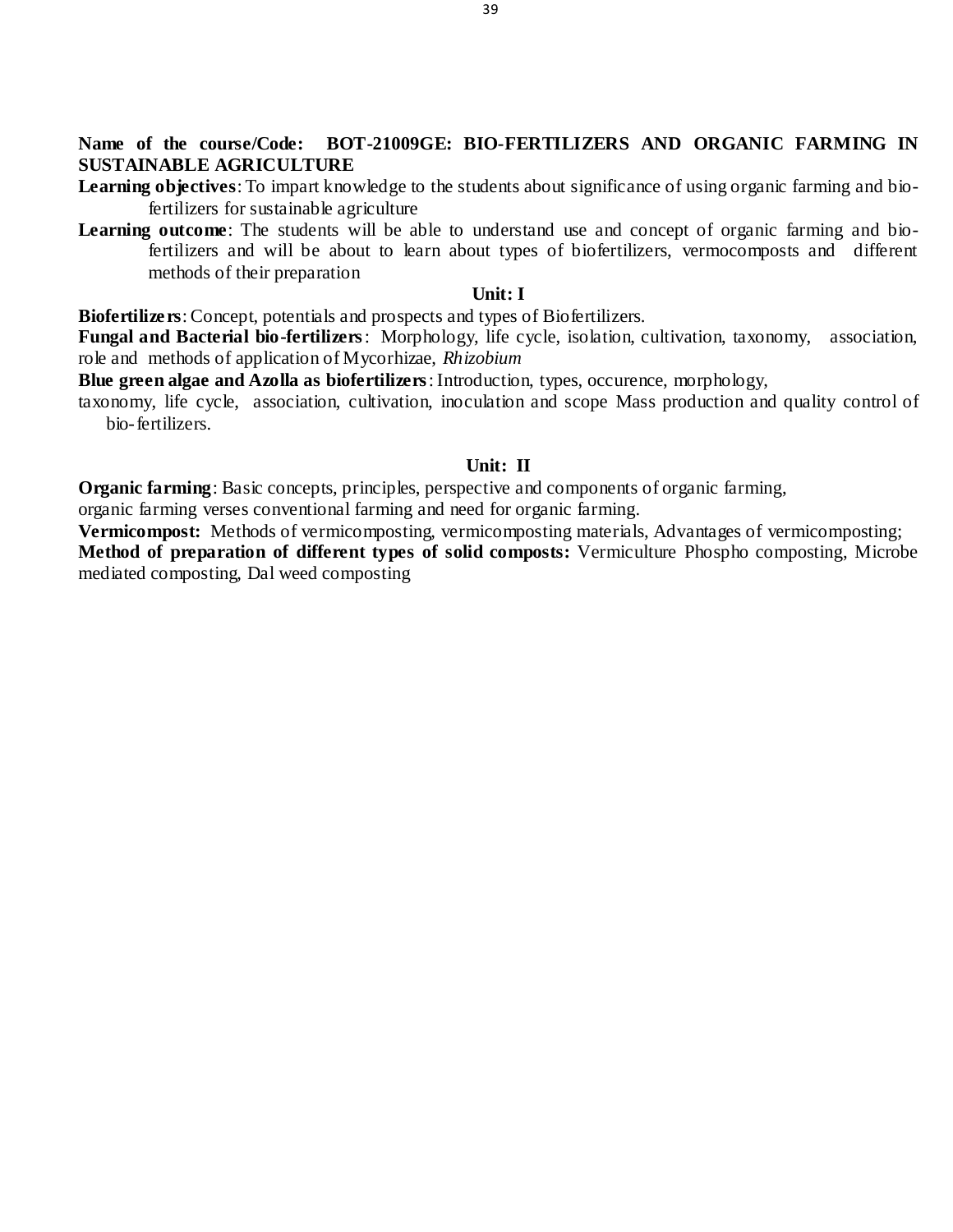**Name of the course/Code: BOT-21009GE: BIO-FERTILIZERS AND ORGANIC FARMING IN SUSTAINABLE AGRICULTURE**

**Learning objectives**: To impart knowledge to the students about significance of using organic farming and biofertilizers for sustainable agriculture

**Learning outcome**: The students will be able to understand use and concept of organic farming and biofertilizers and will be about to learn about types of biofertilizers, vermocomposts and different methods of their preparation

#### **Unit: I**

**Biofertilizers**: Concept, potentials and prospects and types of Biofertilizers.

**Fungal and Bacterial bio-fertilizers**: Morphology, life cycle, isolation, cultivation, taxonomy, association, role and methods of application of Mycorhizae, *Rhizobium*

**Blue green algae and Azolla as biofertilizers**: Introduction, types, occurence, morphology,

taxonomy, life cycle, association, cultivation, inoculation and scope Mass production and quality control of bio-fertilizers.

#### **Unit: II**

**Organic farming**: Basic concepts, principles, perspective and components of organic farming,

organic farming verses conventional farming and need for organic farming.

**Vermicompost:** Methods of vermicomposting, vermicomposting materials, Advantages of vermicomposting; **Method of preparation of different types of solid composts:** Vermiculture Phospho composting, Microbe

mediated composting, Dal weed composting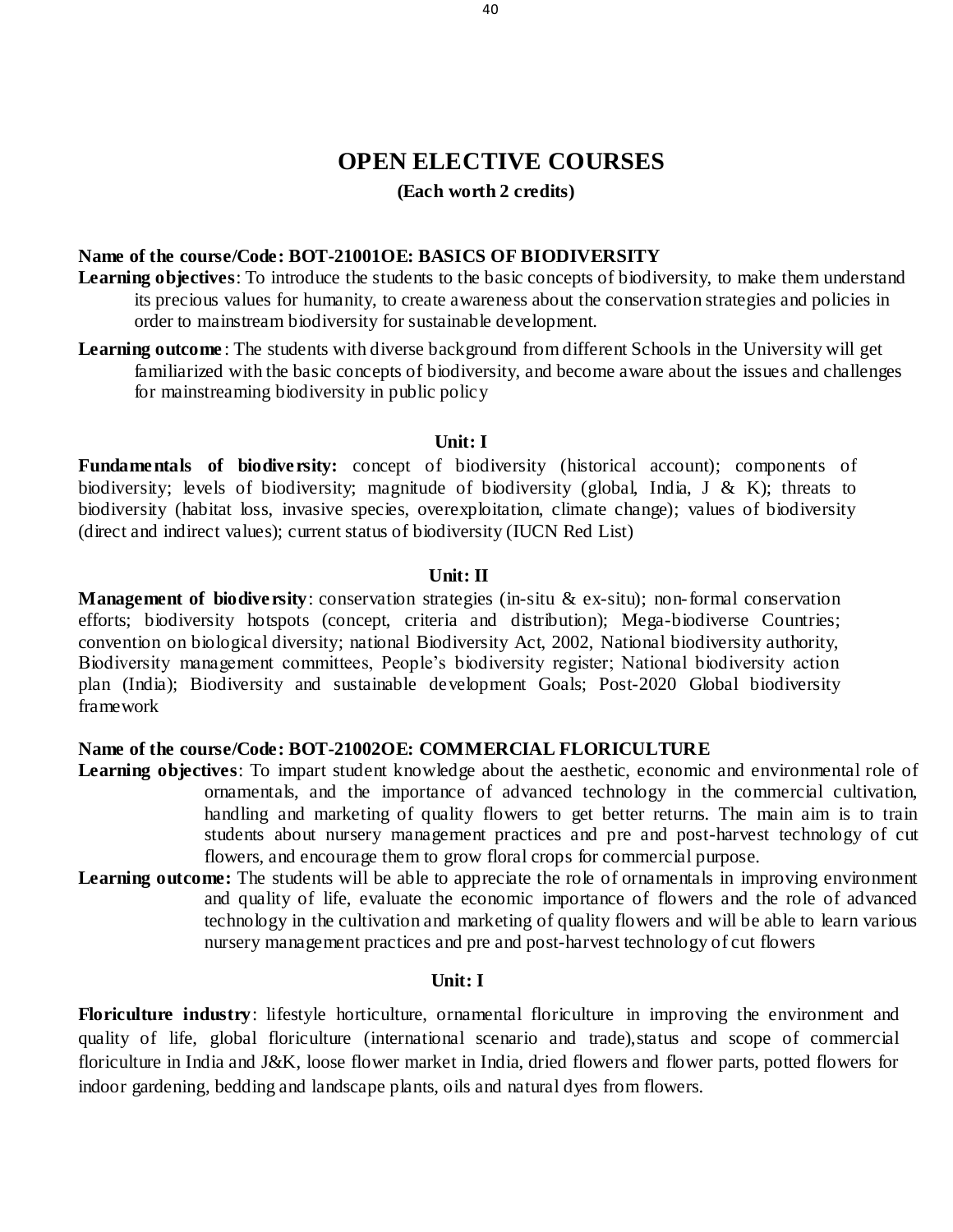# **OPEN ELECTIVE COURSES**

# **(Each worth 2 credits)**

# **Name of the course/Code: BOT-21001OE: BASICS OF BIODIVERSITY**

- **Learning objectives**: To introduce the students to the basic concepts of biodiversity, to make them understand its precious values for humanity, to create awareness about the conservation strategies and policies in order to mainstream biodiversity for sustainable development.
- **Learning outcome** : The students with diverse background from different Schools in the University will get familiarized with the basic concepts of biodiversity, and become aware about the issues and challenges for mainstreaming biodiversity in public policy

### **Unit: I**

**Fundamentals of biodiversity:** concept of biodiversity (historical account); components of biodiversity; levels of biodiversity; magnitude of biodiversity (global, India, J & K); threats to biodiversity (habitat loss, invasive species, overexploitation, climate change); values of biodiversity (direct and indirect values); current status of biodiversity (IUCN Red List)

#### **Unit: II**

**Management of biodiversity**: conservation strategies (in-situ & ex-situ); non-formal conservation efforts; biodiversity hotspots (concept, criteria and distribution); Mega-biodiverse Countries; convention on biological diversity; national Biodiversity Act, 2002, National biodiversity authority, Biodiversity management committees, People's biodiversity register; National biodiversity action plan (India); Biodiversity and sustainable development Goals; Post-2020 Global biodiversity framework

### **Name of the course/Code: BOT-21002OE: COMMERCIAL FLORICULTURE**

- **Learning objectives**: To impart student knowledge about the aesthetic, economic and environmental role of ornamentals, and the importance of advanced technology in the commercial cultivation, handling and marketing of quality flowers to get better returns. The main aim is to train students about nursery management practices and pre and post-harvest technology of cut flowers, and encourage them to grow floral crops for commercial purpose.
- Learning outcome: The students will be able to appreciate the role of ornamentals in improving environment and quality of life, evaluate the economic importance of flowers and the role of advanced technology in the cultivation and marketing of quality flowers and will be able to learn various nursery management practices and pre and post-harvest technology of cut flowers

#### **Unit: I**

**Floriculture industry**: lifestyle horticulture, ornamental floriculture in improving the environment and quality of life, global floriculture (international scenario and trade),status and scope of commercial floriculture in India and J&K, loose flower market in India, dried flowers and flower parts, potted flowers for indoor gardening, bedding and landscape plants, oils and natural dyes from flowers.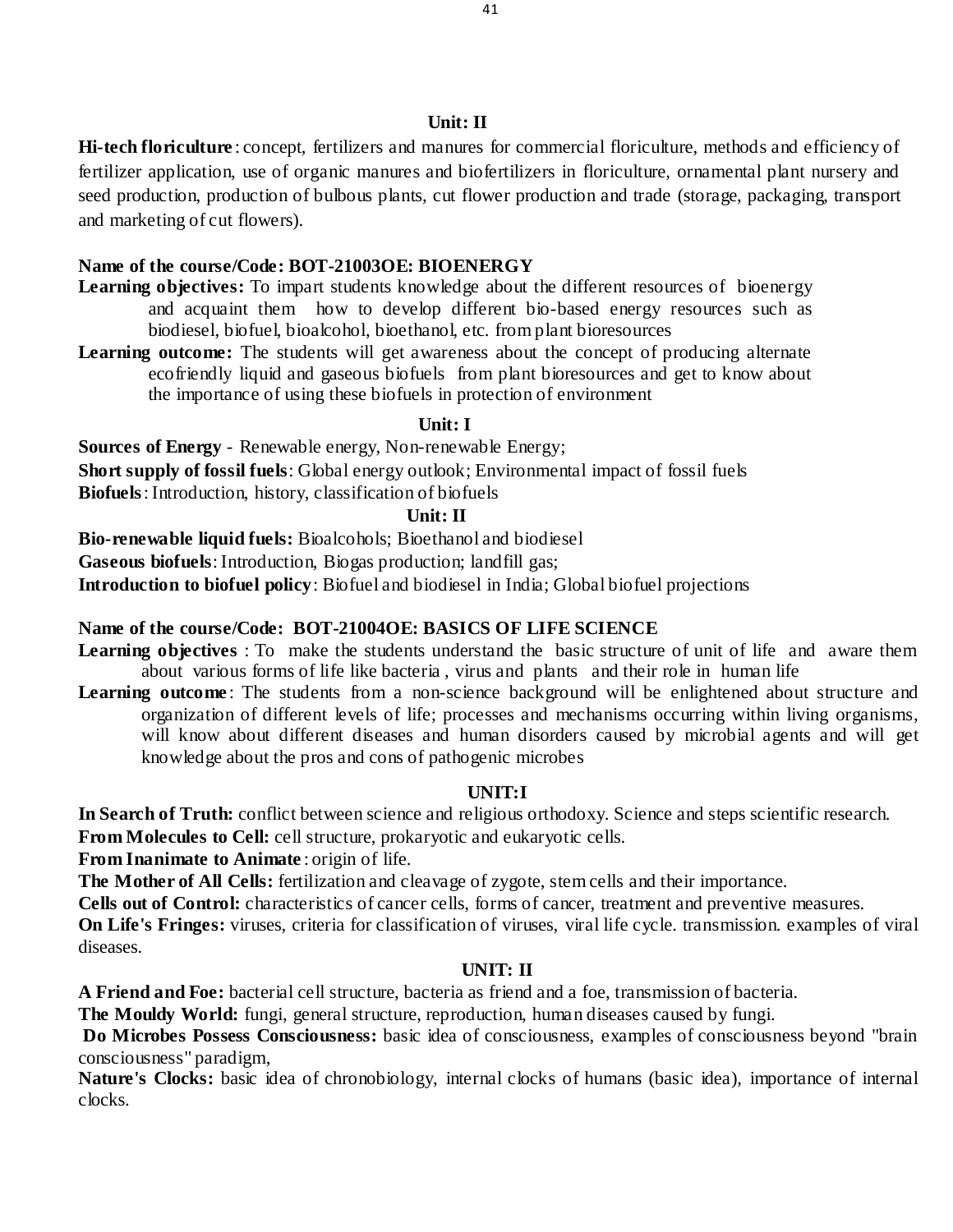#### **Unit: II**

**Hi-tech floriculture** : concept, fertilizers and manures for commercial floriculture, methods and efficiency of fertilizer application, use of organic manures and biofertilizers in floriculture, ornamental plant nursery and seed production, production of bulbous plants, cut flower production and trade (storage, packaging, transport and marketing of cut flowers).

### **Name of the course/Code: BOT-21003OE: BIOENERGY**

- **Learning objectives:** To impart students knowledge about the different resources of bioenergy and acquaint them how to develop different bio-based energy resources such as biodiesel, biofuel, bioalcohol, bioethanol, etc. from plant bioresources
- **Learning outcome:** The students will get awareness about the concept of producing alternate ecofriendly liquid and gaseous biofuels from plant bioresources and get to know about the importance of using these biofuels in protection of environment

#### **Unit: I**

**Sources of Energy** - Renewable energy, Non-renewable Energy; **Short supply of fossil fuels**: Global energy outlook; Environmental impact of fossil fuels **Biofuels**: Introduction, history, classification of biofuels

#### **Unit: II**

**Bio-renewable liquid fuels:** Bioalcohols; Bioethanol and biodiesel **Gaseous biofuels**: Introduction, Biogas production; landfill gas; **Introduction to biofuel policy**: Biofuel and biodiesel in India; Global biofuel projections

# **Name of the course/Code: BOT-21004OE: BASICS OF LIFE SCIENCE**

- **Learning objectives** : To make the students understand the basic structure of unit of life and aware them about various forms of life like bacteria , virus and plants and their role in human life
- Learning outcome: The students from a non-science background will be enlightened about structure and organization of different levels of life; processes and mechanisms occurring within living organisms, will know about different diseases and human disorders caused by microbial agents and will get knowledge about the pros and cons of pathogenic microbes

### **UNIT:I**

**In Search of Truth:** conflict between science and religious orthodoxy. Science and steps scientific research.

**From Molecules to Cell:** cell structure, prokaryotic and eukaryotic cells.

**From Inanimate to Animate** : origin of life.

**The Mother of All Cells:** fertilization and cleavage of zygote, stem cells and their importance.

**Cells out of Control:** characteristics of cancer cells, forms of cancer, treatment and preventive measures.

**On Life's Fringes:** viruses, criteria for classification of viruses, viral life cycle. transmission. examples of viral diseases.

## **UNIT: II**

**A Friend and Foe:** bacterial cell structure, bacteria as friend and a foe, transmission of bacteria.

**The Mouldy World:** fungi, general structure, reproduction, human diseases caused by fungi.

**Do Microbes Possess Consciousness:** basic idea of consciousness, examples of consciousness beyond "brain consciousness" paradigm,

**Nature's Clocks:** basic idea of chronobiology, internal clocks of humans (basic idea), importance of internal clocks.